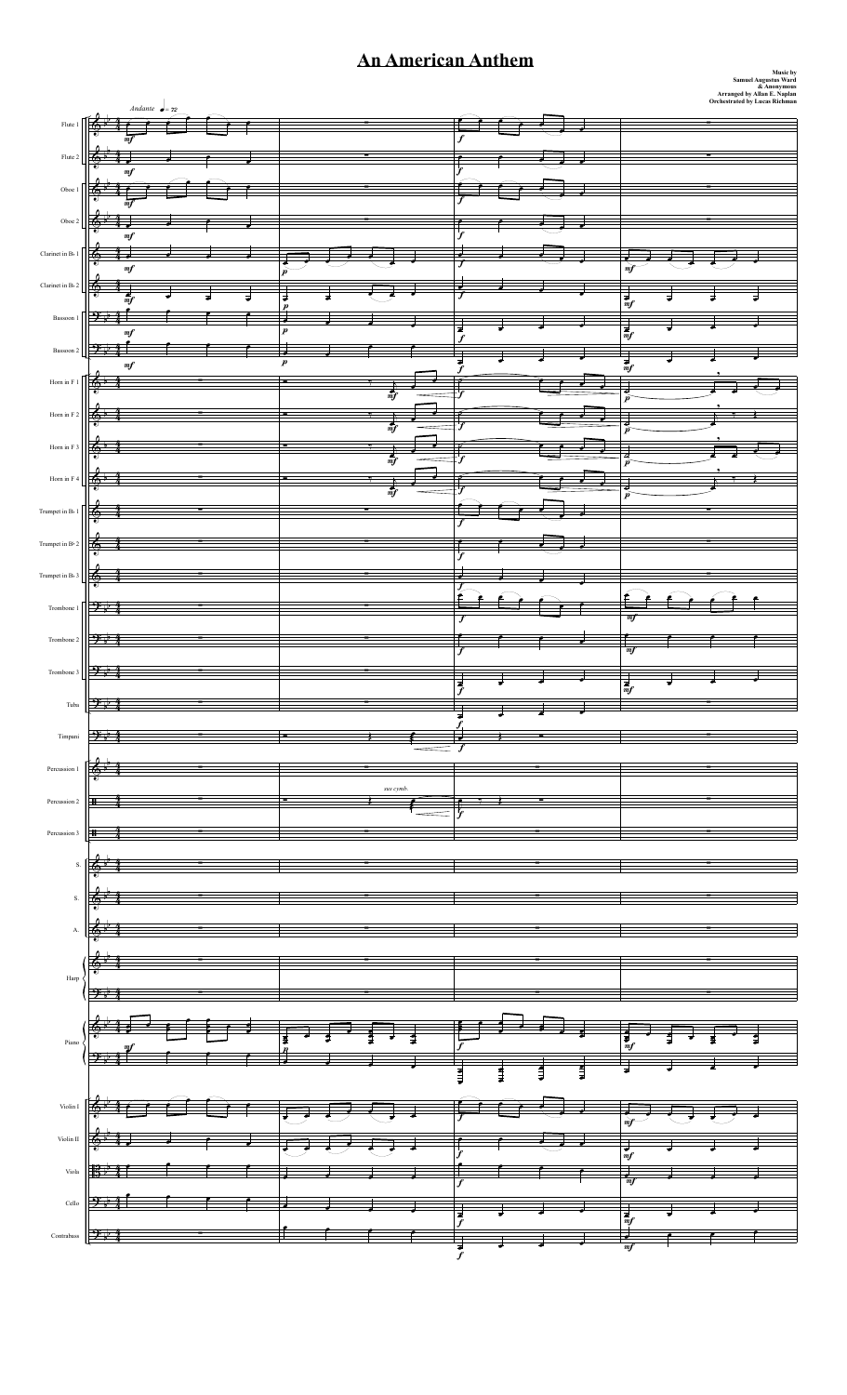|                                                                        |                                       | $Andante$ $\bullet$ = 72 |  |                          |                           |            |            |                          |                                                  |  | <b>Orchestrated by Lucas Richman</b> |  |
|------------------------------------------------------------------------|---------------------------------------|--------------------------|--|--------------------------|---------------------------|------------|------------|--------------------------|--------------------------------------------------|--|--------------------------------------|--|
| Flute                                                                  |                                       |                          |  |                          |                           |            |            |                          |                                                  |  |                                      |  |
|                                                                        |                                       |                          |  |                          |                           |            |            |                          |                                                  |  |                                      |  |
| Flute 2                                                                |                                       |                          |  |                          |                           |            |            |                          |                                                  |  |                                      |  |
| Oboe 1                                                                 | mf                                    |                          |  |                          |                           |            |            |                          |                                                  |  |                                      |  |
|                                                                        |                                       |                          |  |                          |                           |            |            |                          |                                                  |  |                                      |  |
| Oboe 2                                                                 |                                       |                          |  |                          |                           |            |            |                          |                                                  |  |                                      |  |
|                                                                        | mſ                                    |                          |  |                          |                           |            |            |                          |                                                  |  |                                      |  |
| Clarinet in B <sub>b</sub> 1                                           | ⊕                                     |                          |  |                          |                           |            |            |                          |                                                  |  |                                      |  |
| Clarinet in B <sub>2</sub>                                             | $m$ f                                 |                          |  |                          |                           |            |            |                          | mf                                               |  |                                      |  |
|                                                                        | ⊚                                     |                          |  |                          |                           |            |            |                          | mf                                               |  |                                      |  |
| Bassoon 1                                                              | €                                     |                          |  |                          |                           |            |            |                          |                                                  |  |                                      |  |
|                                                                        | mf                                    |                          |  | $\boldsymbol{p}$         |                           |            |            |                          | $\frac{2}{m}$                                    |  |                                      |  |
| Bassoon 2                                                              |                                       |                          |  |                          |                           |            |            |                          |                                                  |  |                                      |  |
|                                                                        | mf                                    |                          |  |                          |                           |            |            |                          |                                                  |  |                                      |  |
| Horn in F 1                                                            | ⊕                                     |                          |  |                          | $\tilde{m}$               |            |            |                          |                                                  |  |                                      |  |
| Horn in F $2\,$                                                        | ⊕                                     |                          |  |                          |                           |            |            |                          |                                                  |  |                                      |  |
|                                                                        |                                       |                          |  |                          | $\frac{1}{m}$             |            |            |                          |                                                  |  |                                      |  |
| Horn in F 3                                                            | $\bigcirc$                            |                          |  |                          |                           |            |            |                          |                                                  |  |                                      |  |
|                                                                        |                                       |                          |  |                          | $\frac{1}{m}$             |            |            |                          |                                                  |  |                                      |  |
| Horn in F4                                                             |                                       |                          |  |                          | $\overline{\overline{m}}$ |            |            |                          |                                                  |  |                                      |  |
| Trumpet in B <sub>b</sub> 1                                            | 奄                                     |                          |  |                          |                           |            |            |                          |                                                  |  |                                      |  |
|                                                                        |                                       |                          |  |                          |                           |            |            |                          |                                                  |  |                                      |  |
| Trumpet in B <sub>&gt;2</sub>                                          | 俰                                     |                          |  |                          |                           |            |            |                          |                                                  |  |                                      |  |
|                                                                        |                                       |                          |  |                          |                           |            |            |                          |                                                  |  |                                      |  |
| Trumpet in B <sub>&gt;</sub> 3                                         | ⊕                                     |                          |  |                          |                           |            |            |                          |                                                  |  |                                      |  |
| Trombone 1                                                             | クァ                                    |                          |  |                          |                           |            |            |                          |                                                  |  |                                      |  |
|                                                                        |                                       |                          |  |                          |                           |            |            |                          |                                                  |  |                                      |  |
| Trombone 2                                                             | ツァ                                    |                          |  |                          |                           |            |            |                          | m                                                |  |                                      |  |
| Trombone 3                                                             | ソー                                    |                          |  |                          |                           |            |            |                          |                                                  |  |                                      |  |
|                                                                        |                                       |                          |  |                          |                           |            |            |                          |                                                  |  |                                      |  |
|                                                                        |                                       |                          |  |                          |                           |            |            |                          |                                                  |  |                                      |  |
| Tuba                                                                   | $\mathcal{P} \not\models$             |                          |  |                          |                           |            | す          |                          | $\frac{1}{m}$                                    |  |                                      |  |
|                                                                        |                                       |                          |  |                          |                           |            | ₹          |                          |                                                  |  |                                      |  |
| Timpani                                                                |                                       |                          |  |                          | $\overline{\mathbf{r}}$   |            |            |                          |                                                  |  |                                      |  |
| Percussion 1                                                           |                                       |                          |  |                          |                           |            |            |                          |                                                  |  |                                      |  |
|                                                                        | $\Phi^*$                              |                          |  |                          |                           |            |            |                          |                                                  |  |                                      |  |
| Percussion 2                                                           | $\blacksquare$                        |                          |  | $\overline{\phantom{a}}$ | sus cymb.                 |            | $\sqrt{7}$ |                          |                                                  |  |                                      |  |
|                                                                        |                                       |                          |  |                          |                           |            |            |                          |                                                  |  |                                      |  |
| Percussion 3                                                           | 王                                     |                          |  |                          |                           |            |            |                          |                                                  |  |                                      |  |
|                                                                        |                                       |                          |  |                          |                           |            |            |                          |                                                  |  |                                      |  |
|                                                                        | $s \left  \frac{\sqrt{2}}{2} \right $ |                          |  |                          |                           |            |            |                          |                                                  |  |                                      |  |
|                                                                        | s. $6^{3}4$                           |                          |  |                          |                           |            |            |                          |                                                  |  |                                      |  |
|                                                                        |                                       |                          |  |                          |                           |            |            |                          |                                                  |  |                                      |  |
|                                                                        | $\mathbf{A}$                          |                          |  |                          | ÷                         |            |            |                          |                                                  |  |                                      |  |
|                                                                        |                                       |                          |  |                          |                           |            |            |                          |                                                  |  |                                      |  |
| $_{\mbox{Harp}}$ .                                                     | 停                                     |                          |  |                          |                           |            |            |                          |                                                  |  |                                      |  |
|                                                                        | $9\frac{1}{2}$                        |                          |  |                          |                           |            |            |                          |                                                  |  |                                      |  |
|                                                                        |                                       |                          |  |                          |                           |            |            |                          |                                                  |  |                                      |  |
|                                                                        | $\frac{27}{5}$                        |                          |  |                          |                           |            |            |                          |                                                  |  |                                      |  |
| $\ensuremath{\text{\rm{Piano}}}$ $\ensuremath{\text{\rm{}}\mathstrut}$ |                                       |                          |  |                          |                           |            |            |                          |                                                  |  |                                      |  |
|                                                                        | $\frac{m^2}{2m^2}$                    |                          |  |                          |                           |            |            |                          |                                                  |  |                                      |  |
|                                                                        |                                       |                          |  |                          |                           |            |            |                          |                                                  |  |                                      |  |
| Violin I                                                               |                                       |                          |  |                          |                           |            |            |                          |                                                  |  |                                      |  |
| Violin $\Pi$                                                           |                                       |                          |  |                          |                           |            |            |                          | $\frac{1}{m}$                                    |  |                                      |  |
|                                                                        | $\Phi^{\ast}$                         |                          |  |                          |                           | $\sqrt{2}$ |            | $\overline{\phantom{a}}$ |                                                  |  |                                      |  |
| Viola                                                                  |                                       |                          |  |                          |                           |            |            |                          |                                                  |  |                                      |  |
|                                                                        |                                       |                          |  |                          |                           |            |            |                          |                                                  |  |                                      |  |
| Cello                                                                  |                                       |                          |  |                          |                           |            |            |                          |                                                  |  |                                      |  |
| Contrabass                                                             |                                       |                          |  |                          |                           |            |            |                          | $\frac{1}{\frac{1}{m}f}$<br>$\frac{1}{\sqrt{m}}$ |  |                                      |  |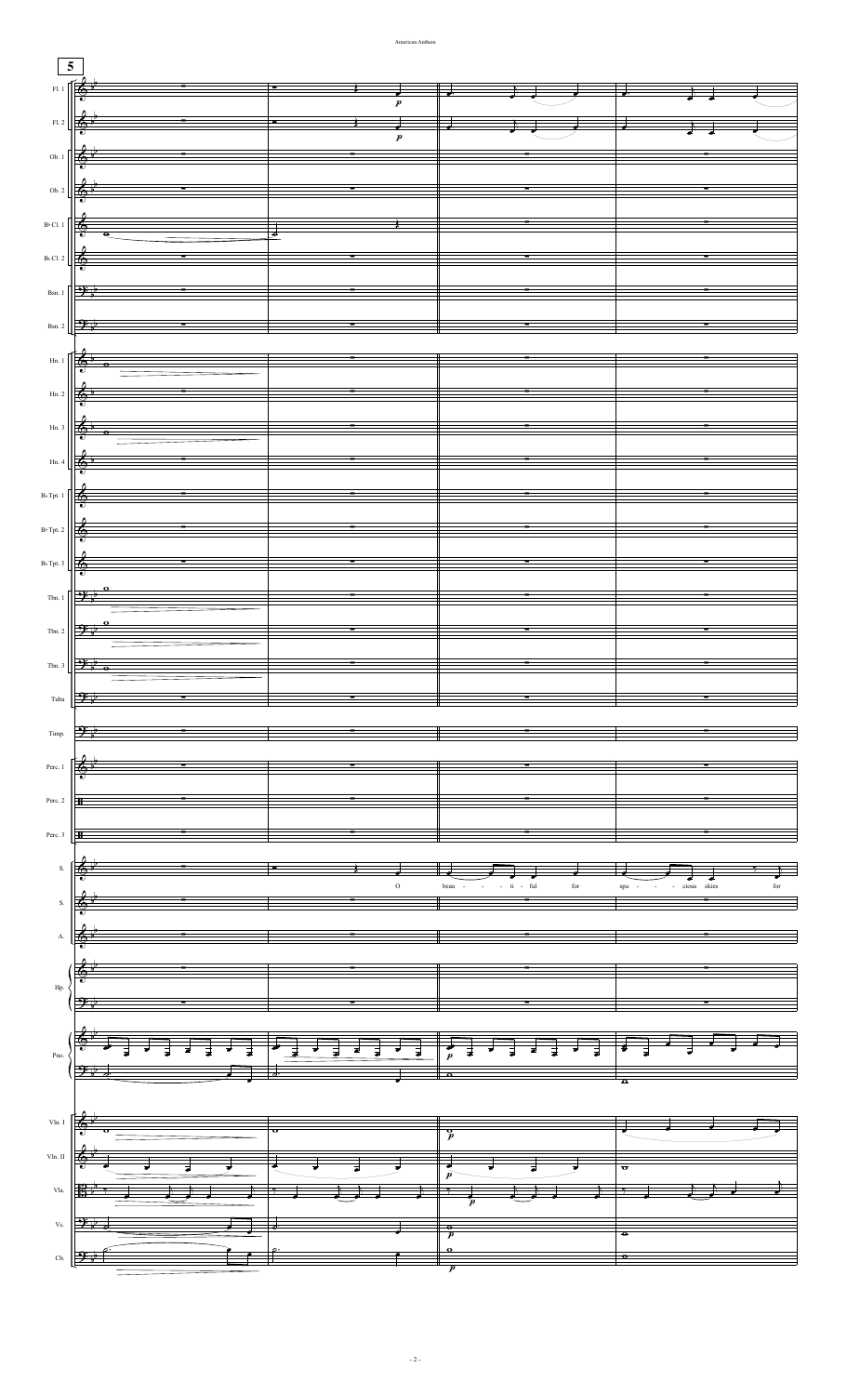| American Anthem |
|-----------------|
|                 |

| 5                         |                                                                                                                                 |                          |                          |                      |                                |                                   |                              |                      |
|---------------------------|---------------------------------------------------------------------------------------------------------------------------------|--------------------------|--------------------------|----------------------|--------------------------------|-----------------------------------|------------------------------|----------------------|
| F1.1                      |                                                                                                                                 |                          |                          | $\ddot{\cdot}$       |                                | $\overline{\phantom{a}}$ .        | $\overline{\phantom{a}}$     |                      |
|                           |                                                                                                                                 |                          |                          |                      |                                |                                   |                              |                      |
|                           | F1.2                                                                                                                            |                          |                          | $\cdot$              |                                |                                   |                              |                      |
|                           |                                                                                                                                 |                          |                          |                      |                                |                                   |                              |                      |
| 0 <sub>b.1</sub>          |                                                                                                                                 |                          |                          |                      |                                |                                   |                              |                      |
|                           |                                                                                                                                 |                          |                          |                      |                                |                                   |                              |                      |
| Ob. 2                     |                                                                                                                                 |                          |                          |                      |                                |                                   |                              |                      |
|                           |                                                                                                                                 |                          |                          |                      |                                |                                   |                              |                      |
|                           | $B \cdot C1.1$                                                                                                                  |                          |                          |                      |                                |                                   |                              |                      |
|                           |                                                                                                                                 |                          | $\overline{\phantom{a}}$ |                      |                                |                                   |                              |                      |
| $Bb$ Cl. 2                |                                                                                                                                 |                          |                          |                      |                                |                                   |                              |                      |
|                           |                                                                                                                                 |                          |                          |                      |                                |                                   |                              |                      |
|                           | Bsn. 1 $\frac{1}{2}$                                                                                                            |                          |                          |                      |                                |                                   |                              |                      |
|                           |                                                                                                                                 |                          |                          |                      |                                |                                   |                              |                      |
|                           | Bsn. 2 $\left[\begin{array}{ccc} \frac{1}{2} & \frac{1}{2} \\ \frac{1}{2} & \frac{1}{2} \end{array}\right]$                     |                          |                          |                      |                                |                                   |                              |                      |
|                           |                                                                                                                                 |                          |                          |                      |                                |                                   |                              |                      |
|                           | $\mathbf{Hn.1}$ $\begin{bmatrix} 1 & 1 & 1 \\ 1 & 1 & 1 \\ 1 & 1 & 1 \end{bmatrix}$                                             |                          |                          |                      |                                |                                   |                              |                      |
|                           |                                                                                                                                 |                          |                          |                      |                                |                                   |                              |                      |
| $\frac{Hn.2}{100}$        |                                                                                                                                 |                          |                          |                      |                                |                                   |                              |                      |
|                           |                                                                                                                                 |                          |                          |                      |                                |                                   |                              |                      |
|                           | $\mathbb{H}$ $\mathbb{R}$ $\left\  \begin{array}{ccc} & & \\ \hline & \bullet & & \\ \hline & & \bullet & \end{array} \right\ $ |                          |                          |                      |                                |                                   |                              |                      |
|                           |                                                                                                                                 |                          |                          |                      |                                |                                   |                              |                      |
| Hn.4                      |                                                                                                                                 |                          |                          |                      |                                |                                   |                              |                      |
|                           |                                                                                                                                 |                          |                          |                      |                                |                                   |                              |                      |
| $B \triangleright Tpt. 1$ |                                                                                                                                 |                          |                          |                      |                                |                                   |                              |                      |
|                           |                                                                                                                                 |                          |                          |                      |                                |                                   |                              |                      |
| $B \triangleright$ Tpt. 2 |                                                                                                                                 |                          |                          |                      |                                |                                   |                              |                      |
|                           |                                                                                                                                 |                          |                          |                      |                                |                                   |                              |                      |
| $B\ni$ Tpt. 3             |                                                                                                                                 |                          |                          |                      |                                |                                   |                              |                      |
|                           |                                                                                                                                 |                          |                          |                      |                                |                                   |                              |                      |
|                           | Tbn. 1 $\frac{1}{2}$                                                                                                            |                          |                          |                      |                                |                                   |                              |                      |
|                           |                                                                                                                                 |                          |                          |                      |                                |                                   |                              |                      |
|                           | Tbn. 2 $\left \left \frac{\mathbf{Q}+\mathbf{b}}{\mathbf{A}}\right \right $                                                     |                          |                          |                      |                                |                                   |                              |                      |
|                           |                                                                                                                                 |                          |                          |                      |                                |                                   |                              |                      |
|                           | Tbn. 3 $\frac{1}{2}$                                                                                                            |                          |                          |                      |                                |                                   |                              |                      |
|                           |                                                                                                                                 |                          |                          |                      |                                |                                   |                              |                      |
| ${\rm Tuba}$              | $\mathbf{P}$                                                                                                                    |                          |                          |                      |                                |                                   |                              |                      |
|                           |                                                                                                                                 |                          |                          |                      |                                |                                   |                              |                      |
| Timp.                     | $\mathbf{P}$                                                                                                                    |                          |                          |                      |                                |                                   |                              |                      |
|                           |                                                                                                                                 |                          |                          |                      |                                |                                   |                              |                      |
| Perc. 1                   |                                                                                                                                 |                          |                          |                      |                                |                                   |                              |                      |
|                           |                                                                                                                                 |                          |                          |                      |                                |                                   |                              |                      |
| Perc. 2                   | 9 E                                                                                                                             |                          |                          |                      |                                |                                   |                              |                      |
|                           |                                                                                                                                 |                          |                          |                      |                                |                                   |                              |                      |
| Perc. $3$                 |                                                                                                                                 |                          |                          |                      |                                |                                   |                              |                      |
|                           |                                                                                                                                 |                          |                          |                      |                                |                                   |                              |                      |
|                           | $s \left  \frac{\sqrt{2}}{2} \right $                                                                                           |                          | −                        | $\overrightarrow{a}$ |                                |                                   | $\overline{\phantom{a}}$     |                      |
|                           |                                                                                                                                 |                          |                          | $\rm _O$             | $ti - ful$                     | $\operatorname{for}$              | skies<br>spa                 |                      |
|                           | $s \frac{1}{2}$                                                                                                                 |                          |                          |                      |                                |                                   |                              |                      |
|                           |                                                                                                                                 |                          |                          |                      |                                |                                   |                              |                      |
|                           | $\mathbb{Z}$                                                                                                                    |                          |                          |                      |                                |                                   |                              |                      |
|                           |                                                                                                                                 |                          |                          |                      |                                |                                   |                              |                      |
|                           | $\frac{2}{\frac{1}{2}}$                                                                                                         |                          |                          |                      |                                |                                   |                              |                      |
| $Hp. \n\left\{$           |                                                                                                                                 |                          |                          |                      |                                |                                   |                              |                      |
|                           | $\Theta$                                                                                                                        |                          |                          |                      |                                |                                   |                              |                      |
|                           |                                                                                                                                 |                          |                          |                      |                                |                                   |                              |                      |
|                           | $\frac{1}{2}$                                                                                                                   |                          |                          |                      |                                |                                   |                              |                      |
| Pno. $\left\{ \right.$    |                                                                                                                                 |                          |                          |                      |                                |                                   |                              |                      |
|                           | (ラナ                                                                                                                             |                          |                          |                      |                                |                                   |                              |                      |
|                           |                                                                                                                                 |                          |                          |                      |                                |                                   |                              |                      |
|                           |                                                                                                                                 |                          |                          |                      |                                |                                   |                              |                      |
| $V\ln I$                  |                                                                                                                                 | $\overline{\phantom{a}}$ |                          | $\frac{6}{p}$        |                                |                                   |                              |                      |
|                           |                                                                                                                                 |                          |                          |                      |                                |                                   |                              |                      |
| $V\ln H$                  |                                                                                                                                 |                          | $\overline{\phantom{a}}$ |                      |                                |                                   | $\overline{\sigma}$          |                      |
|                           |                                                                                                                                 |                          |                          |                      |                                |                                   |                              |                      |
| Vla.                      | $\frac{1}{2}$                                                                                                                   |                          |                          |                      |                                | $\longrightarrow$ $\overline{\ }$ | $\overline{\phantom{a}}$     | $\overrightarrow{ }$ |
|                           |                                                                                                                                 |                          |                          |                      |                                |                                   |                              |                      |
| Vc.                       | ジナー                                                                                                                             |                          | $  \cdot  $              |                      | $\frac{\overline{\bullet}}{p}$ |                                   | $\ddot{\boldsymbol{\theta}}$ |                      |
| $\mathrm{Cb.}$            | $\mathbb{P}^1$                                                                                                                  |                          |                          |                      |                                |                                   | $\mathbf{o}$                 |                      |
|                           |                                                                                                                                 |                          |                          |                      | $\frac{p}{\equiv p}$           |                                   |                              |                      |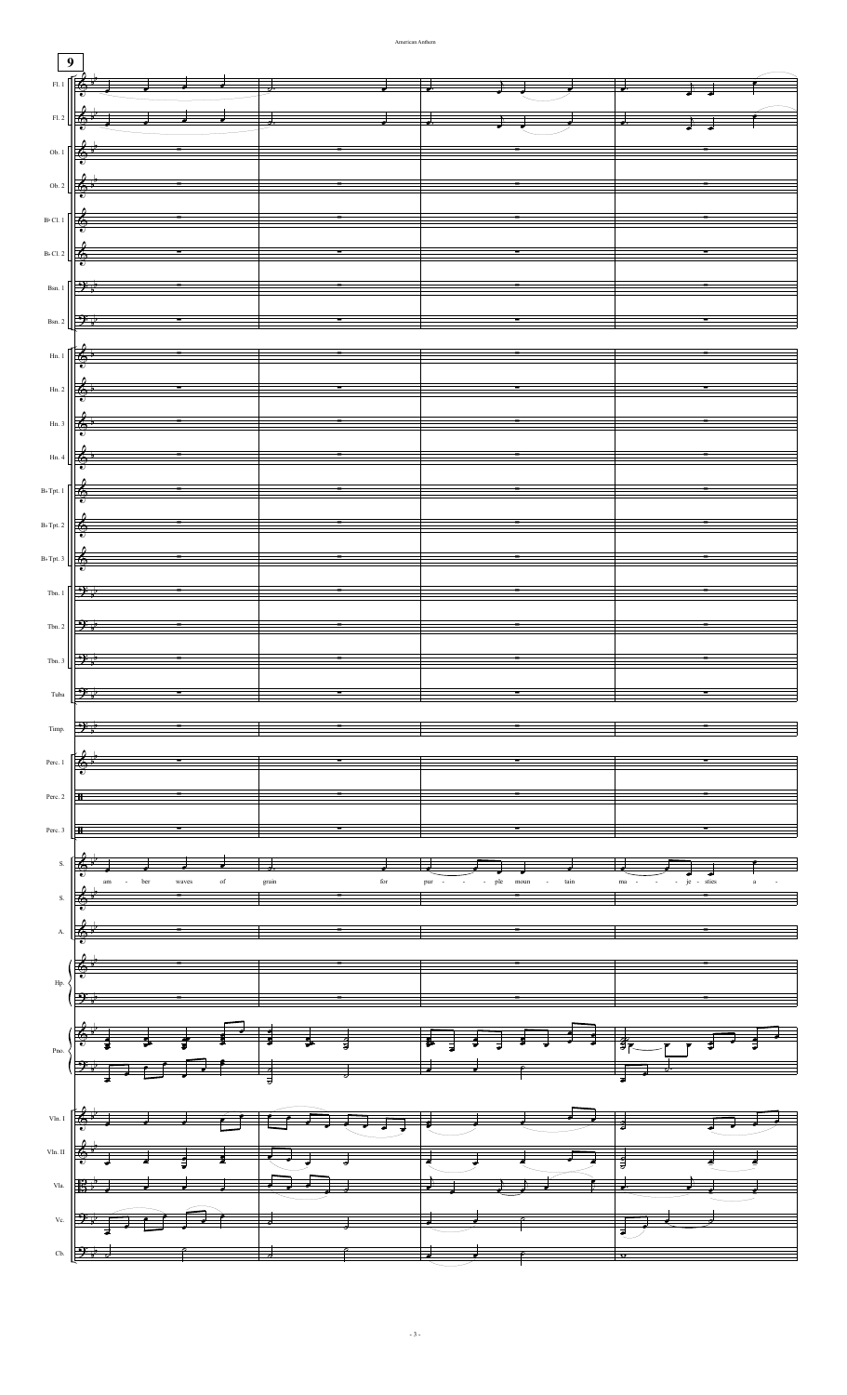| F1.1                                           |              |                      |  |  |  |                                                                    |  |                                                                                                                                               |                                                                                                                                                                                                                                                                                                                                                                                                          |  |
|------------------------------------------------|--------------|----------------------|--|--|--|--------------------------------------------------------------------|--|-----------------------------------------------------------------------------------------------------------------------------------------------|----------------------------------------------------------------------------------------------------------------------------------------------------------------------------------------------------------------------------------------------------------------------------------------------------------------------------------------------------------------------------------------------------------|--|
| F1.2                                           |              |                      |  |  |  |                                                                    |  | $\frac{1}{2}$ , $\frac{1}{2}$ , $\frac{1}{2}$ , $\frac{1}{2}$ , $\frac{1}{2}$ , $\frac{1}{2}$ , $\frac{1}{2}$ , $\frac{1}{2}$ , $\frac{1}{2}$ |                                                                                                                                                                                                                                                                                                                                                                                                          |  |
|                                                |              |                      |  |  |  |                                                                    |  |                                                                                                                                               |                                                                                                                                                                                                                                                                                                                                                                                                          |  |
| 0b. 1                                          |              |                      |  |  |  |                                                                    |  |                                                                                                                                               |                                                                                                                                                                                                                                                                                                                                                                                                          |  |
| Ob. 2 $\sqrt{6}$                               |              |                      |  |  |  |                                                                    |  |                                                                                                                                               |                                                                                                                                                                                                                                                                                                                                                                                                          |  |
|                                                |              |                      |  |  |  |                                                                    |  |                                                                                                                                               |                                                                                                                                                                                                                                                                                                                                                                                                          |  |
| $B \triangleright C1.1$                        |              |                      |  |  |  |                                                                    |  |                                                                                                                                               |                                                                                                                                                                                                                                                                                                                                                                                                          |  |
| $Bb$ Cl. 2                                     |              |                      |  |  |  |                                                                    |  |                                                                                                                                               |                                                                                                                                                                                                                                                                                                                                                                                                          |  |
|                                                |              |                      |  |  |  |                                                                    |  |                                                                                                                                               |                                                                                                                                                                                                                                                                                                                                                                                                          |  |
| Bsn. 1 $\left \frac{1}{2}\right $              |              |                      |  |  |  |                                                                    |  |                                                                                                                                               |                                                                                                                                                                                                                                                                                                                                                                                                          |  |
| Bsn. 2 $\left \left \frac{1}{2}\right \right $ |              |                      |  |  |  |                                                                    |  |                                                                                                                                               |                                                                                                                                                                                                                                                                                                                                                                                                          |  |
|                                                |              |                      |  |  |  |                                                                    |  |                                                                                                                                               |                                                                                                                                                                                                                                                                                                                                                                                                          |  |
| Hn. 1                                          |              |                      |  |  |  |                                                                    |  |                                                                                                                                               |                                                                                                                                                                                                                                                                                                                                                                                                          |  |
| Hn. 2                                          |              |                      |  |  |  |                                                                    |  |                                                                                                                                               |                                                                                                                                                                                                                                                                                                                                                                                                          |  |
| Hn.3                                           |              |                      |  |  |  |                                                                    |  |                                                                                                                                               |                                                                                                                                                                                                                                                                                                                                                                                                          |  |
|                                                |              |                      |  |  |  |                                                                    |  |                                                                                                                                               |                                                                                                                                                                                                                                                                                                                                                                                                          |  |
| Hn.4                                           |              |                      |  |  |  |                                                                    |  |                                                                                                                                               |                                                                                                                                                                                                                                                                                                                                                                                                          |  |
| $B \triangleright Tpt. 1$                      |              |                      |  |  |  |                                                                    |  |                                                                                                                                               |                                                                                                                                                                                                                                                                                                                                                                                                          |  |
|                                                |              |                      |  |  |  |                                                                    |  |                                                                                                                                               |                                                                                                                                                                                                                                                                                                                                                                                                          |  |
| $B \triangleright$ Tpt. 2                      |              |                      |  |  |  |                                                                    |  |                                                                                                                                               |                                                                                                                                                                                                                                                                                                                                                                                                          |  |
| $B \triangleright$ Tpt. 3 $\Box$               |              |                      |  |  |  |                                                                    |  |                                                                                                                                               |                                                                                                                                                                                                                                                                                                                                                                                                          |  |
|                                                |              |                      |  |  |  |                                                                    |  |                                                                                                                                               |                                                                                                                                                                                                                                                                                                                                                                                                          |  |
|                                                |              |                      |  |  |  |                                                                    |  |                                                                                                                                               |                                                                                                                                                                                                                                                                                                                                                                                                          |  |
| Tbn. $2$                                       |              |                      |  |  |  |                                                                    |  |                                                                                                                                               |                                                                                                                                                                                                                                                                                                                                                                                                          |  |
|                                                |              |                      |  |  |  |                                                                    |  |                                                                                                                                               |                                                                                                                                                                                                                                                                                                                                                                                                          |  |
|                                                |              |                      |  |  |  |                                                                    |  |                                                                                                                                               |                                                                                                                                                                                                                                                                                                                                                                                                          |  |
| Tuba                                           |              | ⊫9                   |  |  |  |                                                                    |  |                                                                                                                                               |                                                                                                                                                                                                                                                                                                                                                                                                          |  |
| Timp.                                          |              |                      |  |  |  |                                                                    |  |                                                                                                                                               |                                                                                                                                                                                                                                                                                                                                                                                                          |  |
| Perc. 1                                        |              |                      |  |  |  |                                                                    |  |                                                                                                                                               |                                                                                                                                                                                                                                                                                                                                                                                                          |  |
|                                                |              |                      |  |  |  |                                                                    |  |                                                                                                                                               |                                                                                                                                                                                                                                                                                                                                                                                                          |  |
| Perc. 2                                        |              |                      |  |  |  |                                                                    |  |                                                                                                                                               |                                                                                                                                                                                                                                                                                                                                                                                                          |  |
| Perc. 3                                        | $\mathbf{H}$ |                      |  |  |  |                                                                    |  |                                                                                                                                               |                                                                                                                                                                                                                                                                                                                                                                                                          |  |
|                                                |              |                      |  |  |  |                                                                    |  |                                                                                                                                               |                                                                                                                                                                                                                                                                                                                                                                                                          |  |
|                                                |              | s. $6^{\frac{3}{2}}$ |  |  |  |                                                                    |  |                                                                                                                                               |                                                                                                                                                                                                                                                                                                                                                                                                          |  |
|                                                |              |                      |  |  |  |                                                                    |  |                                                                                                                                               | Figure 1. The particular contract of grain for pure the mount tain that the special contract of the special contract of the mount of the mount of the mount of the mount of the mount of the mount of the mount of the mount o                                                                                                                                                                           |  |
|                                                |              | A.                   |  |  |  |                                                                    |  |                                                                                                                                               |                                                                                                                                                                                                                                                                                                                                                                                                          |  |
|                                                |              |                      |  |  |  |                                                                    |  |                                                                                                                                               |                                                                                                                                                                                                                                                                                                                                                                                                          |  |
|                                                |              |                      |  |  |  |                                                                    |  |                                                                                                                                               |                                                                                                                                                                                                                                                                                                                                                                                                          |  |
|                                                |              |                      |  |  |  | $\overline{\phantom{a}}$ , and the set of $\overline{\phantom{a}}$ |  |                                                                                                                                               |                                                                                                                                                                                                                                                                                                                                                                                                          |  |
|                                                |              |                      |  |  |  |                                                                    |  |                                                                                                                                               |                                                                                                                                                                                                                                                                                                                                                                                                          |  |
|                                                |              |                      |  |  |  |                                                                    |  |                                                                                                                                               |                                                                                                                                                                                                                                                                                                                                                                                                          |  |
|                                                |              |                      |  |  |  |                                                                    |  |                                                                                                                                               | $\begin{pmatrix} \frac{2}{5} & \frac{1}{5} & \frac{1}{5} & \frac{1}{5} & \frac{1}{5} & \frac{1}{5} & \frac{1}{5} & \frac{1}{5} & \frac{1}{5} & \frac{1}{5} & \frac{1}{5} & \frac{1}{5} & \frac{1}{5} & \frac{1}{5} & \frac{1}{5} & \frac{1}{5} & \frac{1}{5} & \frac{1}{5} & \frac{1}{5} & \frac{1}{5} & \frac{1}{5} & \frac{1}{5} & \frac{1}{5} & \frac{1}{5} & \frac{1}{5} & \frac{1}{5} & \frac{1}{5$ |  |
|                                                |              |                      |  |  |  |                                                                    |  |                                                                                                                                               |                                                                                                                                                                                                                                                                                                                                                                                                          |  |
|                                                |              |                      |  |  |  |                                                                    |  |                                                                                                                                               |                                                                                                                                                                                                                                                                                                                                                                                                          |  |
|                                                |              |                      |  |  |  |                                                                    |  |                                                                                                                                               |                                                                                                                                                                                                                                                                                                                                                                                                          |  |
|                                                |              |                      |  |  |  |                                                                    |  |                                                                                                                                               |                                                                                                                                                                                                                                                                                                                                                                                                          |  |
| Vla.                                           |              |                      |  |  |  |                                                                    |  |                                                                                                                                               | $\mathbb{B}^{\circ}$                                                                                                                                                                                                                                                                                                                                                                                     |  |
|                                                |              |                      |  |  |  |                                                                    |  |                                                                                                                                               |                                                                                                                                                                                                                                                                                                                                                                                                          |  |
|                                                |              |                      |  |  |  |                                                                    |  |                                                                                                                                               | c. <u>Det</u> roit and the contract of the contract of the contract of the contract of the contract of the contract of the contract of the contract of the contract of the contract of the contract of the contract of the contract                                                                                                                                                                      |  |
|                                                |              |                      |  |  |  |                                                                    |  |                                                                                                                                               |                                                                                                                                                                                                                                                                                                                                                                                                          |  |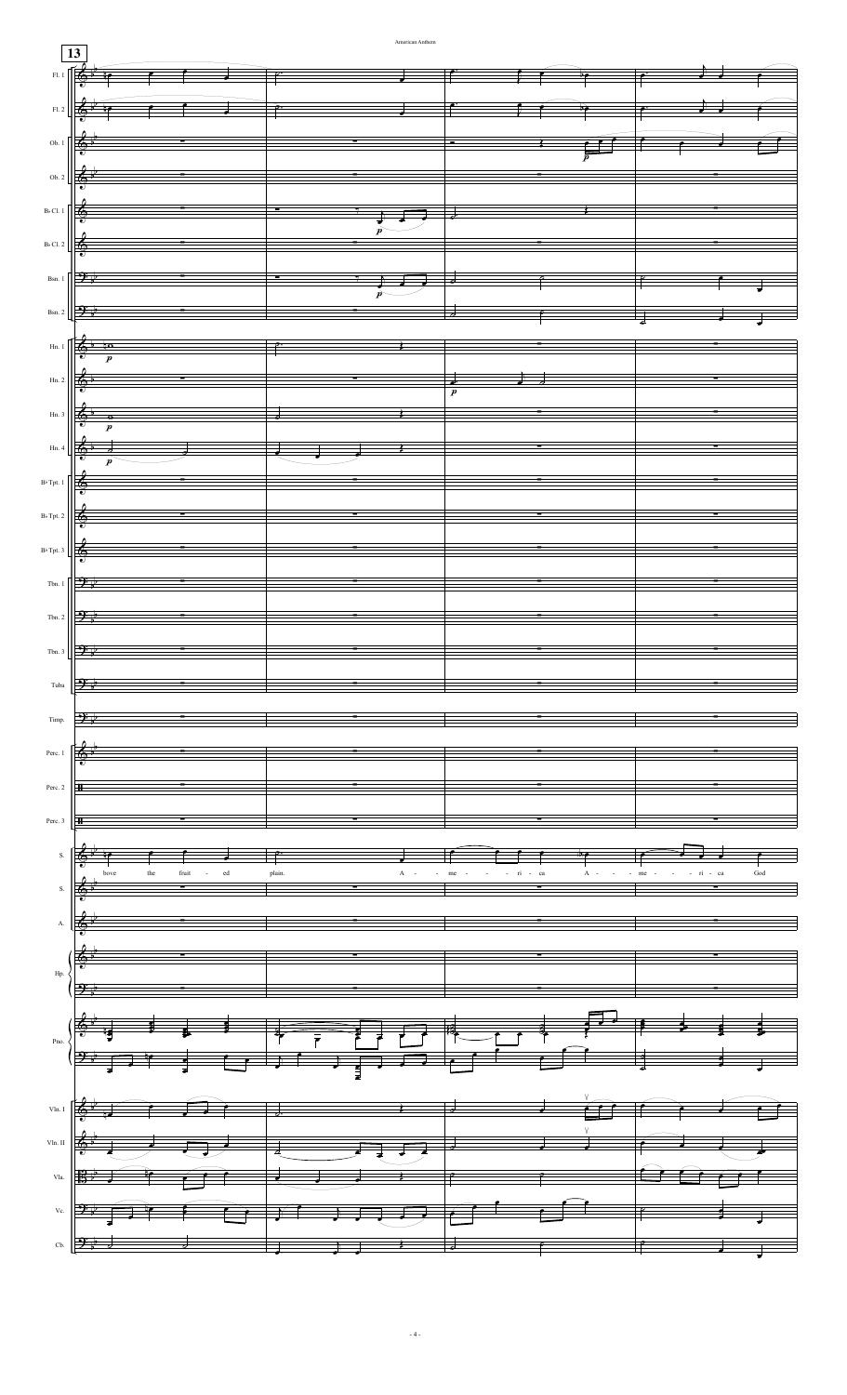

- 4 -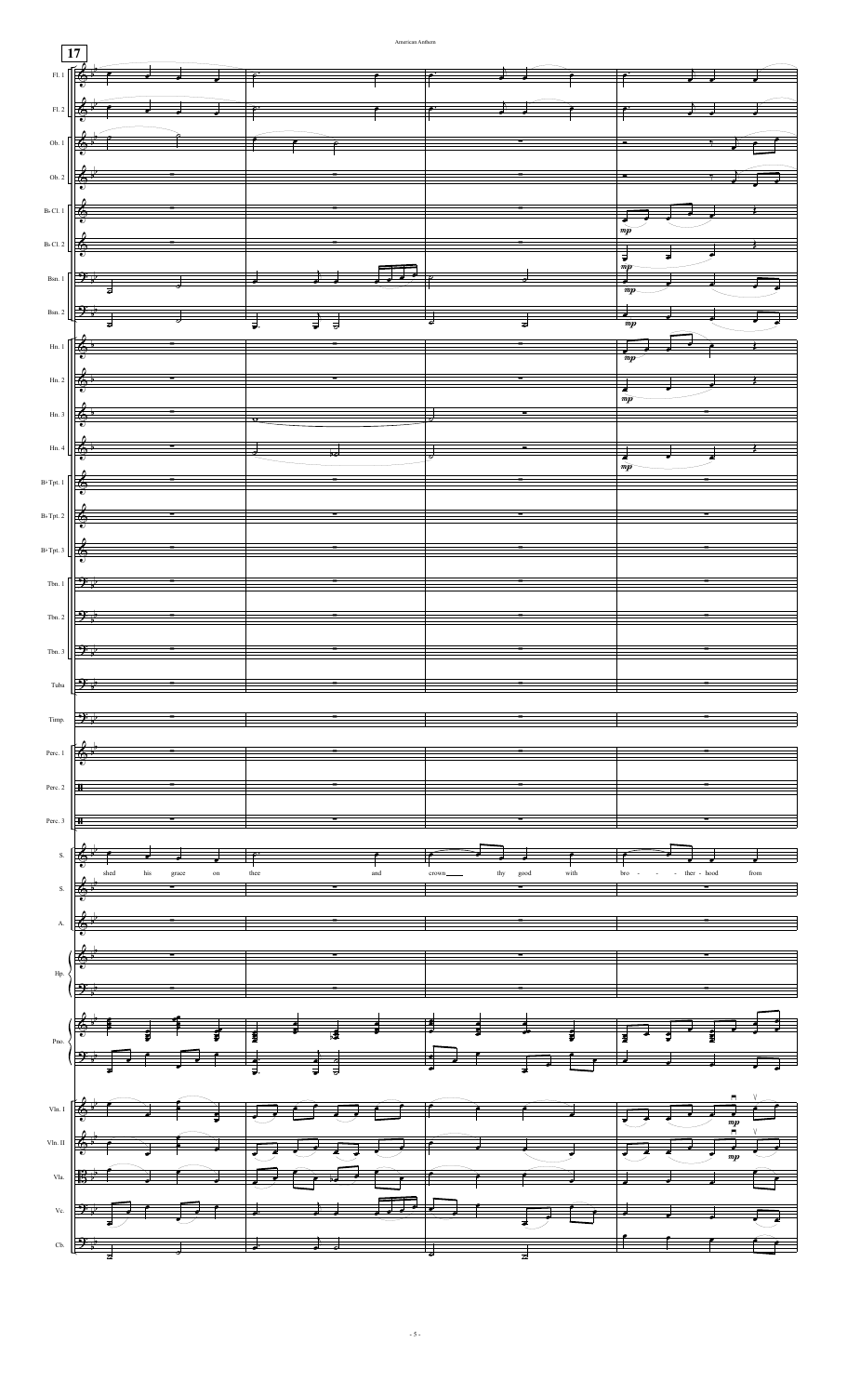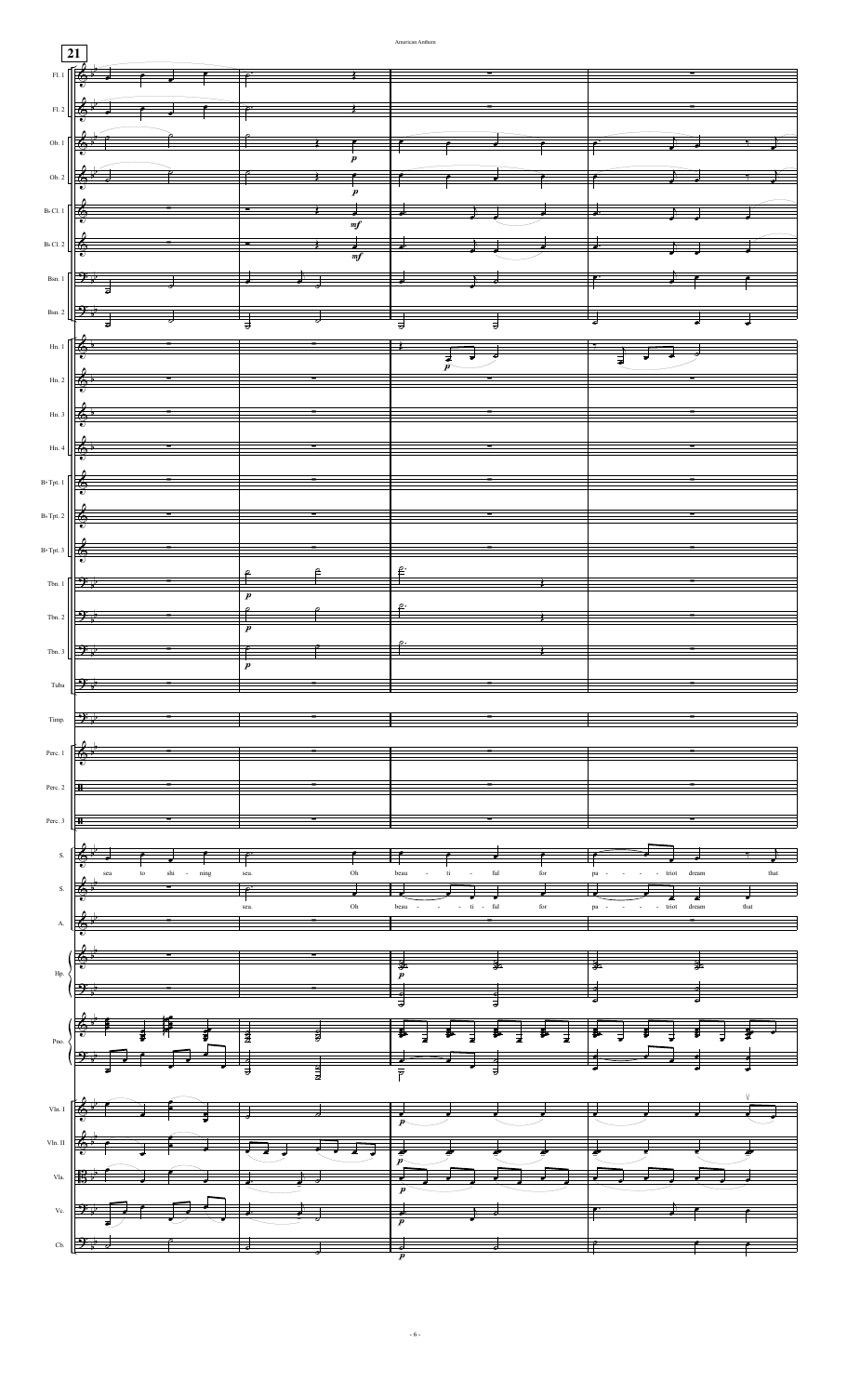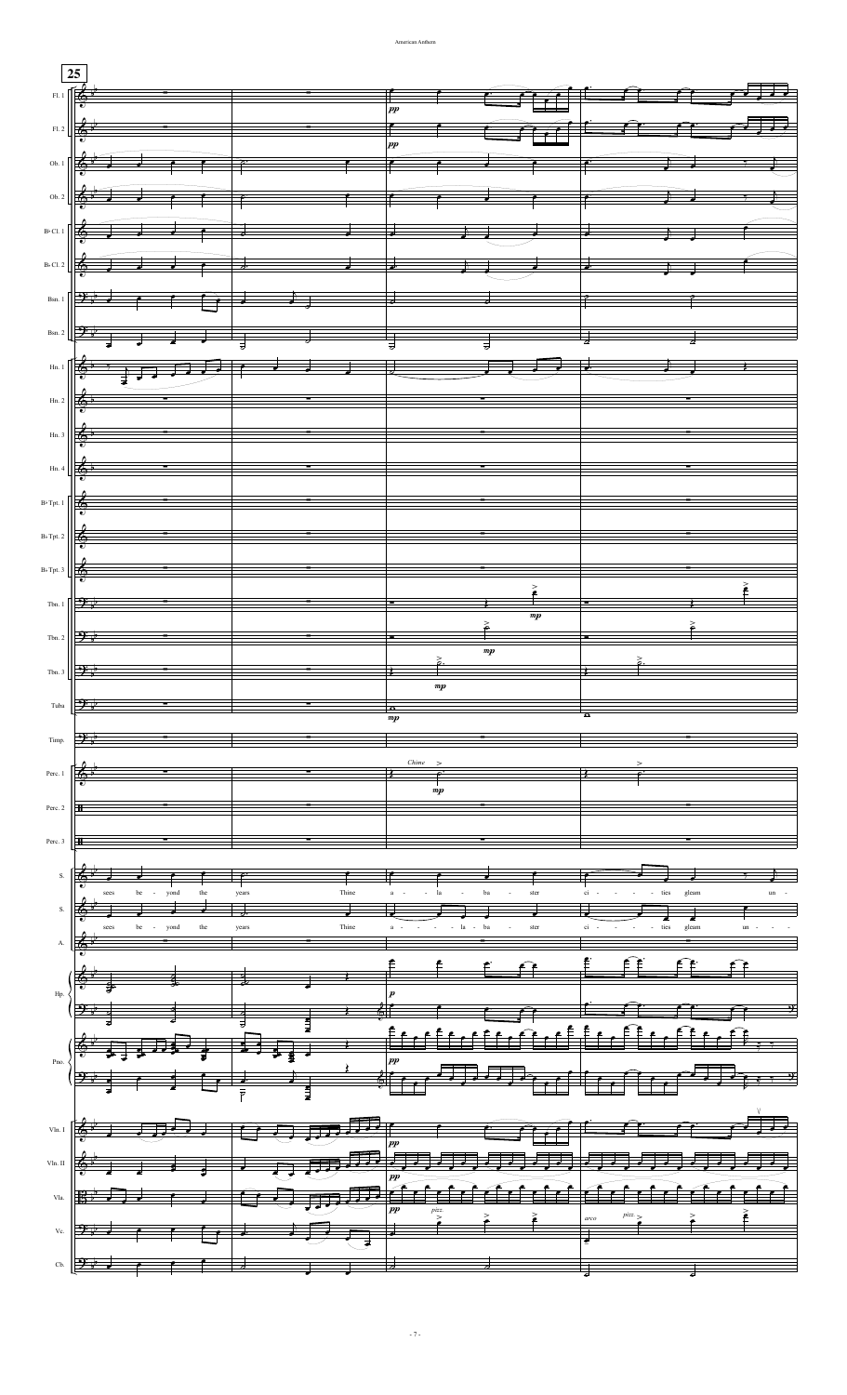|                           | 25                                                                                                                                                                                                                                                                                                                  |                          |                                                                                                                                                                                                                                                                                                                                                     |                                                                                                                                                                                                                                                                                                                                                                                                        |
|---------------------------|---------------------------------------------------------------------------------------------------------------------------------------------------------------------------------------------------------------------------------------------------------------------------------------------------------------------|--------------------------|-----------------------------------------------------------------------------------------------------------------------------------------------------------------------------------------------------------------------------------------------------------------------------------------------------------------------------------------------------|--------------------------------------------------------------------------------------------------------------------------------------------------------------------------------------------------------------------------------------------------------------------------------------------------------------------------------------------------------------------------------------------------------|
| Fl.1                      |                                                                                                                                                                                                                                                                                                                     |                          |                                                                                                                                                                                                                                                                                                                                                     | <u>to principal de p</u>                                                                                                                                                                                                                                                                                                                                                                               |
|                           | FL.2                                                                                                                                                                                                                                                                                                                |                          |                                                                                                                                                                                                                                                                                                                                                     | $\frac{1}{p}$ and $\frac{1}{p}$ and $\frac{1}{p}$ and $\frac{1}{p}$ and $\frac{1}{p}$ and $\frac{1}{p}$ and $\frac{1}{p}$ and $\frac{1}{p}$ and $\frac{1}{p}$ and $\frac{1}{p}$ and $\frac{1}{p}$ and $\frac{1}{p}$ and $\frac{1}{p}$ and $\frac{1}{p}$ and $\frac{1}{p}$ and $\frac{1}{p}$ a                                                                                                          |
|                           |                                                                                                                                                                                                                                                                                                                     |                          |                                                                                                                                                                                                                                                                                                                                                     |                                                                                                                                                                                                                                                                                                                                                                                                        |
|                           |                                                                                                                                                                                                                                                                                                                     |                          |                                                                                                                                                                                                                                                                                                                                                     |                                                                                                                                                                                                                                                                                                                                                                                                        |
|                           |                                                                                                                                                                                                                                                                                                                     |                          |                                                                                                                                                                                                                                                                                                                                                     | $\cdot$ . The set of $\cdot$                                                                                                                                                                                                                                                                                                                                                                           |
|                           |                                                                                                                                                                                                                                                                                                                     |                          | $\frac{1}{2}$ $\frac{1}{2}$ $\frac{1}{2}$ $\frac{1}{2}$ $\frac{1}{2}$                                                                                                                                                                                                                                                                               | $\overline{\phantom{a}}$                                                                                                                                                                                                                                                                                                                                                                               |
|                           |                                                                                                                                                                                                                                                                                                                     |                          |                                                                                                                                                                                                                                                                                                                                                     |                                                                                                                                                                                                                                                                                                                                                                                                        |
|                           |                                                                                                                                                                                                                                                                                                                     |                          | $B \times 12$                                                                                                                                                                                                                                                                                                                                       |                                                                                                                                                                                                                                                                                                                                                                                                        |
|                           | $B_{\rm Sn,1}$ $\left  \frac{1}{2} \frac{1}{p} \frac{1}{p} \right $ $\left  \frac{1}{p} \right $ $\left  \frac{1}{p} \right $ $\left  \frac{1}{p} \right $ $\left  \frac{1}{p} \right $ $\left  \frac{1}{p} \right $ $\left  \frac{1}{p} \right $                                                                   |                          | $\overline{\phantom{a}}$                                                                                                                                                                                                                                                                                                                            |                                                                                                                                                                                                                                                                                                                                                                                                        |
|                           |                                                                                                                                                                                                                                                                                                                     |                          | $Ban 2$ $\left[\frac{3a-2}{2a-1} - \frac{1}{2a-1} - \frac{1}{2a-1} - \frac{1}{2a-1} - \frac{1}{2a-1} - \frac{1}{2a-1} - \frac{1}{2a-1} - \frac{1}{2a-1} - \frac{1}{2a-1} - \frac{1}{2a-1} - \frac{1}{2a-1} - \frac{1}{2a-1} - \frac{1}{2a-1} - \frac{1}{2a-1} - \frac{1}{2a-1} - \frac{1}{2a-1} - \frac{1}{2a-1} - \frac{1}{2a-1} - \frac{1}{2a-1}$ |                                                                                                                                                                                                                                                                                                                                                                                                        |
|                           |                                                                                                                                                                                                                                                                                                                     |                          |                                                                                                                                                                                                                                                                                                                                                     |                                                                                                                                                                                                                                                                                                                                                                                                        |
|                           | $\frac{1}{2}$ $\frac{1}{2}$ $\frac{1}{2}$ $\frac{1}{2}$ $\frac{1}{2}$ $\frac{1}{2}$ $\frac{1}{2}$ $\frac{1}{2}$ $\frac{1}{2}$ $\frac{1}{2}$ $\frac{1}{2}$ $\frac{1}{2}$ $\frac{1}{2}$ $\frac{1}{2}$ $\frac{1}{2}$ $\frac{1}{2}$ $\frac{1}{2}$ $\frac{1}{2}$ $\frac{1}{2}$ $\frac{1}{2}$ $\frac{1}{2}$ $\frac{1}{2}$ |                          |                                                                                                                                                                                                                                                                                                                                                     |                                                                                                                                                                                                                                                                                                                                                                                                        |
|                           | Hn. 2                                                                                                                                                                                                                                                                                                               |                          |                                                                                                                                                                                                                                                                                                                                                     |                                                                                                                                                                                                                                                                                                                                                                                                        |
|                           | $\frac{3}{10}$                                                                                                                                                                                                                                                                                                      |                          |                                                                                                                                                                                                                                                                                                                                                     |                                                                                                                                                                                                                                                                                                                                                                                                        |
|                           | Hn.4                                                                                                                                                                                                                                                                                                                |                          |                                                                                                                                                                                                                                                                                                                                                     |                                                                                                                                                                                                                                                                                                                                                                                                        |
|                           |                                                                                                                                                                                                                                                                                                                     |                          |                                                                                                                                                                                                                                                                                                                                                     |                                                                                                                                                                                                                                                                                                                                                                                                        |
| $B \triangleright Tpt. 1$ |                                                                                                                                                                                                                                                                                                                     |                          |                                                                                                                                                                                                                                                                                                                                                     |                                                                                                                                                                                                                                                                                                                                                                                                        |
| $\overline{B}$ Tpt. 2     |                                                                                                                                                                                                                                                                                                                     |                          |                                                                                                                                                                                                                                                                                                                                                     |                                                                                                                                                                                                                                                                                                                                                                                                        |
| $B \triangleright$ Tpt. 3 |                                                                                                                                                                                                                                                                                                                     |                          |                                                                                                                                                                                                                                                                                                                                                     |                                                                                                                                                                                                                                                                                                                                                                                                        |
|                           | $\mathcal{Y}$                                                                                                                                                                                                                                                                                                       |                          |                                                                                                                                                                                                                                                                                                                                                     |                                                                                                                                                                                                                                                                                                                                                                                                        |
| Tbn. $\boldsymbol{1}$     |                                                                                                                                                                                                                                                                                                                     |                          |                                                                                                                                                                                                                                                                                                                                                     |                                                                                                                                                                                                                                                                                                                                                                                                        |
| Tbn. $2$                  | $\mathcal{P}$                                                                                                                                                                                                                                                                                                       |                          | $_{mp}$                                                                                                                                                                                                                                                                                                                                             |                                                                                                                                                                                                                                                                                                                                                                                                        |
|                           | Tbn. 3 $\left \left \frac{\partial \cdot}{\partial \cdot}\right \right $                                                                                                                                                                                                                                            |                          |                                                                                                                                                                                                                                                                                                                                                     |                                                                                                                                                                                                                                                                                                                                                                                                        |
| Tuba                      |                                                                                                                                                                                                                                                                                                                     |                          |                                                                                                                                                                                                                                                                                                                                                     |                                                                                                                                                                                                                                                                                                                                                                                                        |
|                           |                                                                                                                                                                                                                                                                                                                     |                          | mp                                                                                                                                                                                                                                                                                                                                                  |                                                                                                                                                                                                                                                                                                                                                                                                        |
| Timp                      |                                                                                                                                                                                                                                                                                                                     |                          |                                                                                                                                                                                                                                                                                                                                                     |                                                                                                                                                                                                                                                                                                                                                                                                        |
| Perc. 1                   |                                                                                                                                                                                                                                                                                                                     |                          |                                                                                                                                                                                                                                                                                                                                                     |                                                                                                                                                                                                                                                                                                                                                                                                        |
| Perc. 2                   |                                                                                                                                                                                                                                                                                                                     |                          |                                                                                                                                                                                                                                                                                                                                                     |                                                                                                                                                                                                                                                                                                                                                                                                        |
| Perc. 3                   |                                                                                                                                                                                                                                                                                                                     |                          |                                                                                                                                                                                                                                                                                                                                                     |                                                                                                                                                                                                                                                                                                                                                                                                        |
|                           |                                                                                                                                                                                                                                                                                                                     |                          |                                                                                                                                                                                                                                                                                                                                                     |                                                                                                                                                                                                                                                                                                                                                                                                        |
|                           |                                                                                                                                                                                                                                                                                                                     |                          |                                                                                                                                                                                                                                                                                                                                                     |                                                                                                                                                                                                                                                                                                                                                                                                        |
|                           |                                                                                                                                                                                                                                                                                                                     | Thine                    |                                                                                                                                                                                                                                                                                                                                                     |                                                                                                                                                                                                                                                                                                                                                                                                        |
|                           |                                                                                                                                                                                                                                                                                                                     |                          |                                                                                                                                                                                                                                                                                                                                                     |                                                                                                                                                                                                                                                                                                                                                                                                        |
|                           |                                                                                                                                                                                                                                                                                                                     |                          |                                                                                                                                                                                                                                                                                                                                                     |                                                                                                                                                                                                                                                                                                                                                                                                        |
|                           |                                                                                                                                                                                                                                                                                                                     |                          |                                                                                                                                                                                                                                                                                                                                                     |                                                                                                                                                                                                                                                                                                                                                                                                        |
|                           |                                                                                                                                                                                                                                                                                                                     |                          |                                                                                                                                                                                                                                                                                                                                                     |                                                                                                                                                                                                                                                                                                                                                                                                        |
|                           |                                                                                                                                                                                                                                                                                                                     |                          |                                                                                                                                                                                                                                                                                                                                                     |                                                                                                                                                                                                                                                                                                                                                                                                        |
|                           |                                                                                                                                                                                                                                                                                                                     |                          |                                                                                                                                                                                                                                                                                                                                                     | $\begin{pmatrix} 1 & 1 & 1 & 1 \\ \frac{2}{3} & \frac{1}{2} & \frac{1}{3} & \frac{1}{3} & \frac{1}{3} & \frac{1}{3} & \frac{1}{3} & \frac{1}{3} & \frac{1}{3} & \frac{1}{3} & \frac{1}{3} & \frac{1}{3} & \frac{1}{3} & \frac{1}{3} & \frac{1}{3} & \frac{1}{3} & \frac{1}{3} & \frac{1}{3} & \frac{1}{3} & \frac{1}{3} & \frac{1}{3} & \frac{1}{3} & \frac{1}{3} & \frac{1}{3} & \frac{1}{3} & \frac$ |
|                           |                                                                                                                                                                                                                                                                                                                     |                          |                                                                                                                                                                                                                                                                                                                                                     |                                                                                                                                                                                                                                                                                                                                                                                                        |
|                           |                                                                                                                                                                                                                                                                                                                     |                          |                                                                                                                                                                                                                                                                                                                                                     |                                                                                                                                                                                                                                                                                                                                                                                                        |
|                           |                                                                                                                                                                                                                                                                                                                     |                          |                                                                                                                                                                                                                                                                                                                                                     | $\overline{a}$ , $\overline{a}$ , $\overline{a}$ , $\overline{a}$ , $\overline{a}$ , $\overline{a}$ , $\overline{a}$                                                                                                                                                                                                                                                                                   |
|                           |                                                                                                                                                                                                                                                                                                                     |                          |                                                                                                                                                                                                                                                                                                                                                     |                                                                                                                                                                                                                                                                                                                                                                                                        |
| $Vla$ .                   |                                                                                                                                                                                                                                                                                                                     |                          |                                                                                                                                                                                                                                                                                                                                                     | $\mathbb{B}^{\frac{1}{2}}$ , and $\mathbb{C}$ , $\mathbb{C}$ , $\mathbb{C}$ , $\mathbb{C}$ , $\mathbb{C}$ , $\mathbb{C}$ , $\mathbb{C}$ , $\mathbb{C}$ , $\mathbb{C}$ , $\mathbb{C}$ , $\mathbb{C}$ , $\mathbb{C}$ , $\mathbb{C}$ , $\mathbb{C}$ , $\mathbb{C}$ , $\mathbb{C}$ , $\mathbb{C}$ , $\mathbb{C}$ ,                                                                                         |
| $\mbox{Vc.}$              | $\frac{1}{2}$                                                                                                                                                                                                                                                                                                       | $\overline{\phantom{a}}$ |                                                                                                                                                                                                                                                                                                                                                     |                                                                                                                                                                                                                                                                                                                                                                                                        |
|                           |                                                                                                                                                                                                                                                                                                                     |                          |                                                                                                                                                                                                                                                                                                                                                     |                                                                                                                                                                                                                                                                                                                                                                                                        |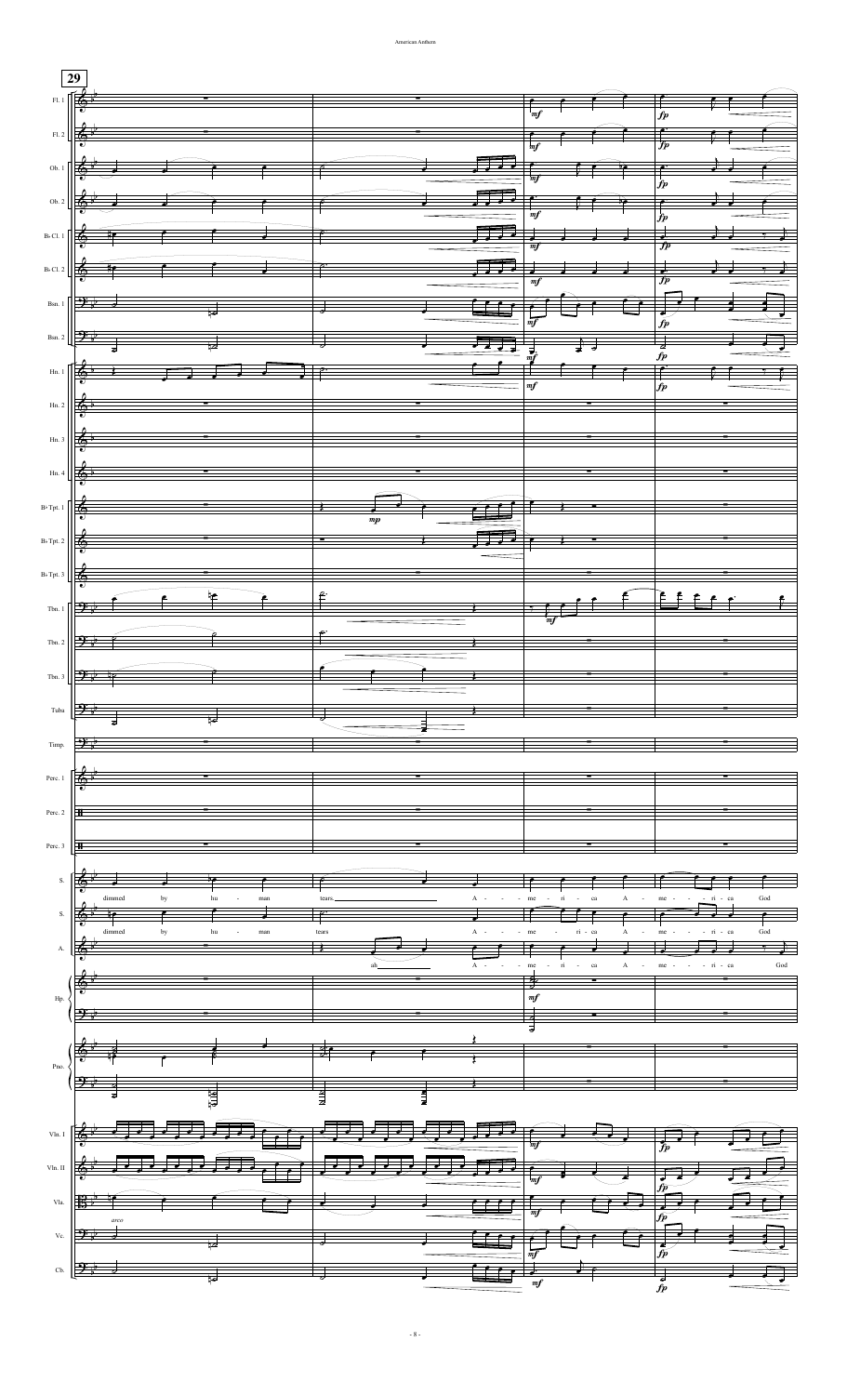erican Anthen

**29**

| $\rm{Fl.}$ $1$            | $\overline{\bullet}$                                                     |             |                                                                                                                                                                                                                                                                                                                     |                                 |                           |                                                                                                                                                                                                                                                                                                                                                                                                                                                                                                  |                                                                                                                                                                                                                                                                                                                                                                    |            | $\sharp_p$        |                                             |
|---------------------------|--------------------------------------------------------------------------|-------------|---------------------------------------------------------------------------------------------------------------------------------------------------------------------------------------------------------------------------------------------------------------------------------------------------------------------|---------------------------------|---------------------------|--------------------------------------------------------------------------------------------------------------------------------------------------------------------------------------------------------------------------------------------------------------------------------------------------------------------------------------------------------------------------------------------------------------------------------------------------------------------------------------------------|--------------------------------------------------------------------------------------------------------------------------------------------------------------------------------------------------------------------------------------------------------------------------------------------------------------------------------------------------------------------|------------|-------------------|---------------------------------------------|
|                           | F1.2                                                                     |             |                                                                                                                                                                                                                                                                                                                     |                                 |                           |                                                                                                                                                                                                                                                                                                                                                                                                                                                                                                  | $\int_{mf}$                                                                                                                                                                                                                                                                                                                                                        | $\int_{p}$ |                   |                                             |
|                           |                                                                          |             |                                                                                                                                                                                                                                                                                                                     |                                 |                           |                                                                                                                                                                                                                                                                                                                                                                                                                                                                                                  |                                                                                                                                                                                                                                                                                                                                                                    |            |                   |                                             |
|                           |                                                                          |             |                                                                                                                                                                                                                                                                                                                     |                                 |                           |                                                                                                                                                                                                                                                                                                                                                                                                                                                                                                  |                                                                                                                                                                                                                                                                                                                                                                    |            |                   |                                             |
|                           | $\int$ 0b. 2 $\left[\begin{array}{ccc} 2 & b & \cdot \end{array}\right]$ |             |                                                                                                                                                                                                                                                                                                                     |                                 |                           |                                                                                                                                                                                                                                                                                                                                                                                                                                                                                                  |                                                                                                                                                                                                                                                                                                                                                                    |            |                   |                                             |
|                           |                                                                          | $B_2$ Cl. 1 |                                                                                                                                                                                                                                                                                                                     |                                 |                           |                                                                                                                                                                                                                                                                                                                                                                                                                                                                                                  |                                                                                                                                                                                                                                                                                                                                                                    |            |                   |                                             |
|                           |                                                                          |             | $B/C.2$ $\theta$ $\theta$                                                                                                                                                                                                                                                                                           | $\frac{\partial}{\partial x^2}$ |                           |                                                                                                                                                                                                                                                                                                                                                                                                                                                                                                  | $\frac{1}{\sqrt{1-\frac{1}{n}}}$                                                                                                                                                                                                                                                                                                                                   |            |                   | $\frac{1}{\sqrt{p}}$ , $\frac{1}{\sqrt{p}}$ |
|                           |                                                                          |             |                                                                                                                                                                                                                                                                                                                     |                                 |                           |                                                                                                                                                                                                                                                                                                                                                                                                                                                                                                  |                                                                                                                                                                                                                                                                                                                                                                    |            |                   |                                             |
|                           | Bsn. 1 $\frac{1}{2}$                                                     |             |                                                                                                                                                                                                                                                                                                                     |                                 |                           |                                                                                                                                                                                                                                                                                                                                                                                                                                                                                                  |                                                                                                                                                                                                                                                                                                                                                                    |            |                   |                                             |
|                           | Bsn. 2 $\left  \frac{\partial^2}{\partial x^2} \right $                  |             | $\equiv$                                                                                                                                                                                                                                                                                                            |                                 |                           |                                                                                                                                                                                                                                                                                                                                                                                                                                                                                                  | $\begin{array}{c cccc}\n\hline\n\text{1} & \text{1} & \text{1} & \text{1} & \text{1} \\ \hline\n\text{2} & \text{1} & \text{1} & \text{1} & \text{1} \\ \hline\n\text{3} & \text{1} & \text{1} & \text{1} & \text{1} \\ \hline\n\text{4} & \text{1} & \text{1} & \text{1} & \text{1}\n\end{array}$                                                                 |            |                   |                                             |
|                           |                                                                          |             | $\frac{1}{2}$ $\frac{1}{2}$ $\frac{1}{2}$ $\frac{1}{2}$ $\frac{1}{2}$ $\frac{1}{2}$ $\frac{1}{2}$ $\frac{1}{2}$ $\frac{1}{2}$ $\frac{1}{2}$ $\frac{1}{2}$ $\frac{1}{2}$ $\frac{1}{2}$ $\frac{1}{2}$ $\frac{1}{2}$ $\frac{1}{2}$ $\frac{1}{2}$ $\frac{1}{2}$ $\frac{1}{2}$ $\frac{1}{2}$ $\frac{1}{2}$ $\frac{1}{2}$ |                                 |                           |                                                                                                                                                                                                                                                                                                                                                                                                                                                                                                  |                                                                                                                                                                                                                                                                                                                                                                    |            |                   |                                             |
|                           | $\lim_{2}$ $\left \left \left \left \right \right \right $               |             |                                                                                                                                                                                                                                                                                                                     |                                 |                           |                                                                                                                                                                                                                                                                                                                                                                                                                                                                                                  |                                                                                                                                                                                                                                                                                                                                                                    |            | $\boldsymbol{fp}$ |                                             |
|                           |                                                                          |             |                                                                                                                                                                                                                                                                                                                     |                                 |                           |                                                                                                                                                                                                                                                                                                                                                                                                                                                                                                  |                                                                                                                                                                                                                                                                                                                                                                    |            |                   |                                             |
|                           | Hn.3                                                                     |             |                                                                                                                                                                                                                                                                                                                     |                                 |                           |                                                                                                                                                                                                                                                                                                                                                                                                                                                                                                  |                                                                                                                                                                                                                                                                                                                                                                    |            |                   |                                             |
|                           | Hn. 4 $\theta$                                                           |             |                                                                                                                                                                                                                                                                                                                     |                                 |                           |                                                                                                                                                                                                                                                                                                                                                                                                                                                                                                  |                                                                                                                                                                                                                                                                                                                                                                    |            |                   |                                             |
| $B \triangleright Tpt. 1$ |                                                                          |             |                                                                                                                                                                                                                                                                                                                     | $\rightarrow$                   | $\cdot$<br>$\frac{1}{mp}$ | $\leftarrow$ $\leftarrow$ $\leftarrow$ $\leftarrow$ $\leftarrow$ $\leftarrow$ $\leftarrow$ $\leftarrow$ $\leftarrow$ $\leftarrow$ $\leftarrow$ $\leftarrow$ $\leftarrow$ $\leftarrow$ $\leftarrow$ $\leftarrow$ $\leftarrow$ $\leftarrow$ $\leftarrow$ $\leftarrow$ $\leftarrow$ $\leftarrow$ $\leftarrow$ $\leftarrow$ $\leftarrow$ $\leftarrow$ $\leftarrow$ $\leftarrow$ $\leftarrow$ $\leftarrow$ $\leftarrow$ $\leftarrow$ $\leftarrow$ $\leftarrow$ $\leftarrow$ $\leftarrow$ $\leftarrow$ |                                                                                                                                                                                                                                                                                                                                                                    |            |                   |                                             |
|                           |                                                                          |             |                                                                                                                                                                                                                                                                                                                     |                                 |                           |                                                                                                                                                                                                                                                                                                                                                                                                                                                                                                  |                                                                                                                                                                                                                                                                                                                                                                    |            |                   |                                             |
| $\overline{B}$ Tpt. 2     |                                                                          |             |                                                                                                                                                                                                                                                                                                                     |                                 |                           | $\overline{\phantom{a}}$                                                                                                                                                                                                                                                                                                                                                                                                                                                                         |                                                                                                                                                                                                                                                                                                                                                                    |            |                   |                                             |
| $B \rightarrow Tpt. 3$    |                                                                          |             |                                                                                                                                                                                                                                                                                                                     |                                 |                           |                                                                                                                                                                                                                                                                                                                                                                                                                                                                                                  |                                                                                                                                                                                                                                                                                                                                                                    |            |                   |                                             |
|                           | Tbn. 1 $\frac{1}{2}$                                                     |             |                                                                                                                                                                                                                                                                                                                     |                                 |                           |                                                                                                                                                                                                                                                                                                                                                                                                                                                                                                  | $\begin{picture}(180,10) \put(0,0){\vector(1,0){100}} \put(15,0){\vector(1,0){100}} \put(15,0){\vector(1,0){100}} \put(15,0){\vector(1,0){100}} \put(15,0){\vector(1,0){100}} \put(15,0){\vector(1,0){100}} \put(15,0){\vector(1,0){100}} \put(15,0){\vector(1,0){100}} \put(15,0){\vector(1,0){100}} \put(15,0){\vector(1,0){100}} \put(15,0){\vector(1,0){100}}$ |            |                   |                                             |
| Tbn. $2$                  | $9\cdot$                                                                 |             |                                                                                                                                                                                                                                                                                                                     |                                 |                           |                                                                                                                                                                                                                                                                                                                                                                                                                                                                                                  |                                                                                                                                                                                                                                                                                                                                                                    |            |                   |                                             |
|                           |                                                                          |             |                                                                                                                                                                                                                                                                                                                     |                                 |                           |                                                                                                                                                                                                                                                                                                                                                                                                                                                                                                  |                                                                                                                                                                                                                                                                                                                                                                    |            |                   |                                             |
| Tbn. $3$                  | $\mathcal{P} \models \models$                                            |             |                                                                                                                                                                                                                                                                                                                     | $\sim$ $\sim$                   |                           |                                                                                                                                                                                                                                                                                                                                                                                                                                                                                                  |                                                                                                                                                                                                                                                                                                                                                                    |            |                   |                                             |
| Tuba                      | $\overline{\mathbf{P}}$                                                  |             |                                                                                                                                                                                                                                                                                                                     |                                 |                           |                                                                                                                                                                                                                                                                                                                                                                                                                                                                                                  |                                                                                                                                                                                                                                                                                                                                                                    |            |                   |                                             |
| Timp.                     |                                                                          |             |                                                                                                                                                                                                                                                                                                                     |                                 |                           |                                                                                                                                                                                                                                                                                                                                                                                                                                                                                                  |                                                                                                                                                                                                                                                                                                                                                                    |            |                   |                                             |
|                           |                                                                          |             |                                                                                                                                                                                                                                                                                                                     |                                 |                           |                                                                                                                                                                                                                                                                                                                                                                                                                                                                                                  |                                                                                                                                                                                                                                                                                                                                                                    |            |                   |                                             |
| Perc. 1                   |                                                                          |             |                                                                                                                                                                                                                                                                                                                     |                                 |                           |                                                                                                                                                                                                                                                                                                                                                                                                                                                                                                  |                                                                                                                                                                                                                                                                                                                                                                    |            |                   |                                             |
|                           |                                                                          |             |                                                                                                                                                                                                                                                                                                                     |                                 |                           |                                                                                                                                                                                                                                                                                                                                                                                                                                                                                                  |                                                                                                                                                                                                                                                                                                                                                                    |            |                   |                                             |
| Perc. 2                   | ╫                                                                        |             |                                                                                                                                                                                                                                                                                                                     |                                 |                           |                                                                                                                                                                                                                                                                                                                                                                                                                                                                                                  |                                                                                                                                                                                                                                                                                                                                                                    |            |                   |                                             |
| Perc. 3                   | - 11                                                                     |             |                                                                                                                                                                                                                                                                                                                     |                                 |                           |                                                                                                                                                                                                                                                                                                                                                                                                                                                                                                  |                                                                                                                                                                                                                                                                                                                                                                    |            |                   |                                             |
| S.                        |                                                                          |             |                                                                                                                                                                                                                                                                                                                     |                                 |                           |                                                                                                                                                                                                                                                                                                                                                                                                                                                                                                  |                                                                                                                                                                                                                                                                                                                                                                    |            |                   |                                             |
|                           | dimmed                                                                   | by          | man                                                                                                                                                                                                                                                                                                                 |                                 |                           |                                                                                                                                                                                                                                                                                                                                                                                                                                                                                                  |                                                                                                                                                                                                                                                                                                                                                                    |            |                   | God                                         |
|                           | dimmed                                                                   | by          | man                                                                                                                                                                                                                                                                                                                 | tears                           |                           |                                                                                                                                                                                                                                                                                                                                                                                                                                                                                                  |                                                                                                                                                                                                                                                                                                                                                                    |            |                   | God                                         |
|                           |                                                                          |             |                                                                                                                                                                                                                                                                                                                     |                                 |                           | A -                                                                                                                                                                                                                                                                                                                                                                                                                                                                                              |                                                                                                                                                                                                                                                                                                                                                                    | А          |                   | God<br>ca                                   |
|                           |                                                                          |             |                                                                                                                                                                                                                                                                                                                     |                                 |                           |                                                                                                                                                                                                                                                                                                                                                                                                                                                                                                  |                                                                                                                                                                                                                                                                                                                                                                    |            |                   |                                             |
| Hp.                       |                                                                          |             |                                                                                                                                                                                                                                                                                                                     |                                 |                           |                                                                                                                                                                                                                                                                                                                                                                                                                                                                                                  | m f                                                                                                                                                                                                                                                                                                                                                                |            |                   |                                             |
|                           |                                                                          |             |                                                                                                                                                                                                                                                                                                                     |                                 |                           |                                                                                                                                                                                                                                                                                                                                                                                                                                                                                                  |                                                                                                                                                                                                                                                                                                                                                                    |            |                   |                                             |
| Pno.                      |                                                                          |             |                                                                                                                                                                                                                                                                                                                     |                                 |                           |                                                                                                                                                                                                                                                                                                                                                                                                                                                                                                  |                                                                                                                                                                                                                                                                                                                                                                    |            |                   |                                             |
|                           |                                                                          |             |                                                                                                                                                                                                                                                                                                                     |                                 |                           |                                                                                                                                                                                                                                                                                                                                                                                                                                                                                                  |                                                                                                                                                                                                                                                                                                                                                                    |            |                   |                                             |
|                           |                                                                          |             | ान<br>जन्म                                                                                                                                                                                                                                                                                                          |                                 |                           |                                                                                                                                                                                                                                                                                                                                                                                                                                                                                                  |                                                                                                                                                                                                                                                                                                                                                                    |            |                   |                                             |
| Vln. I                    |                                                                          |             |                                                                                                                                                                                                                                                                                                                     |                                 |                           | $\cdot$ $\cdot$ $\cdot$                                                                                                                                                                                                                                                                                                                                                                                                                                                                          |                                                                                                                                                                                                                                                                                                                                                                    |            |                   |                                             |
| $Vln.$ II                 |                                                                          |             |                                                                                                                                                                                                                                                                                                                     |                                 | ≢                         | $\sim$ $\sim$ $\sim$ $\sim$                                                                                                                                                                                                                                                                                                                                                                                                                                                                      |                                                                                                                                                                                                                                                                                                                                                                    |            |                   |                                             |
| Vla                       |                                                                          |             |                                                                                                                                                                                                                                                                                                                     |                                 |                           |                                                                                                                                                                                                                                                                                                                                                                                                                                                                                                  |                                                                                                                                                                                                                                                                                                                                                                    |            |                   |                                             |
|                           | arco                                                                     |             |                                                                                                                                                                                                                                                                                                                     |                                 |                           | $\left  \right $                                                                                                                                                                                                                                                                                                                                                                                                                                                                                 |                                                                                                                                                                                                                                                                                                                                                                    |            |                   |                                             |
| Vc.                       | ジャ                                                                       |             |                                                                                                                                                                                                                                                                                                                     |                                 |                           |                                                                                                                                                                                                                                                                                                                                                                                                                                                                                                  |                                                                                                                                                                                                                                                                                                                                                                    |            |                   |                                             |
| Cb.                       |                                                                          |             |                                                                                                                                                                                                                                                                                                                     |                                 |                           |                                                                                                                                                                                                                                                                                                                                                                                                                                                                                                  | mf                                                                                                                                                                                                                                                                                                                                                                 |            | fp                |                                             |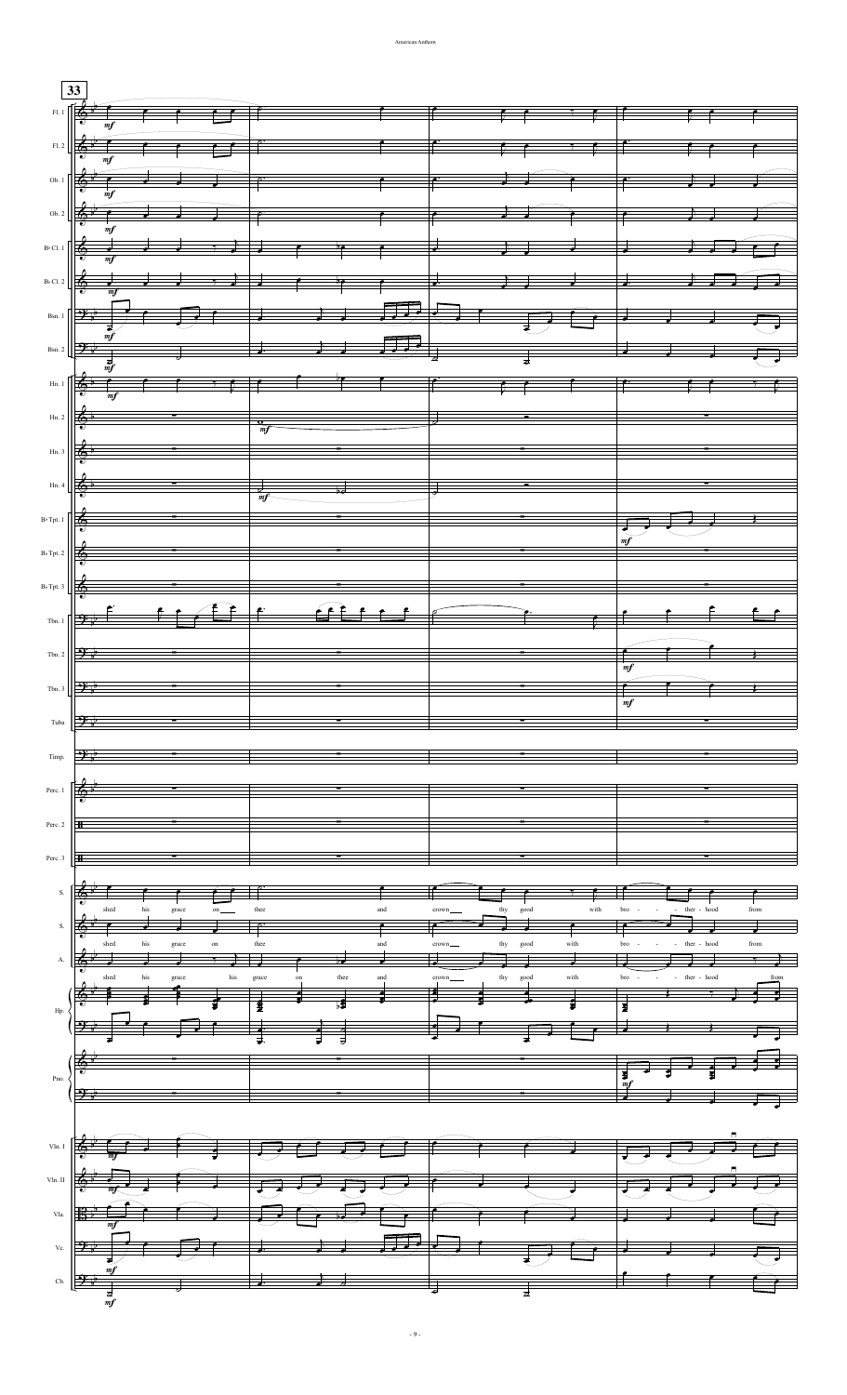œ œ œ œ œ œ œ œ œ œ œ œ œ œ œ œ ‰  $\downarrow$ œ œ ‰  $\Rightarrow$ œ œ œ œ ˙ è e œ ‰ Jœ ∑∑∑∑∑∑ ˙ . œ ˙ . œ ˙ . œ ˙ . œ œ œ b œ œ œ œ b œ œ œ . jœ œ œ œ œ œ œ .  $\Rightarrow$ œ œ œ œ œ œ œ b œ œ  $\frac{Q}{m}$ ∑  $\frac{1}{\sqrt{m}}$ b ˙ $\frac{m f}{m f}$ œ . Jœ œ ‰ Jœ œ . Jœ  $\overline{\phantom{a}}$ ‰ Jœ œ .  $\rightarrow$ œ œ œ .  $\rightarrow$ œ œ œ .  $\blacklozenge$ œ œ œ . jœ œ œ œ œ œ œ œ œ œ ˙ ˙ œ .  $\overline{\phantom{a}}$  $\overline{a}$ <u>i</u> ∑  $\overline{a}$ Ó œ . œ . œ . œ . œ . œ . œ œ œ . ₹<br>mf œ







- 9 -  $\mathcal{L}$ œ

 $\overline{\phantom{a}}$ 

jœ œ

jœ œ

 $\Rightarrow$ œ œ œ œ

 $\Rightarrow$ œ œ œ œ

Jœ œ

œ

œ

∑∑∑

œ

œ

œ

œ

œ

œ

œ œ

œ œ

‰

Œ

 $\mathcal{L}$ 

b b

 $F1.1$ 

**33**

 $F1.2$ 

Ob. 1

Ob. 2

B b Cl. 1

B b Cl. 2

Bsn. 1

Hn. 1

Hn. 2

Hn. 3

Hn. 4

 $\Phi$ 

B b Tpt. 1

Perc. 3

lie

b b

1∱

b b

b b

Bsn. 2 ||<del>D−5</del> b

 $\frac{1}{2}$ 

 $\frac{1}{m}$ 

œ

œ

œ

œ

œ

 $m f$ 

 $\overrightarrow{a}$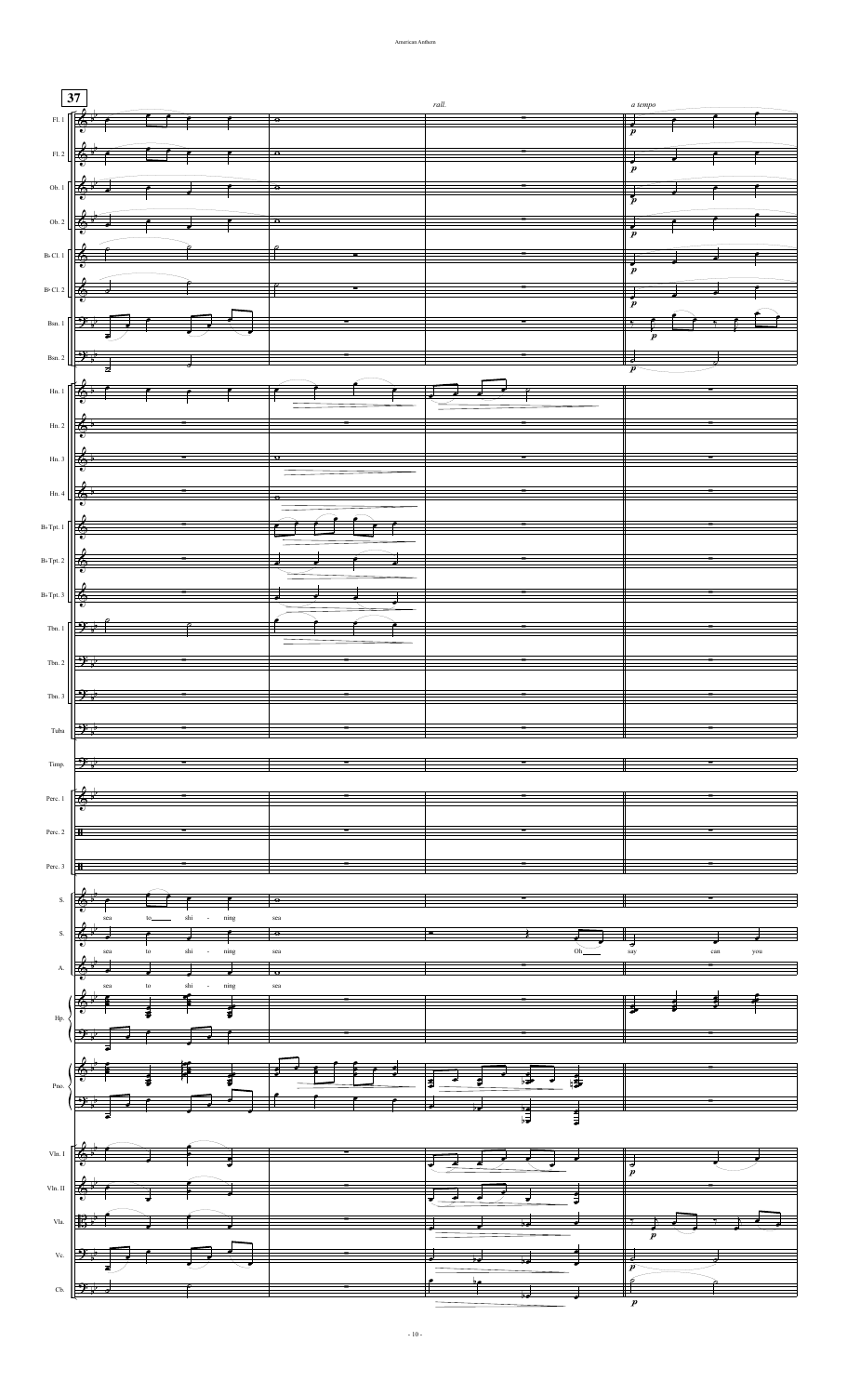|                            | 37                                                                                                                                                                                                                                                                                                                                                                   |                          |                                                                                                                                                                                                                                                                                                                                                                                                                                          |                                           | a tempo                                   |
|----------------------------|----------------------------------------------------------------------------------------------------------------------------------------------------------------------------------------------------------------------------------------------------------------------------------------------------------------------------------------------------------------------|--------------------------|------------------------------------------------------------------------------------------------------------------------------------------------------------------------------------------------------------------------------------------------------------------------------------------------------------------------------------------------------------------------------------------------------------------------------------------|-------------------------------------------|-------------------------------------------|
|                            | $F1.1$ $6$                                                                                                                                                                                                                                                                                                                                                           |                          |                                                                                                                                                                                                                                                                                                                                                                                                                                          |                                           |                                           |
| FL.2                       | $\frac{1}{2}$ . Let $\sim$                                                                                                                                                                                                                                                                                                                                           |                          |                                                                                                                                                                                                                                                                                                                                                                                                                                          |                                           |                                           |
|                            |                                                                                                                                                                                                                                                                                                                                                                      |                          |                                                                                                                                                                                                                                                                                                                                                                                                                                          |                                           | $\frac{1}{\sqrt{\frac{1}{p}}}$            |
|                            | Ob. 1 $\left  \bigotimes^{\mathfrak{p}} \mathfrak{p} \right $                                                                                                                                                                                                                                                                                                        |                          | $\qquad \qquad \bullet$ $\qquad \bullet$ $\qquad \bullet$                                                                                                                                                                                                                                                                                                                                                                                |                                           | ₽                                         |
|                            | $\frac{1}{\sqrt{2}}$ $\frac{1}{\sqrt{2}}$ $\frac{1}{\sqrt{2}}$ $\frac{1}{\sqrt{2}}$ $\frac{1}{\sqrt{2}}$ $\frac{1}{\sqrt{2}}$ $\frac{1}{\sqrt{2}}$ $\frac{1}{\sqrt{2}}$ $\frac{1}{\sqrt{2}}$ $\frac{1}{\sqrt{2}}$ $\frac{1}{\sqrt{2}}$ $\frac{1}{\sqrt{2}}$ $\frac{1}{\sqrt{2}}$ $\frac{1}{\sqrt{2}}$ $\frac{1}{\sqrt{2}}$ $\frac{1}{\sqrt{2}}$ $\frac{1}{\sqrt{2}}$ |                          |                                                                                                                                                                                                                                                                                                                                                                                                                                          |                                           |                                           |
|                            |                                                                                                                                                                                                                                                                                                                                                                      |                          |                                                                                                                                                                                                                                                                                                                                                                                                                                          |                                           |                                           |
| $\mathbf{B}^{\flat}$ Cl. 1 |                                                                                                                                                                                                                                                                                                                                                                      |                          | $\frac{1}{2}$                                                                                                                                                                                                                                                                                                                                                                                                                            |                                           |                                           |
| $B \triangleright$ Cl. 2   |                                                                                                                                                                                                                                                                                                                                                                      |                          | $\overrightarrow{p}$ and $\overrightarrow{p}$ and $\overrightarrow{p}$ and $\overrightarrow{p}$ and $\overrightarrow{p}$ and $\overrightarrow{p}$ and $\overrightarrow{p}$ and $\overrightarrow{p}$ and $\overrightarrow{p}$ and $\overrightarrow{p}$ and $\overrightarrow{p}$ and $\overrightarrow{p}$ and $\overrightarrow{p}$ and $\overrightarrow{p}$ and $\overrightarrow{p}$ and $\overrightarrow{p}$ and $\overrightarrow{p}$ and |                                           |                                           |
|                            |                                                                                                                                                                                                                                                                                                                                                                      |                          |                                                                                                                                                                                                                                                                                                                                                                                                                                          |                                           |                                           |
|                            |                                                                                                                                                                                                                                                                                                                                                                      |                          | $\mathbb{E}_{\text{B}_{\text{S}}[1]}[1]$                                                                                                                                                                                                                                                                                                                                                                                                 |                                           | $\frac{1}{2}$ $\frac{1}{2}$ $\frac{1}{2}$ |
|                            |                                                                                                                                                                                                                                                                                                                                                                      |                          | $Bsn. 2 \left[ \frac{1}{\sqrt{2}} \frac{1}{r} \right]$                                                                                                                                                                                                                                                                                                                                                                                   |                                           | $\frac{1}{p}$                             |
|                            |                                                                                                                                                                                                                                                                                                                                                                      |                          |                                                                                                                                                                                                                                                                                                                                                                                                                                          |                                           |                                           |
|                            | $Hn. 1$ $\phi$                                                                                                                                                                                                                                                                                                                                                       |                          |                                                                                                                                                                                                                                                                                                                                                                                                                                          |                                           |                                           |
| Hn. $2\,$                  | $\phi$                                                                                                                                                                                                                                                                                                                                                               |                          |                                                                                                                                                                                                                                                                                                                                                                                                                                          |                                           |                                           |
| Hn. $3\,$                  | $\overline{\bullet}$                                                                                                                                                                                                                                                                                                                                                 |                          | $\overline{\phantom{a}}$ . The contract of $\overline{\phantom{a}}$ , $\overline{\phantom{a}}$ , $\overline{\phantom{a}}$ , $\overline{\phantom{a}}$ , $\overline{\phantom{a}}$ , $\overline{\phantom{a}}$ , $\overline{\phantom{a}}$ , $\overline{\phantom{a}}$ , $\overline{\phantom{a}}$ , $\overline{\phantom{a}}$ , $\overline{\phantom{a}}$ , $\overline{\phantom{a}}$ , $\overline{\phantom{a}}$ , $\overline{\phantom{a$         |                                           |                                           |
|                            |                                                                                                                                                                                                                                                                                                                                                                      |                          |                                                                                                                                                                                                                                                                                                                                                                                                                                          |                                           |                                           |
| Hn. $4$                    | <u> The Community of the Community of the Community of the Community of the Community of the Community of the Community of the Community of the Community of the Community of the Community of the Community of the Community of</u><br>$\overline{6}$                                                                                                               |                          |                                                                                                                                                                                                                                                                                                                                                                                                                                          |                                           |                                           |
| $B \triangleright$ Tpt. 1  |                                                                                                                                                                                                                                                                                                                                                                      |                          | $\overline{\phantom{a}}$                                                                                                                                                                                                                                                                                                                                                                                                                 |                                           |                                           |
|                            |                                                                                                                                                                                                                                                                                                                                                                      |                          |                                                                                                                                                                                                                                                                                                                                                                                                                                          |                                           |                                           |
| $B \triangleright$ Tpt. 2  | ∥≰                                                                                                                                                                                                                                                                                                                                                                   |                          | $\overline{\phantom{a}}$ , and the contract of $\overline{\phantom{a}}$                                                                                                                                                                                                                                                                                                                                                                  |                                           |                                           |
| B <sub>b</sub> Tpt. 3      |                                                                                                                                                                                                                                                                                                                                                                      |                          | $\overline{\phantom{a}}$ , and the set of $\overline{\phantom{a}}$                                                                                                                                                                                                                                                                                                                                                                       |                                           |                                           |
| Tbn. $1$                   | $\mathbf{P}$                                                                                                                                                                                                                                                                                                                                                         |                          |                                                                                                                                                                                                                                                                                                                                                                                                                                          |                                           |                                           |
|                            |                                                                                                                                                                                                                                                                                                                                                                      |                          |                                                                                                                                                                                                                                                                                                                                                                                                                                          |                                           |                                           |
| Tbn. $2$                   | $9 +$                                                                                                                                                                                                                                                                                                                                                                |                          |                                                                                                                                                                                                                                                                                                                                                                                                                                          |                                           |                                           |
|                            | Tbn. 3 $\left \left \frac{\partial \cdot}{\partial \cdot}\right \right $                                                                                                                                                                                                                                                                                             |                          |                                                                                                                                                                                                                                                                                                                                                                                                                                          |                                           |                                           |
| Tuba                       |                                                                                                                                                                                                                                                                                                                                                                      |                          |                                                                                                                                                                                                                                                                                                                                                                                                                                          |                                           |                                           |
|                            |                                                                                                                                                                                                                                                                                                                                                                      |                          |                                                                                                                                                                                                                                                                                                                                                                                                                                          |                                           |                                           |
|                            |                                                                                                                                                                                                                                                                                                                                                                      |                          |                                                                                                                                                                                                                                                                                                                                                                                                                                          |                                           |                                           |
| Timp.                      |                                                                                                                                                                                                                                                                                                                                                                      |                          |                                                                                                                                                                                                                                                                                                                                                                                                                                          |                                           |                                           |
| Perc. 1                    | $\bullet^{\circ}$                                                                                                                                                                                                                                                                                                                                                    |                          |                                                                                                                                                                                                                                                                                                                                                                                                                                          |                                           |                                           |
|                            |                                                                                                                                                                                                                                                                                                                                                                      |                          |                                                                                                                                                                                                                                                                                                                                                                                                                                          |                                           |                                           |
| Perc. 2                    |                                                                                                                                                                                                                                                                                                                                                                      |                          |                                                                                                                                                                                                                                                                                                                                                                                                                                          |                                           |                                           |
| Perc. 3                    | ⊞                                                                                                                                                                                                                                                                                                                                                                    |                          |                                                                                                                                                                                                                                                                                                                                                                                                                                          |                                           |                                           |
|                            |                                                                                                                                                                                                                                                                                                                                                                      |                          |                                                                                                                                                                                                                                                                                                                                                                                                                                          |                                           |                                           |
|                            | $s \left[ \frac{\sqrt{2}}{2} \right]$                                                                                                                                                                                                                                                                                                                                |                          | $\overline{\phantom{a}}$                                                                                                                                                                                                                                                                                                                                                                                                                 |                                           |                                           |
|                            | $\frac{1}{2}$ $\frac{1}{2}$ $\frac{1}{2}$ $\frac{1}{2}$ $\frac{1}{2}$ $\frac{1}{2}$ $\frac{1}{2}$ $\frac{1}{2}$ $\frac{1}{2}$ $\frac{1}{2}$ $\frac{1}{2}$ $\frac{1}{2}$ $\frac{1}{2}$ $\frac{1}{2}$ $\frac{1}{2}$ $\frac{1}{2}$ $\frac{1}{2}$ $\frac{1}{2}$ $\frac{1}{2}$ $\frac{1}{2}$ $\frac{1}{2}$ $\frac{1}{2}$                                                  | $\bullet$ $\bullet$      |                                                                                                                                                                                                                                                                                                                                                                                                                                          |                                           |                                           |
|                            |                                                                                                                                                                                                                                                                                                                                                                      |                          | sea                                                                                                                                                                                                                                                                                                                                                                                                                                      |                                           |                                           |
|                            | $\Delta$ $\left(\frac{1}{2}$ $\frac{1}{2}$ $\frac{1}{2}$ $\frac{1}{2}$                                                                                                                                                                                                                                                                                               |                          | $\overline{\phantom{a}}$                                                                                                                                                                                                                                                                                                                                                                                                                 |                                           |                                           |
|                            |                                                                                                                                                                                                                                                                                                                                                                      |                          |                                                                                                                                                                                                                                                                                                                                                                                                                                          |                                           |                                           |
|                            | $\begin{picture}(160,10) \put(0,0){\line(1,0){10}} \put(15,0){\line(1,0){10}} \put(15,0){\line(1,0){10}} \put(15,0){\line(1,0){10}} \put(15,0){\line(1,0){10}} \put(15,0){\line(1,0){10}} \put(15,0){\line(1,0){10}} \put(15,0){\line(1,0){10}} \put(15,0){\line(1,0){10}} \put(15,0){\line(1,0){10}} \put(15,0){\line(1,0){10}} \put(15,0){\line($                  |                          |                                                                                                                                                                                                                                                                                                                                                                                                                                          |                                           |                                           |
|                            |                                                                                                                                                                                                                                                                                                                                                                      |                          |                                                                                                                                                                                                                                                                                                                                                                                                                                          |                                           |                                           |
|                            |                                                                                                                                                                                                                                                                                                                                                                      |                          |                                                                                                                                                                                                                                                                                                                                                                                                                                          |                                           |                                           |
|                            |                                                                                                                                                                                                                                                                                                                                                                      |                          |                                                                                                                                                                                                                                                                                                                                                                                                                                          |                                           |                                           |
|                            |                                                                                                                                                                                                                                                                                                                                                                      |                          |                                                                                                                                                                                                                                                                                                                                                                                                                                          |                                           |                                           |
|                            |                                                                                                                                                                                                                                                                                                                                                                      |                          | $V_{\text{ln.1}}$ $\left[\begin{array}{ccc} \frac{1}{2} & \frac{1}{2} & \frac{1}{2} & \frac{1}{2} & \frac{1}{2} & \frac{1}{2} & \frac{1}{2} & \frac{1}{2} & \frac{1}{2} & \frac{1}{2} & \frac{1}{2} & \frac{1}{2} & \frac{1}{2} & \frac{1}{2} & \frac{1}{2} & \frac{1}{2} & \frac{1}{2} & \frac{1}{2} & \frac{1}{2} & \frac{1}{2} & \frac{1}{2} & \frac{1}{2} & \frac{1}{2} & \frac{1}{2} & \frac{1}{2}$                                 |                                           |                                           |
|                            |                                                                                                                                                                                                                                                                                                                                                                      |                          |                                                                                                                                                                                                                                                                                                                                                                                                                                          |                                           |                                           |
|                            | V[n, II]                                                                                                                                                                                                                                                                                                                                                             |                          | $\begin{array}{ c c c c c }\hline \quad \quad & \quad & \quad & \quad \quad & \quad \quad \\ \hline \end{array}$                                                                                                                                                                                                                                                                                                                         | $\overline{\phantom{a}}$                  |                                           |
|                            |                                                                                                                                                                                                                                                                                                                                                                      |                          |                                                                                                                                                                                                                                                                                                                                                                                                                                          | $\frac{1}{2}$ $\frac{1}{2}$ $\frac{1}{2}$ | $\frac{1}{\frac{1}{p}}$<br>$\mathbf{r}$   |
|                            |                                                                                                                                                                                                                                                                                                                                                                      |                          |                                                                                                                                                                                                                                                                                                                                                                                                                                          |                                           |                                           |
| Cb.                        | $\rightarrow$                                                                                                                                                                                                                                                                                                                                                        | $\overline{\phantom{a}}$ |                                                                                                                                                                                                                                                                                                                                                                                                                                          |                                           |                                           |

 $\sim 10$  -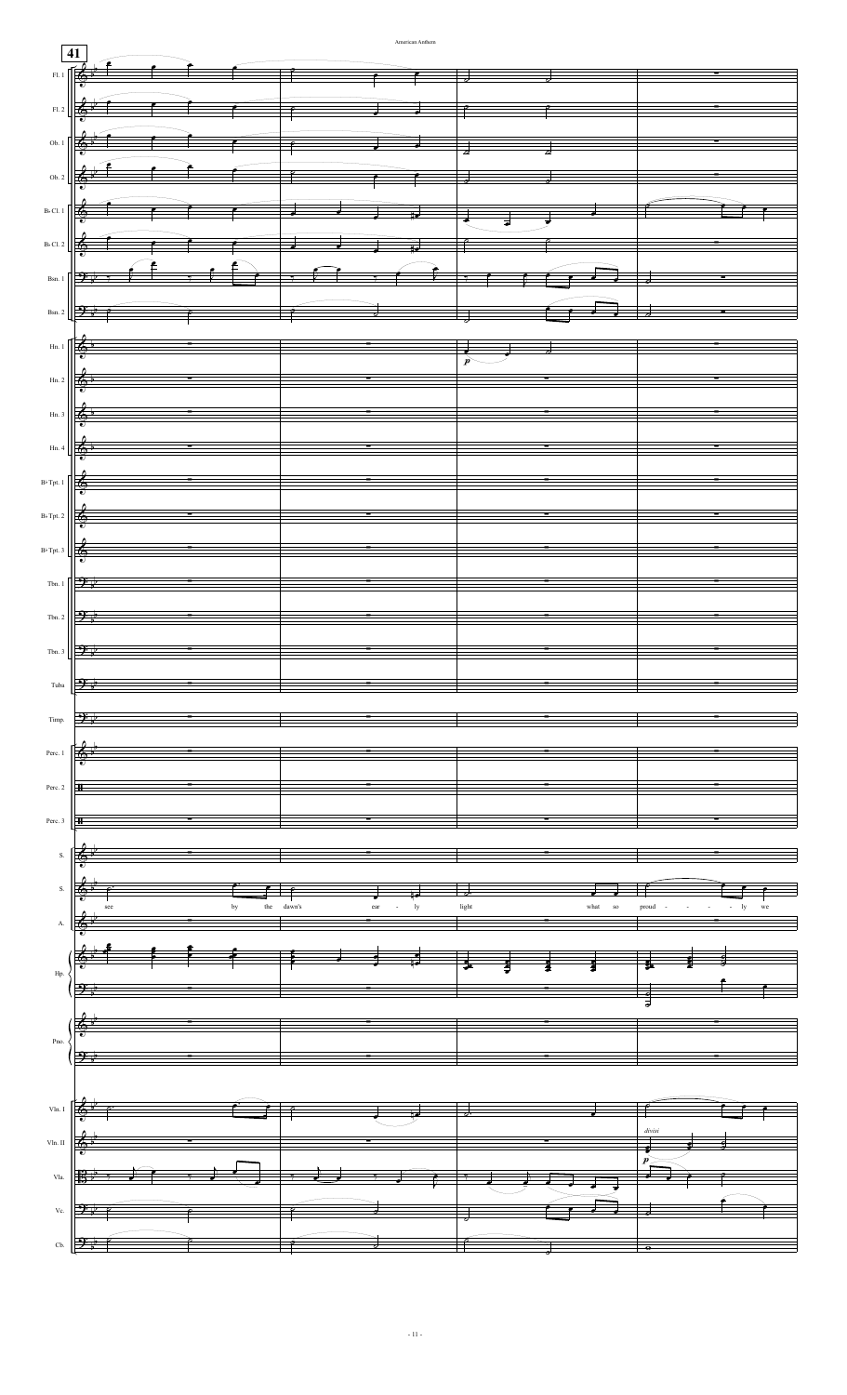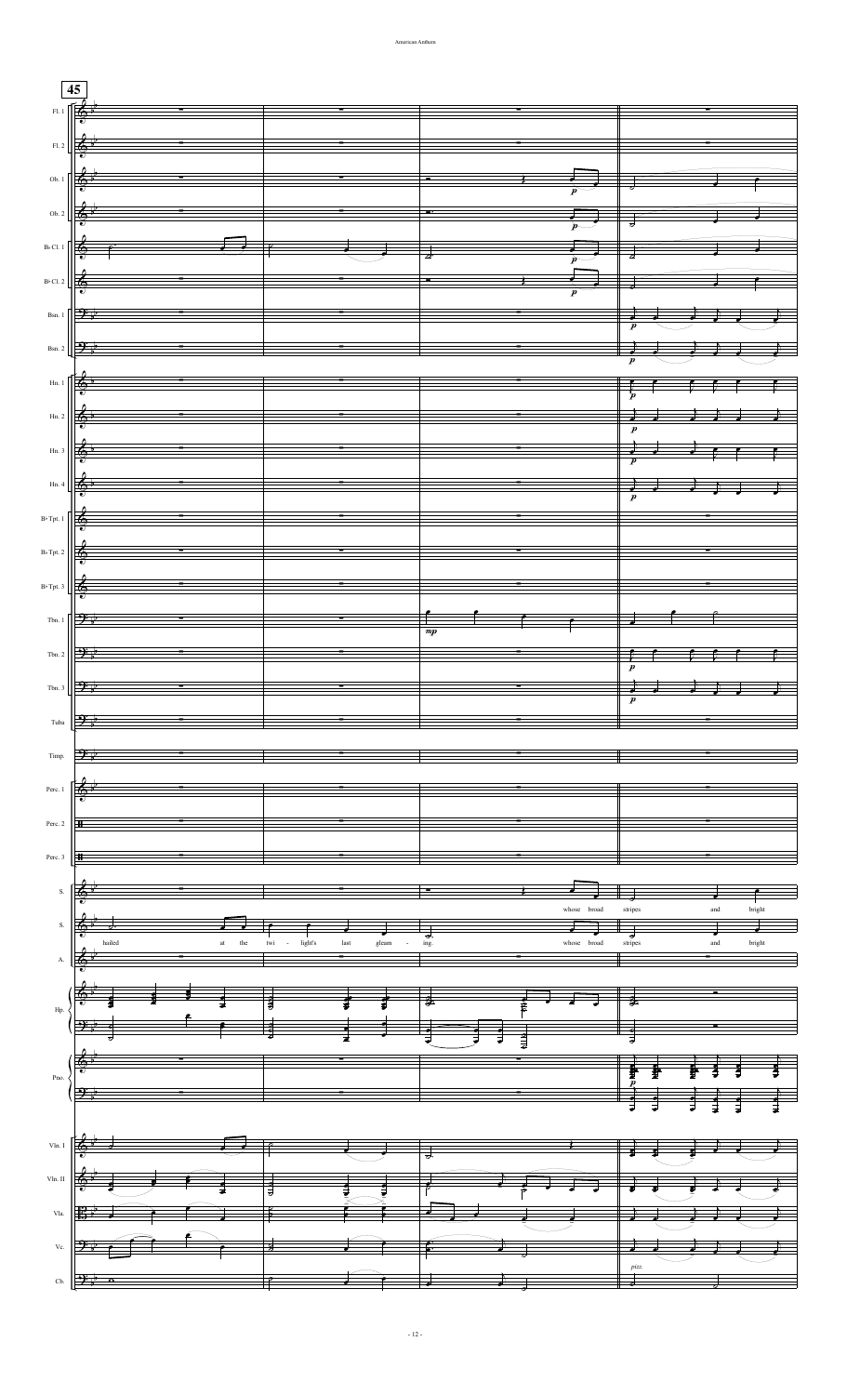|                                                       | 45                                                                                                                                                                                                                                                                                                                                                                                                                                        |                             |                                   |                          |              |               |                                                                                                                                                                                                                                                                                                                                                                                                                                                                                                                                                                                                                                                                                                                                                      |
|-------------------------------------------------------|-------------------------------------------------------------------------------------------------------------------------------------------------------------------------------------------------------------------------------------------------------------------------------------------------------------------------------------------------------------------------------------------------------------------------------------------|-----------------------------|-----------------------------------|--------------------------|--------------|---------------|------------------------------------------------------------------------------------------------------------------------------------------------------------------------------------------------------------------------------------------------------------------------------------------------------------------------------------------------------------------------------------------------------------------------------------------------------------------------------------------------------------------------------------------------------------------------------------------------------------------------------------------------------------------------------------------------------------------------------------------------------|
| FL.1                                                  |                                                                                                                                                                                                                                                                                                                                                                                                                                           |                             |                                   |                          |              |               |                                                                                                                                                                                                                                                                                                                                                                                                                                                                                                                                                                                                                                                                                                                                                      |
| F1.2                                                  |                                                                                                                                                                                                                                                                                                                                                                                                                                           |                             |                                   |                          |              |               |                                                                                                                                                                                                                                                                                                                                                                                                                                                                                                                                                                                                                                                                                                                                                      |
|                                                       |                                                                                                                                                                                                                                                                                                                                                                                                                                           |                             |                                   |                          |              |               |                                                                                                                                                                                                                                                                                                                                                                                                                                                                                                                                                                                                                                                                                                                                                      |
| Ob. 1                                                 |                                                                                                                                                                                                                                                                                                                                                                                                                                           |                             |                                   |                          |              | $\frac{1}{p}$ | $\overline{\phantom{a}}$                                                                                                                                                                                                                                                                                                                                                                                                                                                                                                                                                                                                                                                                                                                             |
|                                                       | Ob. 2                                                                                                                                                                                                                                                                                                                                                                                                                                     |                             |                                   |                          | $\mathbf{r}$ |               |                                                                                                                                                                                                                                                                                                                                                                                                                                                                                                                                                                                                                                                                                                                                                      |
|                                                       |                                                                                                                                                                                                                                                                                                                                                                                                                                           |                             |                                   |                          |              |               |                                                                                                                                                                                                                                                                                                                                                                                                                                                                                                                                                                                                                                                                                                                                                      |
| $B \triangleright C1.1$                               |                                                                                                                                                                                                                                                                                                                                                                                                                                           | $\overline{\phantom{a}}$    | $\overline{\phantom{a}}$          |                          |              |               |                                                                                                                                                                                                                                                                                                                                                                                                                                                                                                                                                                                                                                                                                                                                                      |
| $B \triangleright$ Cl. 2                              |                                                                                                                                                                                                                                                                                                                                                                                                                                           |                             |                                   | <u> Transformation (</u> |              |               |                                                                                                                                                                                                                                                                                                                                                                                                                                                                                                                                                                                                                                                                                                                                                      |
| Bsn. 1                                                |                                                                                                                                                                                                                                                                                                                                                                                                                                           |                             |                                   |                          |              |               |                                                                                                                                                                                                                                                                                                                                                                                                                                                                                                                                                                                                                                                                                                                                                      |
|                                                       |                                                                                                                                                                                                                                                                                                                                                                                                                                           |                             |                                   |                          |              |               |                                                                                                                                                                                                                                                                                                                                                                                                                                                                                                                                                                                                                                                                                                                                                      |
| <b>Bsn. 2</b>                                         | $\mathbb{D}$                                                                                                                                                                                                                                                                                                                                                                                                                              |                             |                                   |                          |              |               |                                                                                                                                                                                                                                                                                                                                                                                                                                                                                                                                                                                                                                                                                                                                                      |
|                                                       | Hn.1                                                                                                                                                                                                                                                                                                                                                                                                                                      |                             |                                   |                          |              |               | $\uparrow$ $\uparrow$                                                                                                                                                                                                                                                                                                                                                                                                                                                                                                                                                                                                                                                                                                                                |
|                                                       |                                                                                                                                                                                                                                                                                                                                                                                                                                           |                             |                                   |                          |              |               |                                                                                                                                                                                                                                                                                                                                                                                                                                                                                                                                                                                                                                                                                                                                                      |
|                                                       | $\frac{Hn.2}{4}$                                                                                                                                                                                                                                                                                                                                                                                                                          |                             |                                   |                          |              |               |                                                                                                                                                                                                                                                                                                                                                                                                                                                                                                                                                                                                                                                                                                                                                      |
|                                                       | Hn.3                                                                                                                                                                                                                                                                                                                                                                                                                                      |                             | <u> The Common Section (1989)</u> |                          |              |               |                                                                                                                                                                                                                                                                                                                                                                                                                                                                                                                                                                                                                                                                                                                                                      |
| Hn.4                                                  |                                                                                                                                                                                                                                                                                                                                                                                                                                           |                             |                                   |                          |              |               |                                                                                                                                                                                                                                                                                                                                                                                                                                                                                                                                                                                                                                                                                                                                                      |
|                                                       |                                                                                                                                                                                                                                                                                                                                                                                                                                           |                             |                                   |                          |              |               | $\frac{1}{p}$                                                                                                                                                                                                                                                                                                                                                                                                                                                                                                                                                                                                                                                                                                                                        |
| $B \triangleright$ Tpt. 1                             |                                                                                                                                                                                                                                                                                                                                                                                                                                           |                             |                                   |                          |              |               |                                                                                                                                                                                                                                                                                                                                                                                                                                                                                                                                                                                                                                                                                                                                                      |
| $B \triangleright$ Tpt. 2                             | ∥≰                                                                                                                                                                                                                                                                                                                                                                                                                                        | <u>a sa salawan sa sana</u> |                                   |                          |              |               |                                                                                                                                                                                                                                                                                                                                                                                                                                                                                                                                                                                                                                                                                                                                                      |
|                                                       |                                                                                                                                                                                                                                                                                                                                                                                                                                           |                             |                                   |                          |              |               |                                                                                                                                                                                                                                                                                                                                                                                                                                                                                                                                                                                                                                                                                                                                                      |
| $B \triangleright$ Tpt. 3 $\Box$                      |                                                                                                                                                                                                                                                                                                                                                                                                                                           |                             |                                   |                          |              |               |                                                                                                                                                                                                                                                                                                                                                                                                                                                                                                                                                                                                                                                                                                                                                      |
| Tbn. $1$                                              |                                                                                                                                                                                                                                                                                                                                                                                                                                           |                             |                                   |                          |              |               |                                                                                                                                                                                                                                                                                                                                                                                                                                                                                                                                                                                                                                                                                                                                                      |
|                                                       |                                                                                                                                                                                                                                                                                                                                                                                                                                           |                             |                                   |                          | mp           |               |                                                                                                                                                                                                                                                                                                                                                                                                                                                                                                                                                                                                                                                                                                                                                      |
| Tbn. 2                                                |                                                                                                                                                                                                                                                                                                                                                                                                                                           |                             |                                   |                          |              |               |                                                                                                                                                                                                                                                                                                                                                                                                                                                                                                                                                                                                                                                                                                                                                      |
|                                                       |                                                                                                                                                                                                                                                                                                                                                                                                                                           |                             |                                   |                          |              |               |                                                                                                                                                                                                                                                                                                                                                                                                                                                                                                                                                                                                                                                                                                                                                      |
| Tbn. 3 $\left \left \sum_{i=1}^{n} x_i\right \right $ |                                                                                                                                                                                                                                                                                                                                                                                                                                           |                             |                                   |                          |              |               |                                                                                                                                                                                                                                                                                                                                                                                                                                                                                                                                                                                                                                                                                                                                                      |
|                                                       |                                                                                                                                                                                                                                                                                                                                                                                                                                           |                             |                                   |                          |              |               | p                                                                                                                                                                                                                                                                                                                                                                                                                                                                                                                                                                                                                                                                                                                                                    |
| Tuba                                                  |                                                                                                                                                                                                                                                                                                                                                                                                                                           |                             |                                   |                          |              |               |                                                                                                                                                                                                                                                                                                                                                                                                                                                                                                                                                                                                                                                                                                                                                      |
| Timp.                                                 |                                                                                                                                                                                                                                                                                                                                                                                                                                           |                             |                                   |                          |              |               |                                                                                                                                                                                                                                                                                                                                                                                                                                                                                                                                                                                                                                                                                                                                                      |
|                                                       |                                                                                                                                                                                                                                                                                                                                                                                                                                           |                             |                                   |                          |              |               |                                                                                                                                                                                                                                                                                                                                                                                                                                                                                                                                                                                                                                                                                                                                                      |
|                                                       | Perc. 1 $\theta$                                                                                                                                                                                                                                                                                                                                                                                                                          |                             |                                   |                          |              |               |                                                                                                                                                                                                                                                                                                                                                                                                                                                                                                                                                                                                                                                                                                                                                      |
| Perc. 2                                               |                                                                                                                                                                                                                                                                                                                                                                                                                                           |                             |                                   |                          |              |               |                                                                                                                                                                                                                                                                                                                                                                                                                                                                                                                                                                                                                                                                                                                                                      |
| Perc. 3                                               | $\blacksquare$                                                                                                                                                                                                                                                                                                                                                                                                                            |                             |                                   |                          |              |               |                                                                                                                                                                                                                                                                                                                                                                                                                                                                                                                                                                                                                                                                                                                                                      |
|                                                       |                                                                                                                                                                                                                                                                                                                                                                                                                                           |                             |                                   |                          |              |               |                                                                                                                                                                                                                                                                                                                                                                                                                                                                                                                                                                                                                                                                                                                                                      |
|                                                       | s. $6^{\frac{1}{5}}$                                                                                                                                                                                                                                                                                                                                                                                                                      |                             |                                   |                          |              | whose broad   | bright                                                                                                                                                                                                                                                                                                                                                                                                                                                                                                                                                                                                                                                                                                                                               |
|                                                       |                                                                                                                                                                                                                                                                                                                                                                                                                                           |                             |                                   |                          |              |               |                                                                                                                                                                                                                                                                                                                                                                                                                                                                                                                                                                                                                                                                                                                                                      |
|                                                       | S. $\overrightarrow{B}$ and $\overrightarrow{B}$ and $\overrightarrow{C}$ and $\overrightarrow{C}$ and $\overrightarrow{C}$ and $\overrightarrow{C}$ and $\overrightarrow{C}$ and $\overrightarrow{C}$ and $\overrightarrow{C}$ and $\overrightarrow{C}$ and $\overrightarrow{C}$ and $\overrightarrow{C}$ and $\overrightarrow{C}$ and $\overrightarrow{C}$ and $\overrightarrow{C}$ and $\overrightarrow{C}$ and $\overrightarrow{C}$ a |                             |                                   |                          |              | whose broad   | and<br>bright<br>stripes                                                                                                                                                                                                                                                                                                                                                                                                                                                                                                                                                                                                                                                                                                                             |
|                                                       | $\mathbf{A}$                                                                                                                                                                                                                                                                                                                                                                                                                              |                             |                                   |                          |              |               |                                                                                                                                                                                                                                                                                                                                                                                                                                                                                                                                                                                                                                                                                                                                                      |
|                                                       |                                                                                                                                                                                                                                                                                                                                                                                                                                           |                             |                                   |                          |              |               |                                                                                                                                                                                                                                                                                                                                                                                                                                                                                                                                                                                                                                                                                                                                                      |
|                                                       |                                                                                                                                                                                                                                                                                                                                                                                                                                           |                             |                                   |                          |              |               |                                                                                                                                                                                                                                                                                                                                                                                                                                                                                                                                                                                                                                                                                                                                                      |
|                                                       |                                                                                                                                                                                                                                                                                                                                                                                                                                           |                             |                                   |                          |              |               |                                                                                                                                                                                                                                                                                                                                                                                                                                                                                                                                                                                                                                                                                                                                                      |
| Pno.                                                  | $\frac{2}{3}$                                                                                                                                                                                                                                                                                                                                                                                                                             |                             |                                   |                          |              |               | $\frac{1}{2}$<br>$\frac{1}{2}$ $\frac{1}{2}$ $\frac{1}{2}$ $\frac{1}{2}$ $\frac{1}{2}$                                                                                                                                                                                                                                                                                                                                                                                                                                                                                                                                                                                                                                                               |
|                                                       |                                                                                                                                                                                                                                                                                                                                                                                                                                           |                             |                                   |                          |              |               |                                                                                                                                                                                                                                                                                                                                                                                                                                                                                                                                                                                                                                                                                                                                                      |
|                                                       |                                                                                                                                                                                                                                                                                                                                                                                                                                           |                             |                                   |                          |              |               |                                                                                                                                                                                                                                                                                                                                                                                                                                                                                                                                                                                                                                                                                                                                                      |
|                                                       |                                                                                                                                                                                                                                                                                                                                                                                                                                           |                             |                                   |                          |              |               |                                                                                                                                                                                                                                                                                                                                                                                                                                                                                                                                                                                                                                                                                                                                                      |
|                                                       |                                                                                                                                                                                                                                                                                                                                                                                                                                           |                             |                                   |                          |              |               |                                                                                                                                                                                                                                                                                                                                                                                                                                                                                                                                                                                                                                                                                                                                                      |
|                                                       |                                                                                                                                                                                                                                                                                                                                                                                                                                           |                             |                                   |                          |              |               | $\mathcal{L}_{\text{min}}$ , $\mathcal{L}_{\text{min}}$ , $\mathcal{L}_{\text{min}}$ , $\mathcal{L}_{\text{min}}$ , $\mathcal{L}_{\text{min}}$ , $\mathcal{L}_{\text{min}}$ , $\mathcal{L}_{\text{min}}$ , $\mathcal{L}_{\text{min}}$ , $\mathcal{L}_{\text{min}}$ , $\mathcal{L}_{\text{min}}$ , $\mathcal{L}_{\text{min}}$ , $\mathcal{L}_{\text{min}}$ , $\mathcal{L}_{\text{min}}$ , $\mathcal{L}_{\text{min}}$                                                                                                                                                                                                                                                                                                                                  |
| $_{\rm Vla.}$                                         |                                                                                                                                                                                                                                                                                                                                                                                                                                           |                             |                                   |                          |              |               |                                                                                                                                                                                                                                                                                                                                                                                                                                                                                                                                                                                                                                                                                                                                                      |
|                                                       |                                                                                                                                                                                                                                                                                                                                                                                                                                           |                             |                                   |                          |              |               |                                                                                                                                                                                                                                                                                                                                                                                                                                                                                                                                                                                                                                                                                                                                                      |
|                                                       |                                                                                                                                                                                                                                                                                                                                                                                                                                           |                             |                                   |                          |              |               | $\mathbf{v}_c$ , $\mathbf{v}_c$ , $\mathbf{v}_c$ , $\mathbf{v}_c$ , $\mathbf{v}_c$ , $\mathbf{v}_c$ , $\mathbf{v}_c$ , $\mathbf{v}_c$ , $\mathbf{v}_c$ , $\mathbf{v}_c$ , $\mathbf{v}_c$ , $\mathbf{v}_c$ , $\mathbf{v}_c$ , $\mathbf{v}_c$ , $\mathbf{v}_c$ , $\mathbf{v}_c$ , $\mathbf{v}_c$ , $\mathbf{v}_c$ , $\mathbf{$<br>Cb. $\begin{array}{ c c c c c }\hline \textbf{1} & \textbf{0} & \textbf{0} & \textbf{0} & \textbf{0} & \textbf{0} & \textbf{0} & \textbf{0} & \textbf{0} & \textbf{0} & \textbf{0} & \textbf{0} & \textbf{0} & \textbf{0} & \textbf{0} & \textbf{0} & \textbf{0} & \textbf{0} & \textbf{0} & \textbf{0} & \textbf{0} & \textbf{0} & \textbf{0} & \textbf{0} & \textbf{0} & \textbf{0} & \textbf{0} & \textbf{0} & \$ |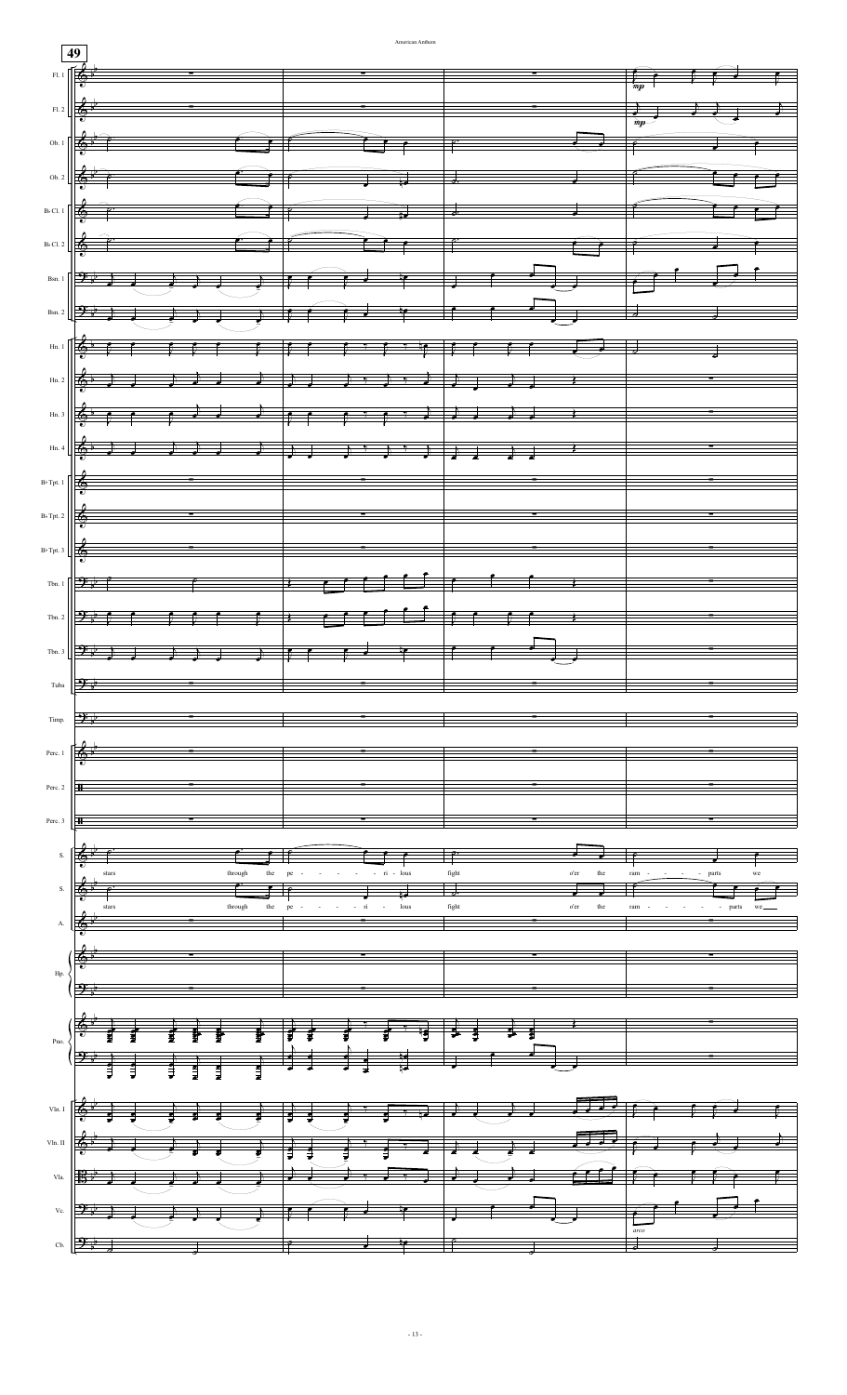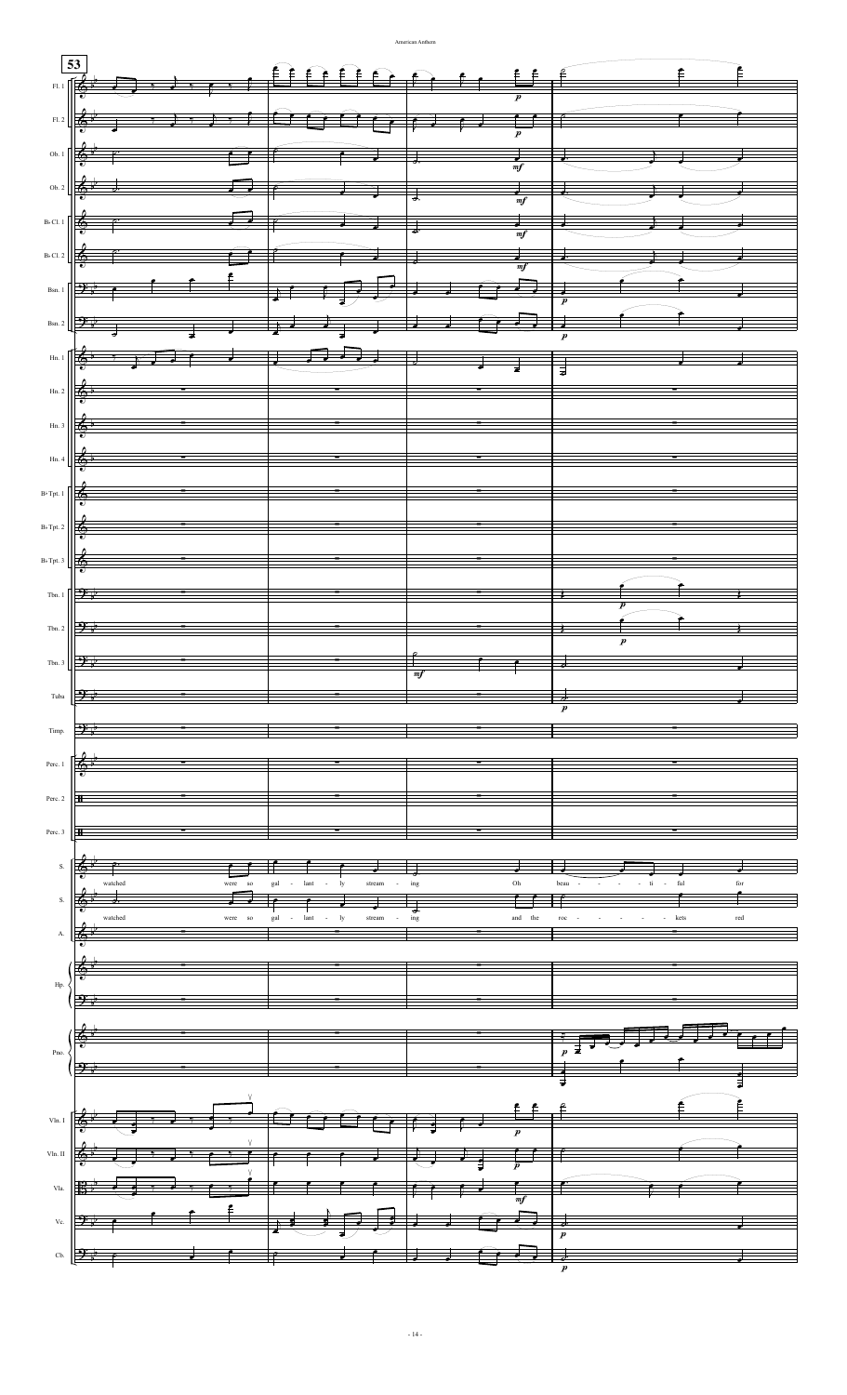|                                     | 53<br><u> 1999 – Johann Johann (Fried Edication of the film of the film of the second film of the second film of the second film of the second film of the second film of the second film of the second film of the second film of the</u>                                                                                                                               |                                                   |                                                                                                                                                                                                                                                                                                                                                                                                                         |                          |  |
|-------------------------------------|--------------------------------------------------------------------------------------------------------------------------------------------------------------------------------------------------------------------------------------------------------------------------------------------------------------------------------------------------------------------------|---------------------------------------------------|-------------------------------------------------------------------------------------------------------------------------------------------------------------------------------------------------------------------------------------------------------------------------------------------------------------------------------------------------------------------------------------------------------------------------|--------------------------|--|
|                                     |                                                                                                                                                                                                                                                                                                                                                                          |                                                   |                                                                                                                                                                                                                                                                                                                                                                                                                         |                          |  |
|                                     | FL2                                                                                                                                                                                                                                                                                                                                                                      |                                                   |                                                                                                                                                                                                                                                                                                                                                                                                                         |                          |  |
|                                     | Ob. 1                                                                                                                                                                                                                                                                                                                                                                    | $\bullet$ $\bullet$ $\bullet$ $\bullet$ $\bullet$ | $\frac{1}{\sqrt{1-\frac{1}{n}}}\frac{1}{n}$                                                                                                                                                                                                                                                                                                                                                                             |                          |  |
|                                     | Ob. 2 $\frac{1}{2}$                                                                                                                                                                                                                                                                                                                                                      |                                                   |                                                                                                                                                                                                                                                                                                                                                                                                                         | $\overline{\phantom{a}}$ |  |
| $B \triangleright$ Cl. 1            |                                                                                                                                                                                                                                                                                                                                                                          |                                                   | $\begin{array}{ c c c c c }\hline \rule{0pt}{16pt} & \rule{0pt}{16pt} \hline \rule{0pt}{2pt} & \rule{0pt}{2pt} \hline \rule{0pt}{2pt} & \rule{0pt}{2pt} \hline \rule{0pt}{2pt} & \rule{0pt}{2pt} \hline \rule{0pt}{2pt} & \rule{0pt}{2pt} \hline \rule{0pt}{2pt} & \rule{0pt}{2pt} \hline \rule{0pt}{2pt} & \rule{0pt}{2pt} \hline \rule{0pt}{2pt} & \rule{0pt}{2pt} \hline \rule{0pt}{2pt} & \rule{0pt}{2pt} \hline \$ |                          |  |
| $B \triangleright C1.2$             | $\begin{array}{ccc} \hline \uparrow & \hline \uparrow & \hline \end{array}$                                                                                                                                                                                                                                                                                              |                                                   | $\frac{1}{m}$                                                                                                                                                                                                                                                                                                                                                                                                           | ₹                        |  |
|                                     |                                                                                                                                                                                                                                                                                                                                                                          |                                                   |                                                                                                                                                                                                                                                                                                                                                                                                                         |                          |  |
|                                     |                                                                                                                                                                                                                                                                                                                                                                          |                                                   |                                                                                                                                                                                                                                                                                                                                                                                                                         |                          |  |
|                                     | $\lim_{H \to 0} \left[ \left( \frac{1}{\sqrt{2}} + \frac{1}{\sqrt{2}} + \frac{1}{\sqrt{2}} \right) + \frac{1}{\sqrt{2}} \right]$                                                                                                                                                                                                                                         |                                                   |                                                                                                                                                                                                                                                                                                                                                                                                                         |                          |  |
|                                     |                                                                                                                                                                                                                                                                                                                                                                          |                                                   |                                                                                                                                                                                                                                                                                                                                                                                                                         |                          |  |
|                                     | Hn. 2                                                                                                                                                                                                                                                                                                                                                                    |                                                   |                                                                                                                                                                                                                                                                                                                                                                                                                         |                          |  |
|                                     | Hn.3                                                                                                                                                                                                                                                                                                                                                                     |                                                   |                                                                                                                                                                                                                                                                                                                                                                                                                         |                          |  |
|                                     | Hn.4                                                                                                                                                                                                                                                                                                                                                                     |                                                   |                                                                                                                                                                                                                                                                                                                                                                                                                         |                          |  |
| $B\overline{b}$ Tpt. 1              |                                                                                                                                                                                                                                                                                                                                                                          |                                                   |                                                                                                                                                                                                                                                                                                                                                                                                                         |                          |  |
| $B \triangleright$ Tpt. 2           |                                                                                                                                                                                                                                                                                                                                                                          |                                                   |                                                                                                                                                                                                                                                                                                                                                                                                                         |                          |  |
| $\overline{B}$ Tpt. 3 $\frac{1}{2}$ |                                                                                                                                                                                                                                                                                                                                                                          |                                                   |                                                                                                                                                                                                                                                                                                                                                                                                                         |                          |  |
| Tbn. $\boldsymbol{1}$               |                                                                                                                                                                                                                                                                                                                                                                          |                                                   |                                                                                                                                                                                                                                                                                                                                                                                                                         |                          |  |
|                                     | Tbn. 2 $\left \left \frac{1}{2}\right \right $                                                                                                                                                                                                                                                                                                                           |                                                   |                                                                                                                                                                                                                                                                                                                                                                                                                         | $\overline{\cdot}$       |  |
|                                     |                                                                                                                                                                                                                                                                                                                                                                          |                                                   |                                                                                                                                                                                                                                                                                                                                                                                                                         |                          |  |
|                                     |                                                                                                                                                                                                                                                                                                                                                                          |                                                   |                                                                                                                                                                                                                                                                                                                                                                                                                         |                          |  |
|                                     | Tbn. 3 $\frac{9}{2}$                                                                                                                                                                                                                                                                                                                                                     |                                                   | $\mathcal{L}$<br>$\overline{mf}$                                                                                                                                                                                                                                                                                                                                                                                        | $\overline{\phantom{a}}$ |  |
| Tuba                                |                                                                                                                                                                                                                                                                                                                                                                          |                                                   |                                                                                                                                                                                                                                                                                                                                                                                                                         |                          |  |
| Timp                                |                                                                                                                                                                                                                                                                                                                                                                          |                                                   |                                                                                                                                                                                                                                                                                                                                                                                                                         |                          |  |
| Perc. 1                             |                                                                                                                                                                                                                                                                                                                                                                          |                                                   |                                                                                                                                                                                                                                                                                                                                                                                                                         |                          |  |
| Perc. 2                             |                                                                                                                                                                                                                                                                                                                                                                          |                                                   |                                                                                                                                                                                                                                                                                                                                                                                                                         |                          |  |
| Perc. 3                             |                                                                                                                                                                                                                                                                                                                                                                          |                                                   |                                                                                                                                                                                                                                                                                                                                                                                                                         |                          |  |
| $\mathbf{S}.$                       |                                                                                                                                                                                                                                                                                                                                                                          |                                                   |                                                                                                                                                                                                                                                                                                                                                                                                                         |                          |  |
| $\mathbf{S}.$                       |                                                                                                                                                                                                                                                                                                                                                                          |                                                   |                                                                                                                                                                                                                                                                                                                                                                                                                         |                          |  |
| А.                                  |                                                                                                                                                                                                                                                                                                                                                                          |                                                   |                                                                                                                                                                                                                                                                                                                                                                                                                         |                          |  |
|                                     |                                                                                                                                                                                                                                                                                                                                                                          |                                                   |                                                                                                                                                                                                                                                                                                                                                                                                                         |                          |  |
|                                     |                                                                                                                                                                                                                                                                                                                                                                          |                                                   |                                                                                                                                                                                                                                                                                                                                                                                                                         |                          |  |
|                                     |                                                                                                                                                                                                                                                                                                                                                                          |                                                   |                                                                                                                                                                                                                                                                                                                                                                                                                         |                          |  |
| $_{\mathrm{Pno.}}$                  |                                                                                                                                                                                                                                                                                                                                                                          |                                                   |                                                                                                                                                                                                                                                                                                                                                                                                                         | <del>स्का</del> र        |  |
|                                     |                                                                                                                                                                                                                                                                                                                                                                          |                                                   |                                                                                                                                                                                                                                                                                                                                                                                                                         |                          |  |
|                                     |                                                                                                                                                                                                                                                                                                                                                                          |                                                   |                                                                                                                                                                                                                                                                                                                                                                                                                         |                          |  |
|                                     |                                                                                                                                                                                                                                                                                                                                                                          |                                                   |                                                                                                                                                                                                                                                                                                                                                                                                                         |                          |  |
|                                     | $V$ ln. II                                                                                                                                                                                                                                                                                                                                                               |                                                   |                                                                                                                                                                                                                                                                                                                                                                                                                         |                          |  |
| $_{\rm Vla}$                        |                                                                                                                                                                                                                                                                                                                                                                          |                                                   | $\begin{array}{ c c c c c }\n\hline\n\end{array}$                                                                                                                                                                                                                                                                                                                                                                       |                          |  |
|                                     | $v_c$ $\frac{1}{2}$ $\frac{1}{2}$ $\frac{1}{2}$ $\frac{1}{2}$ $\frac{1}{2}$ $\frac{1}{2}$ $\frac{1}{2}$ $\frac{1}{2}$ $\frac{1}{2}$ $\frac{1}{2}$ $\frac{1}{2}$ $\frac{1}{2}$ $\frac{1}{2}$ $\frac{1}{2}$ $\frac{1}{2}$ $\frac{1}{2}$ $\frac{1}{2}$ $\frac{1}{2}$ $\frac{1}{2}$ $\frac{1}{2}$ $\frac{1}{2}$ $\frac{1}{$<br>Cb. $\frac{9}{2}$<br>$\overline{\phantom{0}}$ | $\sim$ $\sim$ $\sim$ $\sim$ $\sim$                | $\overline{\phantom{a}}$                                                                                                                                                                                                                                                                                                                                                                                                |                          |  |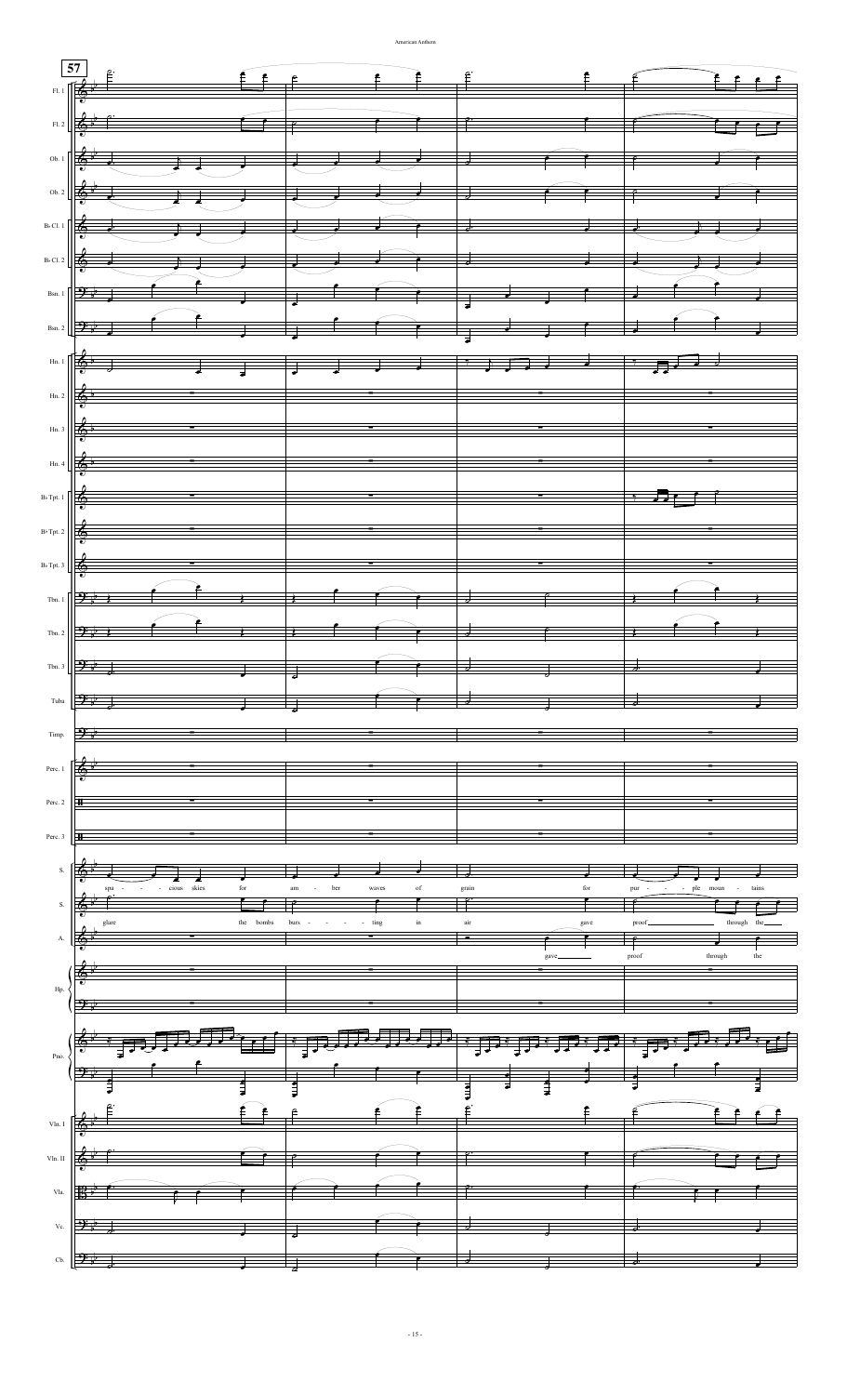|                           |                                                                                                                                                      |  |  | $\mathbb{R}^n$ , $\mathbb{R}^n$ , $\mathbb{R}^n$ , $\mathbb{R}^n$ , $\mathbb{R}^n$ , $\mathbb{R}^n$ , $\mathbb{R}^n$ , $\mathbb{R}^n$ , $\mathbb{R}^n$ , $\mathbb{R}^n$ , $\mathbb{R}^n$ , $\mathbb{R}^n$ , $\mathbb{R}^n$ , $\mathbb{R}^n$ , $\mathbb{R}^n$ , $\mathbb{R}^n$ , $\mathbb{R}^n$ ,                     |
|---------------------------|------------------------------------------------------------------------------------------------------------------------------------------------------|--|--|----------------------------------------------------------------------------------------------------------------------------------------------------------------------------------------------------------------------------------------------------------------------------------------------------------------------|
|                           |                                                                                                                                                      |  |  |                                                                                                                                                                                                                                                                                                                      |
|                           |                                                                                                                                                      |  |  | 0b.2 <u>2 and 2 and 2 and 2 and 2 and 2 and 2 and 2 and 2 and 2 and 2 and 2 and 2 and 2 and 2 and 2 and 2 and 2 and 2 and 2 and 2 and 2 and 2 and 2 and 2 and 2 and 2 and 2 and 2 and 2 and 2 and 2 and 2 and 2 and 2 and 2 and </u>                                                                                 |
|                           |                                                                                                                                                      |  |  |                                                                                                                                                                                                                                                                                                                      |
|                           |                                                                                                                                                      |  |  | BOLINE A STRING OF THE STRING OF THE STRING OF THE STRING OF THE STRING OF THE STRING OF THE STRING OF THE STR                                                                                                                                                                                                       |
|                           |                                                                                                                                                      |  |  | $\mathbb{R}^{n \times 2}$ , $\mathbb{R}^{n}$ , $\mathbb{R}^{n}$ , $\mathbb{R}^{n}$ , $\mathbb{R}^{n}$ , $\mathbb{R}^{n}$ , $\mathbb{R}^{n}$ , $\mathbb{R}^{n}$ , $\mathbb{R}^{n}$ , $\mathbb{R}^{n}$ , $\mathbb{R}^{n}$ , $\mathbb{R}^{n}$ , $\mathbb{R}^{n}$ , $\mathbb{R}^{n}$ , $\mathbb{R}^{n}$ , $\mathbb{R}$   |
|                           |                                                                                                                                                      |  |  |                                                                                                                                                                                                                                                                                                                      |
|                           |                                                                                                                                                      |  |  | <b>Ban 2 2 2 2 3 4 4 5 6 7 8 9 7 8 9 7 8 9 7 8 9 7 8 9 7 8 9 7 8 9 7 8 9 7 8 9 7 8 9 7 8 9 7 8 9 7 8 9 7 8 9 7 8</b>                                                                                                                                                                                                 |
|                           |                                                                                                                                                      |  |  |                                                                                                                                                                                                                                                                                                                      |
|                           |                                                                                                                                                      |  |  |                                                                                                                                                                                                                                                                                                                      |
|                           | $Hn.2$ $\theta$                                                                                                                                      |  |  |                                                                                                                                                                                                                                                                                                                      |
|                           | $\text{Hn.3}$ $\left \n\begin{array}{ccc}\n\frac{1}{\sqrt{2}} & \frac{1}{\sqrt{2}} \\ \frac{1}{\sqrt{2}} & \frac{1}{\sqrt{2}}\n\end{array}\n\right $ |  |  |                                                                                                                                                                                                                                                                                                                      |
|                           | $\mathbb{H}_{n,4}$ $\left \left \frac{1}{\sqrt{2}}\right $                                                                                           |  |  |                                                                                                                                                                                                                                                                                                                      |
| $B \triangleright Tpt. 1$ |                                                                                                                                                      |  |  |                                                                                                                                                                                                                                                                                                                      |
|                           | $\mathbf{B}^3$ Tpt. 2 $\left \left  \bigotimes_{i=1}^n \mathbf{B}^i \right  \right $                                                                 |  |  |                                                                                                                                                                                                                                                                                                                      |
|                           | $B_3$ Tpt. 3                                                                                                                                         |  |  |                                                                                                                                                                                                                                                                                                                      |
|                           |                                                                                                                                                      |  |  |                                                                                                                                                                                                                                                                                                                      |
|                           |                                                                                                                                                      |  |  | $T_{\rm 10n.1}$ $\frac{1}{2}$ $\frac{1}{2}$ $\frac{1}{2}$ $\frac{1}{2}$ $\frac{1}{2}$ $\frac{1}{2}$ $\frac{1}{2}$ $\frac{1}{2}$ $\frac{1}{2}$ $\frac{1}{2}$ $\frac{1}{2}$ $\frac{1}{2}$ $\frac{1}{2}$ $\frac{1}{2}$ $\frac{1}{2}$ $\frac{1}{2}$ $\frac{1}{2}$ $\frac{1}{2}$ $\frac{1}{2}$ $\frac{1}{2}$ $\frac{1}{2$ |
|                           |                                                                                                                                                      |  |  | $T_{\rm{Bn,2}}$ . The $\frac{1}{2}$ is the $\frac{1}{2}$ is the $\frac{1}{2}$ is the $\frac{1}{2}$ is the $\frac{1}{2}$ is the $\frac{1}{2}$ is the $\frac{1}{2}$ is the $\frac{1}{2}$ is the $\frac{1}{2}$ is the $\frac{1}{2}$ is the $\frac{1}{2}$ is the $\frac{1}{2}$ is th                                     |
|                           |                                                                                                                                                      |  |  | Tbn.3 $\frac{1}{\sqrt{2}}$                                                                                                                                                                                                                                                                                           |
|                           |                                                                                                                                                      |  |  |                                                                                                                                                                                                                                                                                                                      |
|                           |                                                                                                                                                      |  |  |                                                                                                                                                                                                                                                                                                                      |
|                           |                                                                                                                                                      |  |  |                                                                                                                                                                                                                                                                                                                      |
|                           |                                                                                                                                                      |  |  |                                                                                                                                                                                                                                                                                                                      |
| Perc. 2                   |                                                                                                                                                      |  |  |                                                                                                                                                                                                                                                                                                                      |
|                           |                                                                                                                                                      |  |  |                                                                                                                                                                                                                                                                                                                      |
|                           |                                                                                                                                                      |  |  |                                                                                                                                                                                                                                                                                                                      |
|                           |                                                                                                                                                      |  |  |                                                                                                                                                                                                                                                                                                                      |
|                           |                                                                                                                                                      |  |  |                                                                                                                                                                                                                                                                                                                      |
|                           |                                                                                                                                                      |  |  |                                                                                                                                                                                                                                                                                                                      |
|                           |                                                                                                                                                      |  |  |                                                                                                                                                                                                                                                                                                                      |
|                           |                                                                                                                                                      |  |  |                                                                                                                                                                                                                                                                                                                      |
|                           |                                                                                                                                                      |  |  |                                                                                                                                                                                                                                                                                                                      |
|                           |                                                                                                                                                      |  |  | <u>ה היה הקוליקים וכך יותר יותר יותר יותר יותר יותר להקולים והמוד</u>                                                                                                                                                                                                                                                |
|                           |                                                                                                                                                      |  |  |                                                                                                                                                                                                                                                                                                                      |
|                           |                                                                                                                                                      |  |  |                                                                                                                                                                                                                                                                                                                      |
|                           |                                                                                                                                                      |  |  |                                                                                                                                                                                                                                                                                                                      |
|                           |                                                                                                                                                      |  |  |                                                                                                                                                                                                                                                                                                                      |
|                           |                                                                                                                                                      |  |  |                                                                                                                                                                                                                                                                                                                      |
|                           |                                                                                                                                                      |  |  |                                                                                                                                                                                                                                                                                                                      |
|                           |                                                                                                                                                      |  |  |                                                                                                                                                                                                                                                                                                                      |

**an Anthem**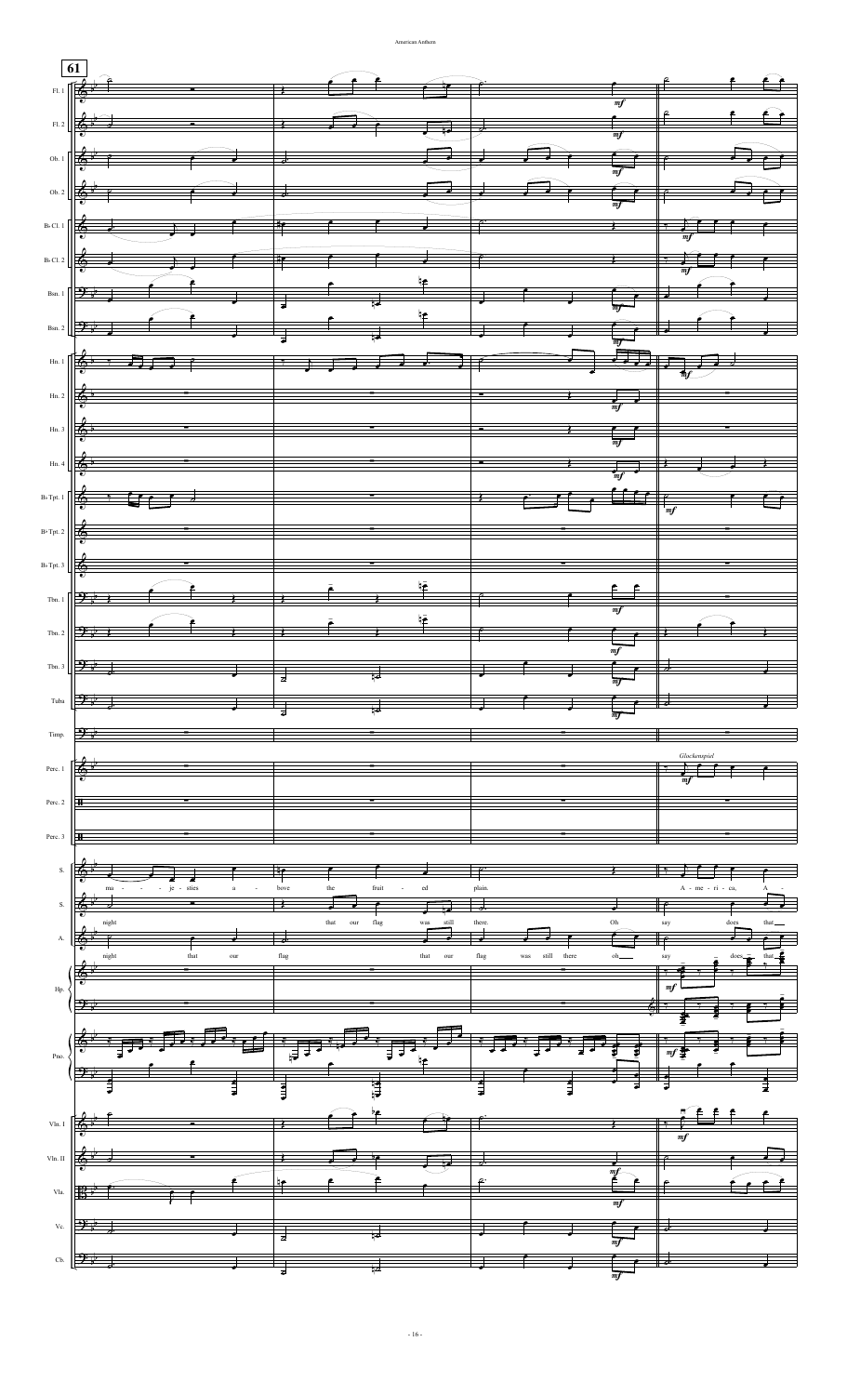|                                  | 61 |                                                                                                                                                                                                                                                                                                                                                                                                                                                                                                                                                                                                                                                     |                                                                                                                                                                                                                                                                                                                                                                    |                                                                                                                                                                                       |      |                                                 |               |               |                                               |  |
|----------------------------------|----|-----------------------------------------------------------------------------------------------------------------------------------------------------------------------------------------------------------------------------------------------------------------------------------------------------------------------------------------------------------------------------------------------------------------------------------------------------------------------------------------------------------------------------------------------------------------------------------------------------------------------------------------------------|--------------------------------------------------------------------------------------------------------------------------------------------------------------------------------------------------------------------------------------------------------------------------------------------------------------------------------------------------------------------|---------------------------------------------------------------------------------------------------------------------------------------------------------------------------------------|------|-------------------------------------------------|---------------|---------------|-----------------------------------------------|--|
| FL1                              |    |                                                                                                                                                                                                                                                                                                                                                                                                                                                                                                                                                                                                                                                     | $\begin{picture}(150,10) \put(0,0){\vector(1,0){100}} \put(15,0){\vector(1,0){100}} \put(15,0){\vector(1,0){100}} \put(15,0){\vector(1,0){100}} \put(15,0){\vector(1,0){100}} \put(15,0){\vector(1,0){100}} \put(15,0){\vector(1,0){100}} \put(15,0){\vector(1,0){100}} \put(15,0){\vector(1,0){100}} \put(15,0){\vector(1,0){100}} \put(15,0){\vector(1,0){100}}$ |                                                                                                                                                                                       |      |                                                 |               |               |                                               |  |
| FL2                              |    |                                                                                                                                                                                                                                                                                                                                                                                                                                                                                                                                                                                                                                                     |                                                                                                                                                                                                                                                                                                                                                                    |                                                                                                                                                                                       |      |                                                 |               |               | $\frac{1}{2}$                                 |  |
|                                  |    |                                                                                                                                                                                                                                                                                                                                                                                                                                                                                                                                                                                                                                                     |                                                                                                                                                                                                                                                                                                                                                                    |                                                                                                                                                                                       |      |                                                 |               |               |                                               |  |
| Ob. 1                            |    | $\overline{\phantom{a}}$                                                                                                                                                                                                                                                                                                                                                                                                                                                                                                                                                                                                                            |                                                                                                                                                                                                                                                                                                                                                                    | $\frac{1}{\sqrt{2}}$ , $\frac{1}{\sqrt{2}}$ , $\frac{1}{\sqrt{2}}$ , $\frac{1}{\sqrt{2}}$ , $\frac{1}{\sqrt{2}}$ , $\frac{1}{\sqrt{2}}$ , $\frac{1}{\sqrt{2}}$ , $\frac{1}{\sqrt{2}}$ |      |                                                 |               |               | $\frac{1}{m}$ $\frac{1}{m}$ $\frac{1}{m}$     |  |
|                                  |    | Ob. 2 $\left \left \right $                                                                                                                                                                                                                                                                                                                                                                                                                                                                                                                                                                                                                         |                                                                                                                                                                                                                                                                                                                                                                    |                                                                                                                                                                                       |      |                                                 |               |               |                                               |  |
|                                  |    | $B \times 1$ $\begin{bmatrix} 1 & 1 & 1 \\ 0 & 0 & 1 \end{bmatrix}$ $\begin{bmatrix} 1 & 1 & 1 \\ 0 & 1 & 1 \end{bmatrix}$ $\begin{bmatrix} 1 & 1 & 1 \\ 1 & 1 & 1 \end{bmatrix}$ $\begin{bmatrix} 1 & 1 & 1 \\ 1 & 1 & 1 \end{bmatrix}$ $\begin{bmatrix} 1 & 1 & 1 \\ 1 & 1 & 1 \end{bmatrix}$ $\begin{bmatrix} 1 & 1 & 1 \\ 1 & 1 & 1 \end{bmatrix}$ $\begin{bmatrix} 1 & 1 & 1 \\ 1 & 1$                                                                                                                                                                                                                                                         |                                                                                                                                                                                                                                                                                                                                                                    |                                                                                                                                                                                       |      |                                                 |               |               | $\frac{1}{m}$ , $\frac{1}{m}$ , $\frac{1}{m}$ |  |
|                                  |    |                                                                                                                                                                                                                                                                                                                                                                                                                                                                                                                                                                                                                                                     |                                                                                                                                                                                                                                                                                                                                                                    |                                                                                                                                                                                       |      |                                                 |               |               |                                               |  |
|                                  |    | $B_1$ Class $\begin{array}{ccc} \begin{array}{ccc} \bullet & \bullet & \bullet & \bullet \end{array} & \begin{array}{ccc} \bullet & \bullet & \bullet & \bullet \end{array} & \begin{array}{ccc} \bullet & \bullet & \bullet & \bullet \end{array} & \begin{array}{ccc} \bullet & \bullet & \bullet & \bullet \end{array} & \begin{array}{ccc} \bullet & \bullet & \bullet & \bullet \end{array} & \begin{array}{ccc} \bullet & \bullet & \bullet & \bullet \end{array} & \begin{array}{ccc} \bullet & \bullet & \bullet & \bullet \end{array} & \begin{array}{ccc} \bullet & \bullet & \bullet & \bullet \end{array} & \begin{array}{ccc} \bullet$ |                                                                                                                                                                                                                                                                                                                                                                    |                                                                                                                                                                                       |      |                                                 |               | $\frac{1}{2}$ | $\frac{1}{m}$                                 |  |
|                                  |    | $B_{\rm Sn,1}\left[\left \begin{array}{ccccc} \frac{\sqrt{1+\lambda^2}+\sqrt{1+\lambda^2}}{2\lambda^2} & \frac{\sqrt{1+\lambda^2}+\sqrt{1+\lambda^2}}{2\lambda^2} & \frac{\sqrt{1+\lambda^2}+\sqrt{1+\lambda^2}}{2\lambda^2} & \frac{\sqrt{1+\lambda^2}+\sqrt{1+\lambda^2}}{2\lambda^2} & \frac{\sqrt{1+\lambda^2}+\sqrt{1+\lambda^2}}{2\lambda^2} & \frac{\sqrt{1+\lambda^2}+\sqrt{1+\lambda^2}}{2\lambda^2} & \frac{\sqrt{1+\lambda^2}+\sqrt{1+\lambda^2}}{2\lambda^2} & \frac{\sqrt{$                                                                                                                                                            |                                                                                                                                                                                                                                                                                                                                                                    |                                                                                                                                                                                       |      |                                                 |               |               |                                               |  |
|                                  |    |                                                                                                                                                                                                                                                                                                                                                                                                                                                                                                                                                                                                                                                     |                                                                                                                                                                                                                                                                                                                                                                    |                                                                                                                                                                                       |      |                                                 |               |               |                                               |  |
|                                  |    | $B_{\rm Sn, 2} \left( \left  \begin{array}{ccccc} \frac{\sqrt{3}+1}{2} & \frac{\sqrt{3}-1}{2} & \frac{\sqrt{3}-1}{2} & \frac{\sqrt{3}-1}{2} & \frac{\sqrt{3}-1}{2} & \frac{\sqrt{3}-1}{2} & \frac{\sqrt{3}-1}{2} & \frac{\sqrt{3}-1}{2} & \frac{\sqrt{3}-1}{2} & \frac{\sqrt{3}-1}{2} & \frac{\sqrt{3}-1}{2} & \frac{\sqrt{3}-1}{2} & \frac{\sqrt{3}-1}{2} & \frac{\sqrt{3}-1}{2} & \frac{\sqrt{3}-1}{2} & \frac{\sqrt{3}-1}{2} & \frac{\sqrt$                                                                                                                                                                                                      |                                                                                                                                                                                                                                                                                                                                                                    |                                                                                                                                                                                       |      |                                                 |               |               |                                               |  |
|                                  |    | $\text{Hn-1} \left( \frac{d}{d\beta} \frac{1}{2} \frac{1}{2} \frac{1}{2} \frac{1}{2} \frac{1}{2} \frac{1}{2} \frac{1}{2} \frac{1}{2} \frac{1}{2} \frac{1}{2} \frac{1}{2} \frac{1}{2} \frac{1}{2} \frac{1}{2} \frac{1}{2} \frac{1}{2} \frac{1}{2} \frac{1}{2} \frac{1}{2} \frac{1}{2} \frac{1}{2} \frac{1}{2} \frac{1}{2} \frac{1}{2} \frac{1}{2} \frac{1}{2} \frac{1}{2} \frac{1}{2} \frac{1$                                                                                                                                                                                                                                                       |                                                                                                                                                                                                                                                                                                                                                                    |                                                                                                                                                                                       |      |                                                 |               |               |                                               |  |
|                                  |    |                                                                                                                                                                                                                                                                                                                                                                                                                                                                                                                                                                                                                                                     |                                                                                                                                                                                                                                                                                                                                                                    |                                                                                                                                                                                       |      |                                                 |               |               |                                               |  |
|                                  |    | $\frac{3}{2}$ $\frac{3}{2}$ $\frac{3}{2}$ $\frac{3}{2}$ $\frac{3}{2}$ $\frac{3}{2}$ $\frac{3}{2}$ $\frac{3}{2}$ $\frac{3}{2}$ $\frac{3}{2}$ $\frac{3}{2}$ $\frac{3}{2}$ $\frac{3}{2}$ $\frac{3}{2}$ $\frac{3}{2}$ $\frac{3}{2}$ $\frac{3}{2}$ $\frac{3}{2}$ $\frac{3}{2}$ $\frac{3}{2}$ $\frac{3}{2}$ $\frac{3}{2}$                                                                                                                                                                                                                                                                                                                                 |                                                                                                                                                                                                                                                                                                                                                                    |                                                                                                                                                                                       |      |                                                 | $\frac{1}{m}$ |               |                                               |  |
|                                  |    | $\frac{3}{2}$                                                                                                                                                                                                                                                                                                                                                                                                                                                                                                                                                                                                                                       |                                                                                                                                                                                                                                                                                                                                                                    |                                                                                                                                                                                       |      | $\blacksquare$ . The contract of $\blacksquare$ |               | $\frac{1}{m}$ |                                               |  |
| Hn.4                             |    | <u> 1989 - Jan Bartha, martin d</u>                                                                                                                                                                                                                                                                                                                                                                                                                                                                                                                                                                                                                 |                                                                                                                                                                                                                                                                                                                                                                    |                                                                                                                                                                                       |      |                                                 |               |               |                                               |  |
|                                  |    |                                                                                                                                                                                                                                                                                                                                                                                                                                                                                                                                                                                                                                                     |                                                                                                                                                                                                                                                                                                                                                                    |                                                                                                                                                                                       |      |                                                 |               |               |                                               |  |
| B <sub>b</sub> Tpt. 1            |    | $C^{\bullet}$ , $\overline{\phantom{a}}$                                                                                                                                                                                                                                                                                                                                                                                                                                                                                                                                                                                                            |                                                                                                                                                                                                                                                                                                                                                                    |                                                                                                                                                                                       |      |                                                 |               |               |                                               |  |
| $B \triangleright$ Tpt. 2        |    |                                                                                                                                                                                                                                                                                                                                                                                                                                                                                                                                                                                                                                                     |                                                                                                                                                                                                                                                                                                                                                                    |                                                                                                                                                                                       |      |                                                 |               |               |                                               |  |
|                                  |    |                                                                                                                                                                                                                                                                                                                                                                                                                                                                                                                                                                                                                                                     |                                                                                                                                                                                                                                                                                                                                                                    |                                                                                                                                                                                       |      |                                                 |               |               |                                               |  |
| B <sub>b</sub> Tpt. 3 $\sqrt{6}$ |    |                                                                                                                                                                                                                                                                                                                                                                                                                                                                                                                                                                                                                                                     |                                                                                                                                                                                                                                                                                                                                                                    |                                                                                                                                                                                       |      |                                                 |               |               |                                               |  |
|                                  |    | Tbn. 1 $\left \frac{1}{2}\right $                                                                                                                                                                                                                                                                                                                                                                                                                                                                                                                                                                                                                   |                                                                                                                                                                                                                                                                                                                                                                    | $\overline{\mathcal{X}}$                                                                                                                                                              |      |                                                 |               |               |                                               |  |
|                                  |    | Tbn. 2 $\left \frac{1}{2}$ $\frac{1}{2}$ $\frac{1}{2}$ $\frac{1}{2}$                                                                                                                                                                                                                                                                                                                                                                                                                                                                                                                                                                                |                                                                                                                                                                                                                                                                                                                                                                    | $\begin{array}{ c c c c }\hline \textbf{r} & \textbf{r} & \textbf{r} \\ \hline \textbf{r} & \textbf{r} & \textbf{r} \\ \hline \end{array}$                                            |      |                                                 |               |               |                                               |  |
|                                  |    |                                                                                                                                                                                                                                                                                                                                                                                                                                                                                                                                                                                                                                                     |                                                                                                                                                                                                                                                                                                                                                                    |                                                                                                                                                                                       |      |                                                 |               |               |                                               |  |
|                                  |    | Tbn. 3 $\frac{1}{2}$ $\frac{1}{2}$ $\frac{1}{2}$                                                                                                                                                                                                                                                                                                                                                                                                                                                                                                                                                                                                    |                                                                                                                                                                                                                                                                                                                                                                    |                                                                                                                                                                                       |      |                                                 |               |               | ∸⊶                                            |  |
| Tuba                             |    |                                                                                                                                                                                                                                                                                                                                                                                                                                                                                                                                                                                                                                                     |                                                                                                                                                                                                                                                                                                                                                                    |                                                                                                                                                                                       |      |                                                 |               |               |                                               |  |
|                                  |    |                                                                                                                                                                                                                                                                                                                                                                                                                                                                                                                                                                                                                                                     |                                                                                                                                                                                                                                                                                                                                                                    |                                                                                                                                                                                       |      |                                                 |               |               |                                               |  |
| Timp                             |    |                                                                                                                                                                                                                                                                                                                                                                                                                                                                                                                                                                                                                                                     |                                                                                                                                                                                                                                                                                                                                                                    |                                                                                                                                                                                       |      |                                                 |               |               | Glockenspiel                                  |  |
| Perc. 1                          |    |                                                                                                                                                                                                                                                                                                                                                                                                                                                                                                                                                                                                                                                     |                                                                                                                                                                                                                                                                                                                                                                    |                                                                                                                                                                                       |      |                                                 |               |               |                                               |  |
| Perc. 2                          |    |                                                                                                                                                                                                                                                                                                                                                                                                                                                                                                                                                                                                                                                     |                                                                                                                                                                                                                                                                                                                                                                    |                                                                                                                                                                                       |      |                                                 |               |               |                                               |  |
|                                  |    |                                                                                                                                                                                                                                                                                                                                                                                                                                                                                                                                                                                                                                                     |                                                                                                                                                                                                                                                                                                                                                                    |                                                                                                                                                                                       |      |                                                 |               |               |                                               |  |
| Perc. 3                          |    |                                                                                                                                                                                                                                                                                                                                                                                                                                                                                                                                                                                                                                                     |                                                                                                                                                                                                                                                                                                                                                                    |                                                                                                                                                                                       |      |                                                 |               |               |                                               |  |
| S.                               |    |                                                                                                                                                                                                                                                                                                                                                                                                                                                                                                                                                                                                                                                     |                                                                                                                                                                                                                                                                                                                                                                    |                                                                                                                                                                                       |      |                                                 |               |               |                                               |  |
|                                  |    |                                                                                                                                                                                                                                                                                                                                                                                                                                                                                                                                                                                                                                                     |                                                                                                                                                                                                                                                                                                                                                                    |                                                                                                                                                                                       |      | plain                                           |               |               |                                               |  |
|                                  |    |                                                                                                                                                                                                                                                                                                                                                                                                                                                                                                                                                                                                                                                     |                                                                                                                                                                                                                                                                                                                                                                    |                                                                                                                                                                                       | flag |                                                 |               |               |                                               |  |
|                                  |    |                                                                                                                                                                                                                                                                                                                                                                                                                                                                                                                                                                                                                                                     |                                                                                                                                                                                                                                                                                                                                                                    |                                                                                                                                                                                       |      |                                                 |               |               |                                               |  |
|                                  |    |                                                                                                                                                                                                                                                                                                                                                                                                                                                                                                                                                                                                                                                     | that                                                                                                                                                                                                                                                                                                                                                               |                                                                                                                                                                                       | that | flag                                            |               |               |                                               |  |
| Hp.                              |    |                                                                                                                                                                                                                                                                                                                                                                                                                                                                                                                                                                                                                                                     |                                                                                                                                                                                                                                                                                                                                                                    |                                                                                                                                                                                       |      |                                                 |               |               |                                               |  |
|                                  |    |                                                                                                                                                                                                                                                                                                                                                                                                                                                                                                                                                                                                                                                     |                                                                                                                                                                                                                                                                                                                                                                    |                                                                                                                                                                                       |      |                                                 |               |               |                                               |  |
|                                  |    |                                                                                                                                                                                                                                                                                                                                                                                                                                                                                                                                                                                                                                                     |                                                                                                                                                                                                                                                                                                                                                                    |                                                                                                                                                                                       |      |                                                 |               |               |                                               |  |
| Pno                              |    |                                                                                                                                                                                                                                                                                                                                                                                                                                                                                                                                                                                                                                                     |                                                                                                                                                                                                                                                                                                                                                                    |                                                                                                                                                                                       |      |                                                 |               |               |                                               |  |
|                                  |    |                                                                                                                                                                                                                                                                                                                                                                                                                                                                                                                                                                                                                                                     |                                                                                                                                                                                                                                                                                                                                                                    |                                                                                                                                                                                       |      |                                                 |               |               |                                               |  |
|                                  |    |                                                                                                                                                                                                                                                                                                                                                                                                                                                                                                                                                                                                                                                     |                                                                                                                                                                                                                                                                                                                                                                    |                                                                                                                                                                                       |      |                                                 |               |               |                                               |  |
| Vln. I                           |    |                                                                                                                                                                                                                                                                                                                                                                                                                                                                                                                                                                                                                                                     |                                                                                                                                                                                                                                                                                                                                                                    |                                                                                                                                                                                       |      |                                                 |               |               |                                               |  |
| Vln. II                          |    |                                                                                                                                                                                                                                                                                                                                                                                                                                                                                                                                                                                                                                                     |                                                                                                                                                                                                                                                                                                                                                                    |                                                                                                                                                                                       |      |                                                 |               |               |                                               |  |
|                                  |    |                                                                                                                                                                                                                                                                                                                                                                                                                                                                                                                                                                                                                                                     |                                                                                                                                                                                                                                                                                                                                                                    |                                                                                                                                                                                       |      |                                                 |               | mf            |                                               |  |
| Vla.                             |    |                                                                                                                                                                                                                                                                                                                                                                                                                                                                                                                                                                                                                                                     |                                                                                                                                                                                                                                                                                                                                                                    |                                                                                                                                                                                       |      |                                                 |               |               |                                               |  |
|                                  |    |                                                                                                                                                                                                                                                                                                                                                                                                                                                                                                                                                                                                                                                     |                                                                                                                                                                                                                                                                                                                                                                    |                                                                                                                                                                                       |      |                                                 |               |               |                                               |  |
| Vc.                              |    |                                                                                                                                                                                                                                                                                                                                                                                                                                                                                                                                                                                                                                                     |                                                                                                                                                                                                                                                                                                                                                                    |                                                                                                                                                                                       |      |                                                 |               |               |                                               |  |
| Cb                               |    |                                                                                                                                                                                                                                                                                                                                                                                                                                                                                                                                                                                                                                                     |                                                                                                                                                                                                                                                                                                                                                                    |                                                                                                                                                                                       |      |                                                 |               |               |                                               |  |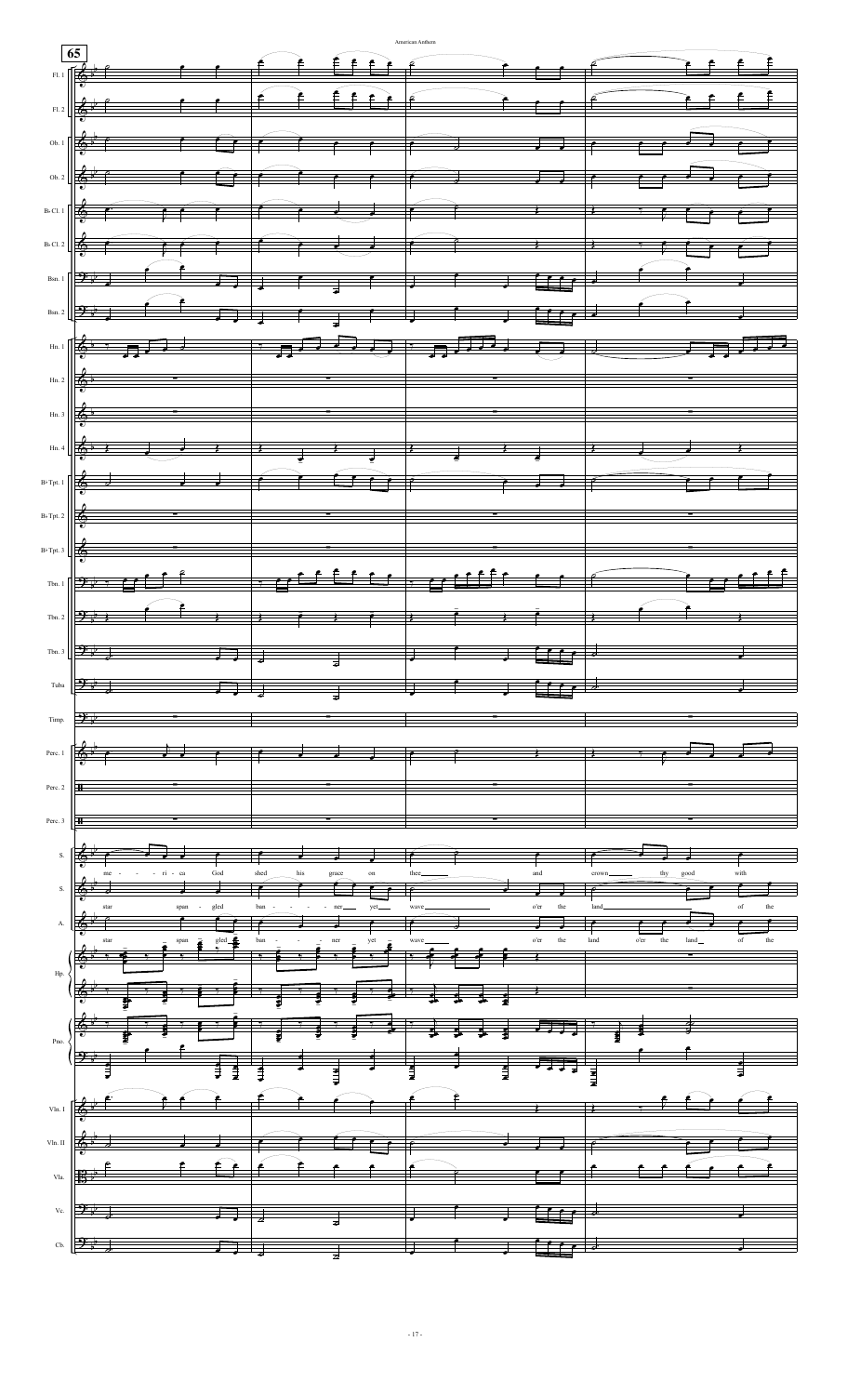|         | 65                                                                                                                                                                                                                                                                                                                                                                                                       |                                                                                                                         |  |  |  |                                                                                                                       |  |  |  |  |
|---------|----------------------------------------------------------------------------------------------------------------------------------------------------------------------------------------------------------------------------------------------------------------------------------------------------------------------------------------------------------------------------------------------------------|-------------------------------------------------------------------------------------------------------------------------|--|--|--|-----------------------------------------------------------------------------------------------------------------------|--|--|--|--|
|         | $\frac{1}{16}$ is the set of the set of the set of the set of the set of the set of the set of the set of the set of the set of the set of the set of the set of the set of the set of the set of the set of the set of the set o                                                                                                                                                                        |                                                                                                                         |  |  |  |                                                                                                                       |  |  |  |  |
|         | $F_{\rm H,2}$ , and $F_{\rm eff}$ is the first property of the first property of the first property of the first property of the first property of the first property of the first property of the first property of the first proper                                                                                                                                                                    |                                                                                                                         |  |  |  |                                                                                                                       |  |  |  |  |
|         | $\frac{1}{2}$ (b) $\frac{1}{2}$ (c) $\frac{1}{2}$ (c) $\frac{1}{2}$ (c) $\frac{1}{2}$ (c) $\frac{1}{2}$ (c) $\frac{1}{2}$ (c) $\frac{1}{2}$ (c) $\frac{1}{2}$ (c) $\frac{1}{2}$ (c) $\frac{1}{2}$ (c) $\frac{1}{2}$ (c) $\frac{1}{2}$ (c) $\frac{1}{2}$ (c) $\frac{1}{2}$ (c) $\frac{1}{2}$ (                                                                                                            |                                                                                                                         |  |  |  |                                                                                                                       |  |  |  |  |
|         | 0.2 <del>de de la comparación de la comparación de la comparación de la comparación de la comparación de la comparación</del>                                                                                                                                                                                                                                                                            |                                                                                                                         |  |  |  |                                                                                                                       |  |  |  |  |
|         | $\frac{1}{2}$ and $\frac{1}{2}$ are $\frac{1}{2}$ and $\frac{1}{2}$ are $\frac{1}{2}$ and $\frac{1}{2}$ are $\frac{1}{2}$ and $\frac{1}{2}$ are $\frac{1}{2}$ and $\frac{1}{2}$ are $\frac{1}{2}$ and $\frac{1}{2}$ are $\frac{1}{2}$ and $\frac{1}{2}$ and $\frac{1}{2}$ are $\frac{1}{2}$ a                                                                                                            |                                                                                                                         |  |  |  |                                                                                                                       |  |  |  |  |
|         | $\frac{1}{2}$ $\frac{1}{2}$ $\frac{1}{2}$ $\frac{1}{2}$ $\frac{1}{2}$ $\frac{1}{2}$ $\frac{1}{2}$ $\frac{1}{2}$ $\frac{1}{2}$ $\frac{1}{2}$ $\frac{1}{2}$ $\frac{1}{2}$ $\frac{1}{2}$ $\frac{1}{2}$ $\frac{1}{2}$ $\frac{1}{2}$ $\frac{1}{2}$ $\frac{1}{2}$ $\frac{1}{2}$ $\frac{1}{2}$ $\frac{1}{2}$ $\frac{1}{2}$                                                                                      |                                                                                                                         |  |  |  |                                                                                                                       |  |  |  |  |
|         |                                                                                                                                                                                                                                                                                                                                                                                                          |                                                                                                                         |  |  |  |                                                                                                                       |  |  |  |  |
|         |                                                                                                                                                                                                                                                                                                                                                                                                          |                                                                                                                         |  |  |  |                                                                                                                       |  |  |  |  |
|         | <u> Banz    93 pagang dipangkang pagpagang dipangkang pagpagang dipangkang dipangkang dipangkang dipangkang pagpagang dipangkang pagpagang dipangkang dipangkang dipangkang dipangkang dipangkang dipangkang dipangkang dipangka</u>                                                                                                                                                                     |                                                                                                                         |  |  |  |                                                                                                                       |  |  |  |  |
|         |                                                                                                                                                                                                                                                                                                                                                                                                          |                                                                                                                         |  |  |  |                                                                                                                       |  |  |  |  |
|         | $\frac{3}{2}$ Hn. 2 $\frac{3}{2}$ $\frac{3}{2}$ $\frac{3}{2}$ $\frac{3}{2}$ $\frac{3}{2}$ $\frac{3}{2}$ $\frac{3}{2}$ $\frac{3}{2}$ $\frac{3}{2}$ $\frac{3}{2}$ $\frac{3}{2}$ $\frac{3}{2}$ $\frac{3}{2}$ $\frac{3}{2}$ $\frac{3}{2}$ $\frac{3}{2}$ $\frac{3}{2}$ $\frac{3}{2}$ $\frac{3}{2}$ $\frac{3}{2}$ $\frac{3$                                                                                    |                                                                                                                         |  |  |  |                                                                                                                       |  |  |  |  |
|         | $\frac{1}{2}$ Hn.3 $\frac{1}{2}$ $\frac{1}{2}$ $\frac{1}{2}$ $\frac{1}{2}$ $\frac{1}{2}$ $\frac{1}{2}$ $\frac{1}{2}$ $\frac{1}{2}$ $\frac{1}{2}$ $\frac{1}{2}$ $\frac{1}{2}$ $\frac{1}{2}$ $\frac{1}{2}$ $\frac{1}{2}$ $\frac{1}{2}$ $\frac{1}{2}$ $\frac{1}{2}$ $\frac{1}{2}$ $\frac{1}{2}$ $\frac{1}{2}$ $\frac{1}{$                                                                                   |                                                                                                                         |  |  |  |                                                                                                                       |  |  |  |  |
|         | $\frac{1}{2}$ iii. $4$ $\frac{1}{2}$ $\frac{1}{2}$ $\frac{1}{2}$ $\frac{1}{2}$ $\frac{1}{2}$ $\frac{1}{2}$ $\frac{1}{2}$ $\frac{1}{2}$ $\frac{1}{2}$ $\frac{1}{2}$ $\frac{1}{2}$ $\frac{1}{2}$                                                                                                                                                                                                           |                                                                                                                         |  |  |  |                                                                                                                       |  |  |  |  |
|         | $B \rightarrow B$ and $B \rightarrow C$ and $C$ is the contract of $D$ is the contract of $C$ is the contract of $C$ is the contract of $C$ is the contract of $C$ is the contract of $C$ is the contract of $C$ is the contract of $C$ is the cont                                                                                                                                                      |                                                                                                                         |  |  |  |                                                                                                                       |  |  |  |  |
|         |                                                                                                                                                                                                                                                                                                                                                                                                          |                                                                                                                         |  |  |  |                                                                                                                       |  |  |  |  |
|         | $B_5$ Tpt. 2 $\frac{1}{2}$                                                                                                                                                                                                                                                                                                                                                                               |                                                                                                                         |  |  |  |                                                                                                                       |  |  |  |  |
|         | $B \triangleright T$ pt. 3                                                                                                                                                                                                                                                                                                                                                                               |                                                                                                                         |  |  |  |                                                                                                                       |  |  |  |  |
|         | ण्या <mark>अस्ति हुई है जिसके साथ पर स्थान के बाद से साथ पर स्थान के बाद से साथ पर स्थान कर से उस समय जा कर समय जा कर</mark>                                                                                                                                                                                                                                                                             |                                                                                                                         |  |  |  |                                                                                                                       |  |  |  |  |
|         |                                                                                                                                                                                                                                                                                                                                                                                                          |                                                                                                                         |  |  |  |                                                                                                                       |  |  |  |  |
|         |                                                                                                                                                                                                                                                                                                                                                                                                          |                                                                                                                         |  |  |  |                                                                                                                       |  |  |  |  |
|         |                                                                                                                                                                                                                                                                                                                                                                                                          |                                                                                                                         |  |  |  |                                                                                                                       |  |  |  |  |
|         | Thu, 3 $\frac{1}{\sqrt{2}}$ , $\frac{1}{\sqrt{2}}$ , $\frac{1}{\sqrt{2}}$ , $\frac{1}{\sqrt{2}}$ , $\frac{1}{\sqrt{2}}$ , $\frac{1}{\sqrt{2}}$ , $\frac{1}{\sqrt{2}}$ , $\frac{1}{\sqrt{2}}$ , $\frac{1}{\sqrt{2}}$ , $\frac{1}{\sqrt{2}}$ , $\frac{1}{\sqrt{2}}$ , $\frac{1}{\sqrt{2}}$ , $\frac{1}{\sqrt{2}}$ , $\frac{1}{\sqrt{2}}$ , $\frac{$                                                        |                                                                                                                         |  |  |  |                                                                                                                       |  |  |  |  |
|         |                                                                                                                                                                                                                                                                                                                                                                                                          | <u> Times and the second second second second second second second second second second second second second second</u> |  |  |  |                                                                                                                       |  |  |  |  |
|         |                                                                                                                                                                                                                                                                                                                                                                                                          |                                                                                                                         |  |  |  |                                                                                                                       |  |  |  |  |
|         | Perc.   $\left  \frac{A^{(1)}(x)}{B^{(2)}(x)} \right $ , $\left  \frac{A^{(1)}(x)}{B^{(1)}(x)} \right $ , $\left  \frac{A^{(1)}(x)}{B^{(1)}(x)} \right $ , $\left  \frac{A^{(1)}(x)}{B^{(1)}(x)} \right $ , $\left  \frac{A^{(1)}(x)}{B^{(1)}(x)} \right $ , $\left  \frac{A^{(1)}(x)}{B^{(1)}(x)} \right $ , $\left  \frac{A^{(1)}(x)}{B^{(1)}(x)} \right $                                             |                                                                                                                         |  |  |  |                                                                                                                       |  |  |  |  |
| Perc. 2 |                                                                                                                                                                                                                                                                                                                                                                                                          |                                                                                                                         |  |  |  |                                                                                                                       |  |  |  |  |
|         |                                                                                                                                                                                                                                                                                                                                                                                                          |                                                                                                                         |  |  |  |                                                                                                                       |  |  |  |  |
|         |                                                                                                                                                                                                                                                                                                                                                                                                          |                                                                                                                         |  |  |  |                                                                                                                       |  |  |  |  |
|         |                                                                                                                                                                                                                                                                                                                                                                                                          |                                                                                                                         |  |  |  |                                                                                                                       |  |  |  |  |
|         |                                                                                                                                                                                                                                                                                                                                                                                                          |                                                                                                                         |  |  |  |                                                                                                                       |  |  |  |  |
|         |                                                                                                                                                                                                                                                                                                                                                                                                          |                                                                                                                         |  |  |  | <u>tifical de la partida de la partida de la partida de la partida de la partida de la partida de la partida de l</u> |  |  |  |  |
|         |                                                                                                                                                                                                                                                                                                                                                                                                          |                                                                                                                         |  |  |  |                                                                                                                       |  |  |  |  |
|         |                                                                                                                                                                                                                                                                                                                                                                                                          |                                                                                                                         |  |  |  |                                                                                                                       |  |  |  |  |
|         |                                                                                                                                                                                                                                                                                                                                                                                                          |                                                                                                                         |  |  |  |                                                                                                                       |  |  |  |  |
|         |                                                                                                                                                                                                                                                                                                                                                                                                          |                                                                                                                         |  |  |  |                                                                                                                       |  |  |  |  |
|         | $\begin{pmatrix} \frac{2}{3} & \frac{1}{3} & \frac{1}{3} & \frac{1}{3} & \frac{1}{3} & \frac{1}{3} & \frac{1}{3} & \frac{1}{3} & \frac{1}{3} & \frac{1}{3} & \frac{1}{3} & \frac{1}{3} & \frac{1}{3} & \frac{1}{3} & \frac{1}{3} & \frac{1}{3} & \frac{1}{3} & \frac{1}{3} & \frac{1}{3} & \frac{1}{3} & \frac{1}{3} & \frac{1}{3} & \frac{1}{3} & \frac{1}{3} & \frac{1}{3} & \frac{1}{3} & \frac{1}{3$ |                                                                                                                         |  |  |  |                                                                                                                       |  |  |  |  |
|         |                                                                                                                                                                                                                                                                                                                                                                                                          |                                                                                                                         |  |  |  |                                                                                                                       |  |  |  |  |
|         | Visit and start and start and the start of the start of the start of the start of the start of the start of the start of the start of the start of the start of the start of the start of the start of the start of the start                                                                                                                                                                            |                                                                                                                         |  |  |  |                                                                                                                       |  |  |  |  |
|         |                                                                                                                                                                                                                                                                                                                                                                                                          |                                                                                                                         |  |  |  |                                                                                                                       |  |  |  |  |
|         | $\frac{1}{2}$ $\frac{1}{2}$ $\frac{1}{2}$ $\frac{1}{2}$ $\frac{1}{2}$ $\frac{1}{2}$ $\frac{1}{2}$ $\frac{1}{2}$ $\frac{1}{2}$ $\frac{1}{2}$ $\frac{1}{2}$ $\frac{1}{2}$ $\frac{1}{2}$ $\frac{1}{2}$ $\frac{1}{2}$ $\frac{1}{2}$ $\frac{1}{2}$ $\frac{1}{2}$ $\frac{1}{2}$ $\frac{1}{2}$ $\frac{1}{2}$ $\frac{1}{2}$                                                                                      |                                                                                                                         |  |  |  |                                                                                                                       |  |  |  |  |
|         |                                                                                                                                                                                                                                                                                                                                                                                                          |                                                                                                                         |  |  |  |                                                                                                                       |  |  |  |  |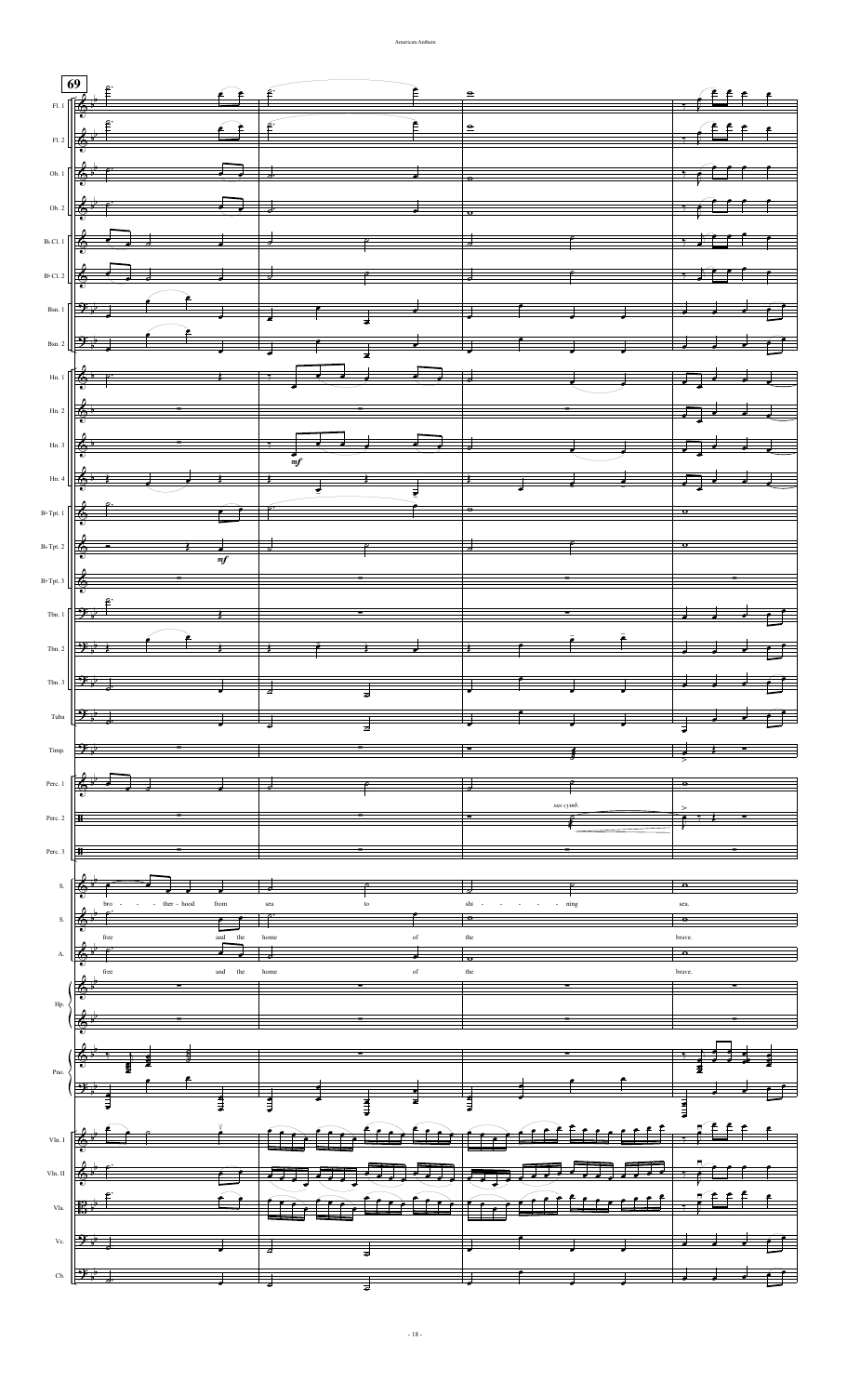| Fl. 1                     |                                                                                  |                                                                                                                                                                                                                                                                                  |                                                                                                                                                                                                                                                                                                                                                                                                                             |                          |
|---------------------------|----------------------------------------------------------------------------------|----------------------------------------------------------------------------------------------------------------------------------------------------------------------------------------------------------------------------------------------------------------------------------|-----------------------------------------------------------------------------------------------------------------------------------------------------------------------------------------------------------------------------------------------------------------------------------------------------------------------------------------------------------------------------------------------------------------------------|--------------------------|
|                           | F1.2                                                                             |                                                                                                                                                                                                                                                                                  |                                                                                                                                                                                                                                                                                                                                                                                                                             |                          |
|                           | Ob. 1 $6^{\frac{1}{2}}$                                                          |                                                                                                                                                                                                                                                                                  |                                                                                                                                                                                                                                                                                                                                                                                                                             |                          |
|                           |                                                                                  |                                                                                                                                                                                                                                                                                  |                                                                                                                                                                                                                                                                                                                                                                                                                             |                          |
|                           |                                                                                  |                                                                                                                                                                                                                                                                                  |                                                                                                                                                                                                                                                                                                                                                                                                                             | $\blacksquare$           |
|                           |                                                                                  | $B\left(1\right)$ and $\frac{1}{2}$ are the set of $\frac{1}{2}$ and $\frac{1}{2}$ are the set of $\frac{1}{2}$ and $\frac{1}{2}$ are the set of $\frac{1}{2}$ and $\frac{1}{2}$ are the set of $\frac{1}{2}$ and $\frac{1}{2}$ are the set of $\frac{1}{2}$ and $\frac{1}{2}$ a |                                                                                                                                                                                                                                                                                                                                                                                                                             |                          |
|                           |                                                                                  |                                                                                                                                                                                                                                                                                  | $\frac{1}{2}$ , $\frac{1}{2}$ , $\frac{1}{2}$ , $\frac{1}{2}$ , $\frac{1}{2}$ , $\frac{1}{2}$ , $\frac{1}{2}$ , $\frac{1}{2}$ , $\frac{1}{2}$ , $\frac{1}{2}$ , $\frac{1}{2}$ , $\frac{1}{2}$ , $\frac{1}{2}$ , $\frac{1}{2}$ , $\frac{1}{2}$ , $\frac{1}{2}$ , $\frac{1}{2}$ , $\frac{1}{2}$ , $\frac{1$                                                                                                                   |                          |
|                           |                                                                                  |                                                                                                                                                                                                                                                                                  | $B_{\rm Sn,1}$ $\left  \frac{97.5}{2} \right $ $\left  \frac{97.5}{2} \right $ $\left  \frac{97.5}{2} \right $ $\left  \frac{97.5}{2} \right $ $\left  \frac{97.5}{2} \right $ $\left  \frac{97.5}{2} \right $                                                                                                                                                                                                              |                          |
|                           |                                                                                  |                                                                                                                                                                                                                                                                                  |                                                                                                                                                                                                                                                                                                                                                                                                                             |                          |
|                           |                                                                                  |                                                                                                                                                                                                                                                                                  | $\frac{1}{10}$ $\frac{1}{10}$ $\frac{1}{10}$ $\frac{1}{10}$ $\frac{1}{10}$ $\frac{1}{10}$ $\frac{1}{10}$ $\frac{1}{10}$ $\frac{1}{10}$ $\frac{1}{10}$ $\frac{1}{10}$ $\frac{1}{10}$ $\frac{1}{10}$ $\frac{1}{10}$ $\frac{1}{10}$                                                                                                                                                                                            |                          |
|                           |                                                                                  |                                                                                                                                                                                                                                                                                  | $\frac{1}{2}$ and $\frac{1}{2}$ are $\frac{1}{2}$ and $\frac{1}{2}$ and $\frac{1}{2}$ and $\frac{1}{2}$ and $\frac{1}{2}$ and $\frac{1}{2}$ and $\frac{1}{2}$ and $\frac{1}{2}$ and $\frac{1}{2}$ and $\frac{1}{2}$ and $\frac{1}{2}$ and $\frac{1}{2}$ and $\frac{1}{2}$ and $\frac{1}{2}$ a                                                                                                                               |                          |
|                           |                                                                                  |                                                                                                                                                                                                                                                                                  | $\frac{1}{2}$ $\frac{1}{2}$ $\frac{1}{2}$ $\frac{1}{2}$ $\frac{1}{2}$ $\frac{1}{2}$ $\frac{1}{2}$ $\frac{1}{2}$ $\frac{1}{2}$ $\frac{1}{2}$ $\frac{1}{2}$ $\frac{1}{2}$ $\frac{1}{2}$ $\frac{1}{2}$ $\frac{1}{2}$ $\frac{1}{2}$ $\frac{1}{2}$ $\frac{1}{2}$ $\frac{1}{2}$ $\frac{1}{2}$ $\frac{1}{2}$ $\frac{1}{2}$                                                                                                         |                          |
|                           |                                                                                  |                                                                                                                                                                                                                                                                                  | $\mathbb{R}^3$ and $\mathbb{R}^3$ are the set of $\mathbb{R}^3$ and $\mathbb{R}^3$ are the set of $\mathbb{R}^3$ and $\mathbb{R}^3$ are the set of $\mathbb{R}^3$                                                                                                                                                                                                                                                           |                          |
|                           |                                                                                  |                                                                                                                                                                                                                                                                                  | $\  \mathbf{a}_1 \  \frac{d}{d^2} + \mathbf{b}_1 + \mathbf{c}_2 + \mathbf{c}_3 + \mathbf{c}_4 + \mathbf{c}_5 + \mathbf{c}_6 + \mathbf{c}_7 + \mathbf{c}_7 + \mathbf{c}_8 + \mathbf{c}_7 + \mathbf{c}_8 + \mathbf{c}_9 + \mathbf{c}_9 + \mathbf{c}_9 + \mathbf{c}_9 + \mathbf{c}_9 + \mathbf{c}_9 + \mathbf{c}_9 + \mathbf{c}_9 + \mathbf{c}_9 + \mathbf{c}_9 + \mathbf{c}_9 + \mathbf{c}_9 + \mathbf{c}_9 + \mathbf{c}_9 +$ |                          |
|                           |                                                                                  |                                                                                                                                                                                                                                                                                  |                                                                                                                                                                                                                                                                                                                                                                                                                             |                          |
|                           |                                                                                  | $B_3$ Tpt. 1 $\left \left \bigotimes_{i=1}^{n} \frac{f^{(i)}_i}{\sqrt{n}}\right  \right  \leq \frac{1}{\sqrt{n}}$                                                                                                                                                                |                                                                                                                                                                                                                                                                                                                                                                                                                             |                          |
| $B \triangleright$ Tpt. 2 | $\begin{array}{c c}\n\hline\n\end{array}$                                        |                                                                                                                                                                                                                                                                                  |                                                                                                                                                                                                                                                                                                                                                                                                                             |                          |
| B <sub>b Tpt. 3</sub>     |                                                                                  |                                                                                                                                                                                                                                                                                  |                                                                                                                                                                                                                                                                                                                                                                                                                             |                          |
|                           | Tbn. 1                                                                           | $\overline{\mathcal{X}}$ , and the contract of the contract of the contract of the contract of the contract of the contract of the contract of the contract of the contract of the contract of the contract of the contract of the contrac                                       |                                                                                                                                                                                                                                                                                                                                                                                                                             | $\overline{\phantom{a}}$ |
|                           |                                                                                  |                                                                                                                                                                                                                                                                                  |                                                                                                                                                                                                                                                                                                                                                                                                                             |                          |
|                           | Tbn. 2 $\left \left \frac{1}{\sqrt{2}}\right \right $                            |                                                                                                                                                                                                                                                                                  |                                                                                                                                                                                                                                                                                                                                                                                                                             |                          |
|                           | Tbn. 3 $\left \left \frac{\partial f}{\partial y}\right _{\mathcal{G}}\right $ . |                                                                                                                                                                                                                                                                                  |                                                                                                                                                                                                                                                                                                                                                                                                                             |                          |
| Tuba                      |                                                                                  |                                                                                                                                                                                                                                                                                  |                                                                                                                                                                                                                                                                                                                                                                                                                             |                          |
| Timp                      |                                                                                  |                                                                                                                                                                                                                                                                                  |                                                                                                                                                                                                                                                                                                                                                                                                                             |                          |
|                           |                                                                                  |                                                                                                                                                                                                                                                                                  |                                                                                                                                                                                                                                                                                                                                                                                                                             |                          |
| Perc. 1                   |                                                                                  |                                                                                                                                                                                                                                                                                  |                                                                                                                                                                                                                                                                                                                                                                                                                             |                          |
| Perc. 2                   |                                                                                  |                                                                                                                                                                                                                                                                                  |                                                                                                                                                                                                                                                                                                                                                                                                                             |                          |
| Perc. 3                   |                                                                                  |                                                                                                                                                                                                                                                                                  |                                                                                                                                                                                                                                                                                                                                                                                                                             |                          |
|                           |                                                                                  |                                                                                                                                                                                                                                                                                  |                                                                                                                                                                                                                                                                                                                                                                                                                             |                          |
|                           |                                                                                  |                                                                                                                                                                                                                                                                                  |                                                                                                                                                                                                                                                                                                                                                                                                                             |                          |
|                           |                                                                                  |                                                                                                                                                                                                                                                                                  |                                                                                                                                                                                                                                                                                                                                                                                                                             | brave                    |
|                           |                                                                                  |                                                                                                                                                                                                                                                                                  |                                                                                                                                                                                                                                                                                                                                                                                                                             |                          |
|                           |                                                                                  |                                                                                                                                                                                                                                                                                  |                                                                                                                                                                                                                                                                                                                                                                                                                             |                          |
|                           |                                                                                  |                                                                                                                                                                                                                                                                                  |                                                                                                                                                                                                                                                                                                                                                                                                                             |                          |
|                           |                                                                                  |                                                                                                                                                                                                                                                                                  |                                                                                                                                                                                                                                                                                                                                                                                                                             |                          |
|                           |                                                                                  |                                                                                                                                                                                                                                                                                  |                                                                                                                                                                                                                                                                                                                                                                                                                             |                          |
|                           |                                                                                  |                                                                                                                                                                                                                                                                                  |                                                                                                                                                                                                                                                                                                                                                                                                                             |                          |
|                           | Vln. I                                                                           |                                                                                                                                                                                                                                                                                  | <u>المنتور المتحو الشفو الشفو المورد مشتشأ الشفو فشتشأ المرك المنافسة الم</u>                                                                                                                                                                                                                                                                                                                                               |                          |
|                           |                                                                                  |                                                                                                                                                                                                                                                                                  |                                                                                                                                                                                                                                                                                                                                                                                                                             |                          |
| Vln. II                   |                                                                                  |                                                                                                                                                                                                                                                                                  | $\overline{1}$ , $\overline{1}$ , $\overline{1}$ , $\overline{1}$ , $\overline{1}$ , $\overline{1}$ , $\overline{1}$ , $\overline{1}$ , $\overline{1}$ , $\overline{1}$ , $\overline{1}$ , $\overline{1}$ , $\overline{1}$ , $\overline{1}$                                                                                                                                                                                 |                          |
|                           |                                                                                  |                                                                                                                                                                                                                                                                                  | <u>r a fra filmarkoaren arabildiko esti esti esti harra</u>                                                                                                                                                                                                                                                                                                                                                                 |                          |
|                           |                                                                                  |                                                                                                                                                                                                                                                                                  |                                                                                                                                                                                                                                                                                                                                                                                                                             |                          |
| Cb.                       |                                                                                  |                                                                                                                                                                                                                                                                                  |                                                                                                                                                                                                                                                                                                                                                                                                                             |                          |
|                           |                                                                                  |                                                                                                                                                                                                                                                                                  |                                                                                                                                                                                                                                                                                                                                                                                                                             |                          |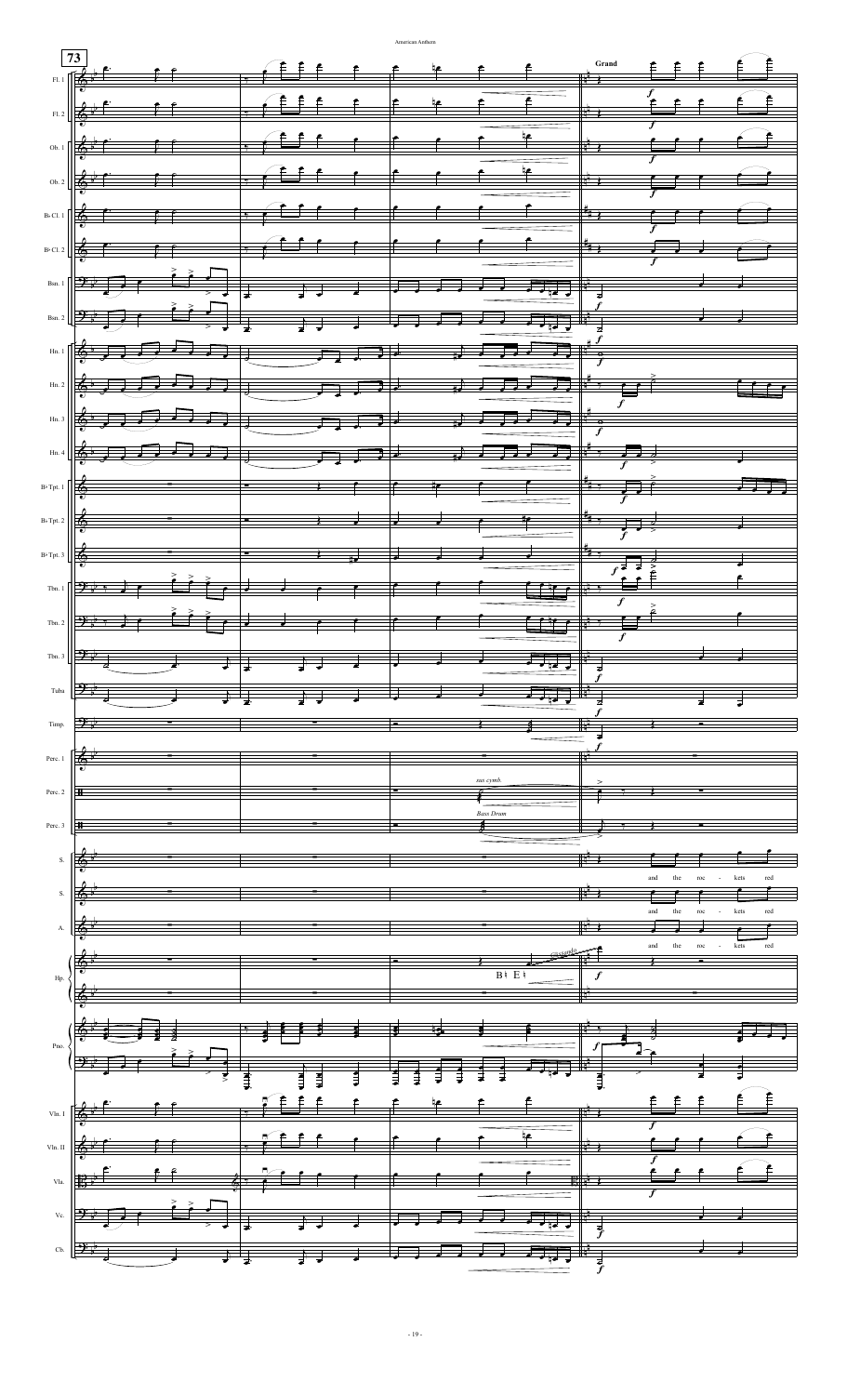|                                             | 73                                                                                                                                                                                                                                                                                                                                                                           |                                                                                                                                        |                                                                               |                                                                                                                                                                                                                                                                                                                                                     |                                                                                     | Grand                                                                                                                         |   |                          |
|---------------------------------------------|------------------------------------------------------------------------------------------------------------------------------------------------------------------------------------------------------------------------------------------------------------------------------------------------------------------------------------------------------------------------------|----------------------------------------------------------------------------------------------------------------------------------------|-------------------------------------------------------------------------------|-----------------------------------------------------------------------------------------------------------------------------------------------------------------------------------------------------------------------------------------------------------------------------------------------------------------------------------------------------|-------------------------------------------------------------------------------------|-------------------------------------------------------------------------------------------------------------------------------|---|--------------------------|
| FL1                                         |                                                                                                                                                                                                                                                                                                                                                                              | $\overline{\phantom{a}}$                                                                                                               |                                                                               |                                                                                                                                                                                                                                                                                                                                                     |                                                                                     |                                                                                                                               |   |                          |
| F1.2                                        |                                                                                                                                                                                                                                                                                                                                                                              |                                                                                                                                        |                                                                               |                                                                                                                                                                                                                                                                                                                                                     |                                                                                     |                                                                                                                               |   |                          |
|                                             |                                                                                                                                                                                                                                                                                                                                                                              |                                                                                                                                        |                                                                               |                                                                                                                                                                                                                                                                                                                                                     |                                                                                     |                                                                                                                               |   |                          |
| 0b. 1 【                                     | $\frac{\rho}{\sqrt{2}}$ , $\frac{\rho}{\sqrt{2}}$                                                                                                                                                                                                                                                                                                                            |                                                                                                                                        |                                                                               |                                                                                                                                                                                                                                                                                                                                                     |                                                                                     |                                                                                                                               |   |                          |
| $0b.2$ $\frac{1}{2}$                        | $\frac{\rho}{\sqrt{2}}$ , $\frac{\rho}{\sqrt{2}}$                                                                                                                                                                                                                                                                                                                            |                                                                                                                                        |                                                                               |                                                                                                                                                                                                                                                                                                                                                     |                                                                                     |                                                                                                                               |   |                          |
|                                             |                                                                                                                                                                                                                                                                                                                                                                              |                                                                                                                                        |                                                                               |                                                                                                                                                                                                                                                                                                                                                     |                                                                                     |                                                                                                                               |   |                          |
| $B \triangleright$ Cl. 1                    |                                                                                                                                                                                                                                                                                                                                                                              |                                                                                                                                        |                                                                               | $\left  \begin{array}{c} \end{array} \right $                                                                                                                                                                                                                                                                                                       |                                                                                     |                                                                                                                               |   |                          |
| $B \triangleright$ Cl. 2                    | $\begin{picture}(180,10) \put(0,0){\vector(1,0){100}} \put(10,0){\vector(1,0){100}} \put(10,0){\vector(1,0){100}} \put(10,0){\vector(1,0){100}} \put(10,0){\vector(1,0){100}} \put(10,0){\vector(1,0){100}} \put(10,0){\vector(1,0){100}} \put(10,0){\vector(1,0){100}} \put(10,0){\vector(1,0){100}} \put(10,0){\vector(1,0){100}} \put(10,0){\vector(1,0){100}}$           |                                                                                                                                        |                                                                               |                                                                                                                                                                                                                                                                                                                                                     |                                                                                     |                                                                                                                               |   |                          |
|                                             |                                                                                                                                                                                                                                                                                                                                                                              |                                                                                                                                        |                                                                               |                                                                                                                                                                                                                                                                                                                                                     |                                                                                     |                                                                                                                               |   |                          |
|                                             | $B_{\rm SM-1}$                                                                                                                                                                                                                                                                                                                                                               |                                                                                                                                        |                                                                               |                                                                                                                                                                                                                                                                                                                                                     |                                                                                     |                                                                                                                               |   |                          |
|                                             | $_{\rm{Bsn.2}}$ $\left \left \frac{9\pm\sqrt{2}}{3\pm\sqrt{2}}\right $ $\left \frac{3\pm\sqrt{2}}{3\pm\sqrt{2}}\right $ $\left \frac{3\pm\sqrt{2}}{3\pm\sqrt{2}}\right $ $\left \frac{3\pm\sqrt{2}}{3\pm\sqrt{2}}\right $ $\left \frac{3\pm\sqrt{2}}{3\pm\sqrt{2}}\right $ $\left \frac{3\pm\sqrt{2}}{3\pm\sqrt{2}}\right $ $\left \frac{3\pm\sqrt{2}}{3\pm\sqrt{2}}\right $ |                                                                                                                                        |                                                                               |                                                                                                                                                                                                                                                                                                                                                     |                                                                                     |                                                                                                                               |   |                          |
|                                             |                                                                                                                                                                                                                                                                                                                                                                              |                                                                                                                                        |                                                                               |                                                                                                                                                                                                                                                                                                                                                     |                                                                                     |                                                                                                                               |   |                          |
|                                             | $\lim_{\mathrm{Hn},1}$ $\left[\left(\frac{1}{\sqrt{2}}\right)^{\frac{1}{2}}\right]$                                                                                                                                                                                                                                                                                          | $\overline{\phantom{a}}$                                                                                                               |                                                                               | $\frac{1}{2}$ $\frac{1}{2}$ $\frac{1}{2}$ $\frac{1}{2}$ $\frac{1}{2}$ $\frac{1}{2}$ $\frac{1}{2}$ $\frac{1}{2}$ $\frac{1}{2}$ $\frac{1}{2}$ $\frac{1}{2}$ $\frac{1}{2}$ $\frac{1}{2}$ $\frac{1}{2}$ $\frac{1}{2}$ $\frac{1}{2}$ $\frac{1}{2}$ $\frac{1}{2}$ $\frac{1}{2}$ $\frac{1}{2}$ $\frac{1}{2}$ $\frac{1}{2}$                                 |                                                                                     |                                                                                                                               |   |                          |
| Hn.2                                        | $\sqrt{2}$                                                                                                                                                                                                                                                                                                                                                                   |                                                                                                                                        |                                                                               |                                                                                                                                                                                                                                                                                                                                                     |                                                                                     |                                                                                                                               |   | $\overline{\phantom{a}}$ |
|                                             |                                                                                                                                                                                                                                                                                                                                                                              |                                                                                                                                        |                                                                               |                                                                                                                                                                                                                                                                                                                                                     |                                                                                     |                                                                                                                               |   |                          |
| $\lim_{n \to \infty}$ $\frac{1}{\sqrt{2n}}$ | $\overline{1}$ , $\overline{1}$ , $\overline{1}$ , $\overline{1}$                                                                                                                                                                                                                                                                                                            | $\overline{1}$ $\overline{1}$ $\overline{1}$ $\overline{1}$ $\overline{1}$ $\overline{1}$ $\overline{1}$ $\overline{1}$ $\overline{1}$ |                                                                               |                                                                                                                                                                                                                                                                                                                                                     | $\frac{1}{\sqrt{2}}$ $\frac{1}{\sqrt{2}}$ $\frac{1}{\sqrt{2}}$ $\frac{1}{\sqrt{2}}$ |                                                                                                                               |   |                          |
| Hn.4                                        | $\sqrt{2}$                                                                                                                                                                                                                                                                                                                                                                   | $\sqrt{2}$                                                                                                                             |                                                                               | $\overline{\phantom{a}}$                                                                                                                                                                                                                                                                                                                            |                                                                                     | $\frac{1}{\sqrt{2}}$ $\frac{1}{\sqrt{2}}$ $\frac{1}{\sqrt{2}}$ $\frac{1}{\sqrt{2}}$ $\frac{1}{\sqrt{2}}$ $\frac{1}{\sqrt{2}}$ |   |                          |
|                                             |                                                                                                                                                                                                                                                                                                                                                                              |                                                                                                                                        |                                                                               |                                                                                                                                                                                                                                                                                                                                                     |                                                                                     |                                                                                                                               |   |                          |
| $B\flat$ Tpt. 1                             |                                                                                                                                                                                                                                                                                                                                                                              |                                                                                                                                        |                                                                               |                                                                                                                                                                                                                                                                                                                                                     |                                                                                     | $\frac{1}{2}$ $\frac{1}{2}$ $\frac{1}{2}$                                                                                     |   |                          |
| $B\nmid$ Tpt. 2                             |                                                                                                                                                                                                                                                                                                                                                                              |                                                                                                                                        |                                                                               | $\frac{1}{2}$                                                                                                                                                                                                                                                                                                                                       | $\frac{1}{2}$                                                                       | $\frac{1}{2}$                                                                                                                 | 흔 |                          |
|                                             |                                                                                                                                                                                                                                                                                                                                                                              |                                                                                                                                        |                                                                               |                                                                                                                                                                                                                                                                                                                                                     |                                                                                     |                                                                                                                               |   |                          |
| $B\nmid$ Tpt. 3                             |                                                                                                                                                                                                                                                                                                                                                                              |                                                                                                                                        |                                                                               |                                                                                                                                                                                                                                                                                                                                                     |                                                                                     |                                                                                                                               |   |                          |
|                                             | Tbn. 1 $\left \frac{9}{2}\right $ $\rightarrow$ $\rightarrow$ $\rightarrow$                                                                                                                                                                                                                                                                                                  | $\frac{1}{\sqrt{2}}$                                                                                                                   |                                                                               |                                                                                                                                                                                                                                                                                                                                                     | $\leftarrow$                                                                        |                                                                                                                               |   |                          |
|                                             |                                                                                                                                                                                                                                                                                                                                                                              |                                                                                                                                        |                                                                               |                                                                                                                                                                                                                                                                                                                                                     |                                                                                     |                                                                                                                               |   |                          |
| Tbn. $2$                                    | 9.7.7<br>$\sim$ $\sim$                                                                                                                                                                                                                                                                                                                                                       |                                                                                                                                        |                                                                               | $\overrightarrow{r}$ , and $\overrightarrow{r}$ , and $\overrightarrow{r}$ , and $\overrightarrow{r}$ , and $\overrightarrow{r}$ , and $\overrightarrow{r}$                                                                                                                                                                                         |                                                                                     |                                                                                                                               |   |                          |
|                                             |                                                                                                                                                                                                                                                                                                                                                                              |                                                                                                                                        |                                                                               |                                                                                                                                                                                                                                                                                                                                                     |                                                                                     |                                                                                                                               |   |                          |
|                                             |                                                                                                                                                                                                                                                                                                                                                                              |                                                                                                                                        |                                                                               |                                                                                                                                                                                                                                                                                                                                                     |                                                                                     |                                                                                                                               |   |                          |
| ${\hbox{Tuba}}$                             |                                                                                                                                                                                                                                                                                                                                                                              |                                                                                                                                        |                                                                               |                                                                                                                                                                                                                                                                                                                                                     |                                                                                     |                                                                                                                               |   |                          |
| Timp.                                       |                                                                                                                                                                                                                                                                                                                                                                              |                                                                                                                                        |                                                                               |                                                                                                                                                                                                                                                                                                                                                     |                                                                                     |                                                                                                                               |   |                          |
|                                             |                                                                                                                                                                                                                                                                                                                                                                              |                                                                                                                                        |                                                                               |                                                                                                                                                                                                                                                                                                                                                     |                                                                                     |                                                                                                                               |   |                          |
| Perc. 1                                     |                                                                                                                                                                                                                                                                                                                                                                              |                                                                                                                                        |                                                                               |                                                                                                                                                                                                                                                                                                                                                     |                                                                                     |                                                                                                                               |   |                          |
| Perc. 2                                     |                                                                                                                                                                                                                                                                                                                                                                              |                                                                                                                                        |                                                                               |                                                                                                                                                                                                                                                                                                                                                     |                                                                                     |                                                                                                                               |   |                          |
|                                             |                                                                                                                                                                                                                                                                                                                                                                              |                                                                                                                                        |                                                                               | <b>Bass Drum</b>                                                                                                                                                                                                                                                                                                                                    |                                                                                     |                                                                                                                               |   |                          |
| Perc. 3                                     |                                                                                                                                                                                                                                                                                                                                                                              |                                                                                                                                        |                                                                               |                                                                                                                                                                                                                                                                                                                                                     |                                                                                     |                                                                                                                               |   |                          |
| $\mathbf{S}.$                               |                                                                                                                                                                                                                                                                                                                                                                              |                                                                                                                                        |                                                                               |                                                                                                                                                                                                                                                                                                                                                     |                                                                                     |                                                                                                                               |   |                          |
|                                             |                                                                                                                                                                                                                                                                                                                                                                              |                                                                                                                                        |                                                                               |                                                                                                                                                                                                                                                                                                                                                     |                                                                                     |                                                                                                                               |   |                          |
|                                             |                                                                                                                                                                                                                                                                                                                                                                              |                                                                                                                                        |                                                                               |                                                                                                                                                                                                                                                                                                                                                     |                                                                                     |                                                                                                                               |   | red                      |
| А.                                          |                                                                                                                                                                                                                                                                                                                                                                              |                                                                                                                                        |                                                                               |                                                                                                                                                                                                                                                                                                                                                     |                                                                                     |                                                                                                                               |   |                          |
|                                             |                                                                                                                                                                                                                                                                                                                                                                              |                                                                                                                                        |                                                                               |                                                                                                                                                                                                                                                                                                                                                     |                                                                                     |                                                                                                                               |   | kets<br>red              |
| Hp.                                         |                                                                                                                                                                                                                                                                                                                                                                              |                                                                                                                                        |                                                                               | $B$ <sup><math>\nparallel</math></sup> $E$ <sup><math>\nparallel</math></sup>                                                                                                                                                                                                                                                                       |                                                                                     |                                                                                                                               |   |                          |
|                                             |                                                                                                                                                                                                                                                                                                                                                                              |                                                                                                                                        |                                                                               |                                                                                                                                                                                                                                                                                                                                                     |                                                                                     |                                                                                                                               |   |                          |
|                                             |                                                                                                                                                                                                                                                                                                                                                                              |                                                                                                                                        |                                                                               |                                                                                                                                                                                                                                                                                                                                                     |                                                                                     |                                                                                                                               |   |                          |
| Pno.                                        |                                                                                                                                                                                                                                                                                                                                                                              |                                                                                                                                        |                                                                               | $\frac{1}{2}$ $\frac{1}{2}$ $\frac{1}{2}$                                                                                                                                                                                                                                                                                                           | $\overline{\phantom{a}}$                                                            |                                                                                                                               |   |                          |
|                                             |                                                                                                                                                                                                                                                                                                                                                                              |                                                                                                                                        |                                                                               |                                                                                                                                                                                                                                                                                                                                                     |                                                                                     |                                                                                                                               |   |                          |
|                                             |                                                                                                                                                                                                                                                                                                                                                                              |                                                                                                                                        |                                                                               |                                                                                                                                                                                                                                                                                                                                                     |                                                                                     |                                                                                                                               |   |                          |
| V <sub>ln.1</sub>                           |                                                                                                                                                                                                                                                                                                                                                                              |                                                                                                                                        | $\begin{array}{c c c c} \hline \bullet & \bullet & \circ \bullet \end{array}$ |                                                                                                                                                                                                                                                                                                                                                     |                                                                                     | $\mathbb{H}^1$ ).                                                                                                             |   |                          |
|                                             |                                                                                                                                                                                                                                                                                                                                                                              |                                                                                                                                        |                                                                               |                                                                                                                                                                                                                                                                                                                                                     |                                                                                     |                                                                                                                               |   |                          |
| V <sub>ln. II</sub>                         |                                                                                                                                                                                                                                                                                                                                                                              |                                                                                                                                        |                                                                               | $\overline{\phantom{a}}$                                                                                                                                                                                                                                                                                                                            |                                                                                     |                                                                                                                               |   |                          |
| $V$ la.                                     | $\mathbb{B}$ $\mathbb{F}$                                                                                                                                                                                                                                                                                                                                                    | $\frac{2}{6}$ , $\frac{1}{6}$ $\frac{1}{6}$                                                                                            |                                                                               | $\begin{picture}(130,10) \put(0,0){\line(1,0){10}} \put(15,0){\line(1,0){10}} \put(15,0){\line(1,0){10}} \put(15,0){\line(1,0){10}} \put(15,0){\line(1,0){10}} \put(15,0){\line(1,0){10}} \put(15,0){\line(1,0){10}} \put(15,0){\line(1,0){10}} \put(15,0){\line(1,0){10}} \put(15,0){\line(1,0){10}} \put(15,0){\line(1,0){10}} \put(15,0){\line($ |                                                                                     |                                                                                                                               |   |                          |
|                                             |                                                                                                                                                                                                                                                                                                                                                                              |                                                                                                                                        |                                                                               |                                                                                                                                                                                                                                                                                                                                                     |                                                                                     |                                                                                                                               |   |                          |
| $\rm{Vc.}$                                  | $7 \cdot$<br>$\boxed{9}$                                                                                                                                                                                                                                                                                                                                                     |                                                                                                                                        |                                                                               |                                                                                                                                                                                                                                                                                                                                                     |                                                                                     |                                                                                                                               |   |                          |
| Cb.                                         |                                                                                                                                                                                                                                                                                                                                                                              |                                                                                                                                        |                                                                               |                                                                                                                                                                                                                                                                                                                                                     |                                                                                     |                                                                                                                               |   |                          |
|                                             |                                                                                                                                                                                                                                                                                                                                                                              |                                                                                                                                        |                                                                               |                                                                                                                                                                                                                                                                                                                                                     |                                                                                     |                                                                                                                               |   |                          |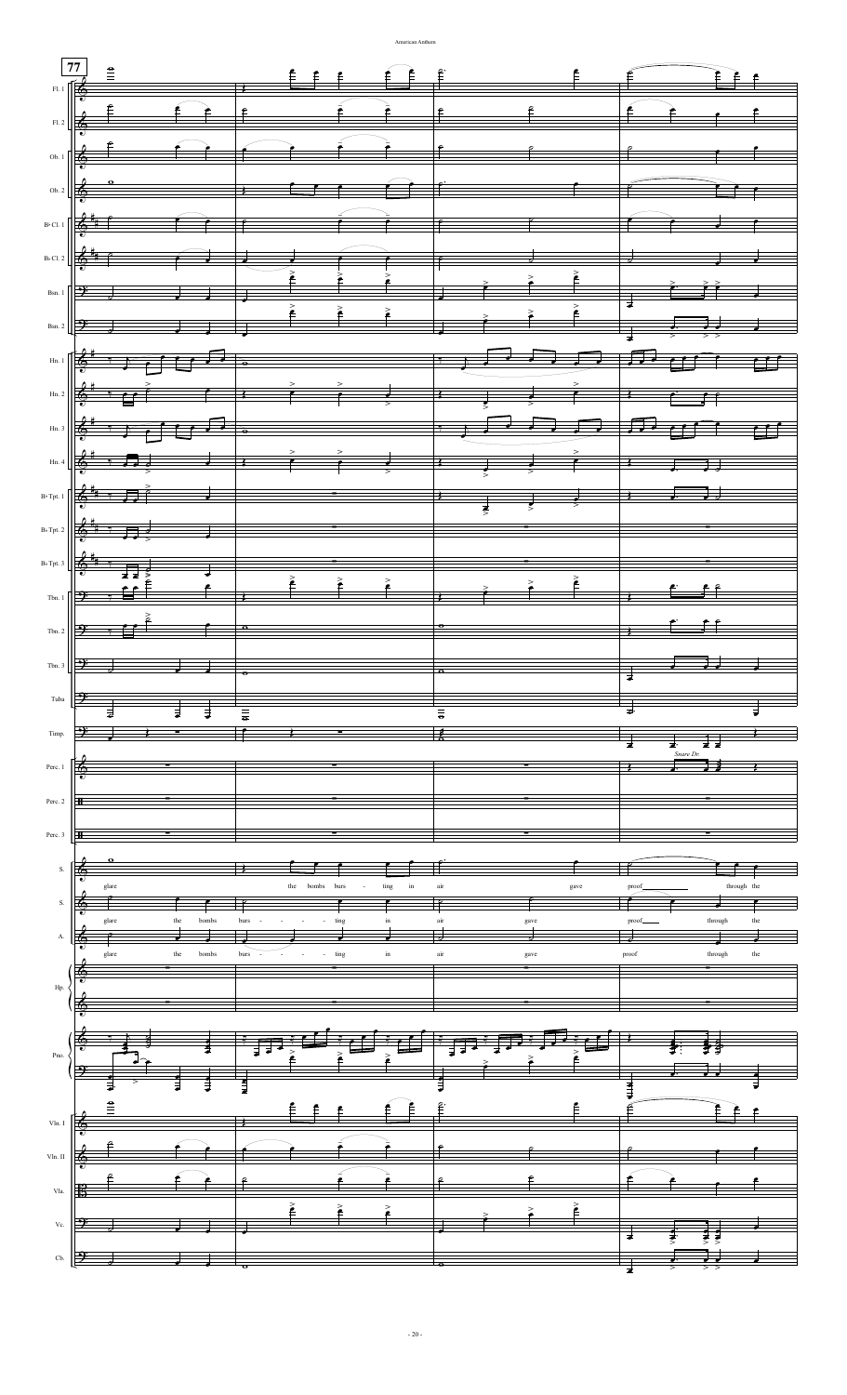|         | ${\bf 77}$ |                                                                                                                                                                                                                                                                                                                                                                                                    |       |  |  |       |                           |                          | $\begin{array}{c} \begin{array}{c} \bullet \end{array} & \begin{array}{c} \bullet \end{array} & \begin{array}{c} \bullet \end{array} & \begin{array}{c} \bullet \end{array} & \begin{array}{c} \bullet \end{array} & \begin{array}{c} \bullet \end{array} & \begin{array}{c} \bullet \end{array} & \begin{array}{c} \bullet \end{array} & \begin{array}{c} \bullet \end{array} & \begin{array}{c} \bullet \end{array} & \begin{array}{c} \bullet \end{array} & \begin{array}{c} \bullet \end{array} & \begin{array}{c} \bullet \end{array} & \begin{array}{c} \bullet \end{array} & \begin{$ |  |
|---------|------------|----------------------------------------------------------------------------------------------------------------------------------------------------------------------------------------------------------------------------------------------------------------------------------------------------------------------------------------------------------------------------------------------------|-------|--|--|-------|---------------------------|--------------------------|----------------------------------------------------------------------------------------------------------------------------------------------------------------------------------------------------------------------------------------------------------------------------------------------------------------------------------------------------------------------------------------------------------------------------------------------------------------------------------------------------------------------------------------------------------------------------------------------|--|
|         |            |                                                                                                                                                                                                                                                                                                                                                                                                    |       |  |  |       |                           |                          | <u>reperente de la paradistria de la paradistria de la paradistria de la paradistria de la paradistria de la par</u>                                                                                                                                                                                                                                                                                                                                                                                                                                                                         |  |
|         | F1.2       |                                                                                                                                                                                                                                                                                                                                                                                                    |       |  |  |       |                           |                          |                                                                                                                                                                                                                                                                                                                                                                                                                                                                                                                                                                                              |  |
| Ob. 1   |            |                                                                                                                                                                                                                                                                                                                                                                                                    |       |  |  |       |                           |                          |                                                                                                                                                                                                                                                                                                                                                                                                                                                                                                                                                                                              |  |
|         |            |                                                                                                                                                                                                                                                                                                                                                                                                    |       |  |  |       |                           |                          |                                                                                                                                                                                                                                                                                                                                                                                                                                                                                                                                                                                              |  |
|         |            |                                                                                                                                                                                                                                                                                                                                                                                                    |       |  |  |       |                           |                          | $\mathbb{R}^{n+1}$ is the set of the set of the set of the set of the set of the set of the set of the set of the set of the set of the set of the set of the set of the set of the set of the set of the set of the set of the se                                                                                                                                                                                                                                                                                                                                                           |  |
|         |            |                                                                                                                                                                                                                                                                                                                                                                                                    |       |  |  |       | <b>BCL2</b> $\frac{1}{2}$ |                          | $\overline{\phantom{a}}$                                                                                                                                                                                                                                                                                                                                                                                                                                                                                                                                                                     |  |
|         |            |                                                                                                                                                                                                                                                                                                                                                                                                    |       |  |  |       |                           |                          | $Ban 1$ $\left \frac{3\pi}{2}+\frac{3\pi}{2}+\frac{3\pi}{2}\right $                                                                                                                                                                                                                                                                                                                                                                                                                                                                                                                          |  |
|         |            |                                                                                                                                                                                                                                                                                                                                                                                                    |       |  |  |       |                           |                          | $Ban 2$ $\left[\frac{1}{2}$ $\frac{1}{2}$ $\frac{1}{2}$ $\frac{1}{2}$ $\frac{1}{2}$ $\frac{1}{2}$ $\frac{1}{2}$ $\frac{1}{2}$ $\frac{1}{2}$ $\frac{1}{2}$ $\frac{1}{2}$ $\frac{1}{2}$ $\frac{1}{2}$ $\frac{1}{2}$ $\frac{1}{2}$ $\frac{1}{2}$ $\frac{1}{2}$ $\frac{1}{2}$ $\frac{1}{2}$ $\frac{1}{2}$ $\frac{1}{2}$ $\$                                                                                                                                                                                                                                                                      |  |
|         |            |                                                                                                                                                                                                                                                                                                                                                                                                    |       |  |  |       |                           |                          |                                                                                                                                                                                                                                                                                                                                                                                                                                                                                                                                                                                              |  |
|         |            |                                                                                                                                                                                                                                                                                                                                                                                                    |       |  |  |       |                           |                          |                                                                                                                                                                                                                                                                                                                                                                                                                                                                                                                                                                                              |  |
|         |            |                                                                                                                                                                                                                                                                                                                                                                                                    |       |  |  |       |                           |                          | $\limsup \left\{\left \frac{a_1}{b_1}+\frac{b_1}{b_2}+\frac{b_1}{b_1}\right +\left \frac{b_1}{b_1}+\frac{b_1}{b_2}\right +\left \frac{b_1}{b_1}+\frac{b_1}{b_2}\right +\left \frac{b_1}{b_1}+\frac{b_1}{b_1}\right +\left \frac{b_1}{b_1}+\frac{b_1}{b_1}\right +\left \frac{b_1}{b_1}+\frac{b_1}{b_1}\right +\left \frac{b_1}{b_1}+\frac{b_1}{b_1}\right +\left \frac{b_1}{b_1}+\frac{b_1}{b$                                                                                                                                                                                               |  |
|         |            |                                                                                                                                                                                                                                                                                                                                                                                                    |       |  |  |       |                           |                          |                                                                                                                                                                                                                                                                                                                                                                                                                                                                                                                                                                                              |  |
|         |            |                                                                                                                                                                                                                                                                                                                                                                                                    |       |  |  |       |                           |                          | $\lim_{\Delta t \to 0} 4 \left\  \frac{1}{\sqrt{3}} \frac{1}{2} + \frac{1}{\sqrt{3}} \frac{1}{2} \frac{1}{\sqrt{3}} + \frac{1}{\sqrt{3}} \frac{1}{\sqrt{3}} + \frac{1}{\sqrt{3}} \frac{1}{\sqrt{3}} + \frac{1}{\sqrt{3}} \frac{1}{\sqrt{3}} + \frac{1}{\sqrt{3}} \frac{1}{\sqrt{3}} + \frac{1}{\sqrt{3}} \frac{1}{\sqrt{3}} + \frac{1}{\sqrt{3}} \frac{1}{\sqrt{3}} + \frac{1}{\sqrt{3}} \frac{1}{\sqrt{3}} + \frac{1}{\sqrt{3}}$                                                                                                                                                            |  |
|         |            |                                                                                                                                                                                                                                                                                                                                                                                                    |       |  |  |       |                           |                          |                                                                                                                                                                                                                                                                                                                                                                                                                                                                                                                                                                                              |  |
|         |            | $B^3$ Tpt. 2 $\left  \begin{array}{ccc} \frac{A}{2} & \frac{B}{2} & \frac{B}{2} & \frac{B}{2} & \frac{B}{2} & \frac{B}{2} & \frac{B}{2} & \frac{B}{2} & \frac{B}{2} & \frac{B}{2} & \frac{B}{2} & \frac{B}{2} & \frac{B}{2} & \frac{B}{2} & \frac{B}{2} & \frac{B}{2} & \frac{B}{2} & \frac{B}{2} & \frac{B}{2} & \frac{B}{2} & \frac{B}{2} & \frac{B}{2} & \frac{B}{2} & \frac{B}{2} & \frac{B}{$ |       |  |  |       |                           |                          |                                                                                                                                                                                                                                                                                                                                                                                                                                                                                                                                                                                              |  |
|         |            | $B_3$ Tpt. 3 $\left($ $\frac{2}{3}$ $\frac{4}{3}$ $\frac{4}{3}$ $\frac{3}{2}$ $\frac{3}{2}$ $\frac{3}{2}$ $\frac{3}{2}$ $\frac{3}{2}$ $\frac{3}{2}$ $\frac{3}{2}$ $\frac{3}{2}$ $\frac{3}{2}$ $\frac{3}{2}$ $\frac{3}{2}$ $\frac{3}{2}$ $\frac{3}{2}$ $\frac{3}{2}$ $\frac{3}{2}$ $\frac{3}{2}$ $\frac{3}{2}$ $\$                                                                                  |       |  |  |       |                           |                          |                                                                                                                                                                                                                                                                                                                                                                                                                                                                                                                                                                                              |  |
|         |            | $T_{\text{Dn.}1}$                                                                                                                                                                                                                                                                                                                                                                                  |       |  |  | $\ge$ |                           | $\overline{\phantom{a}}$ | $\frac{1}{\sqrt{2}}$                                                                                                                                                                                                                                                                                                                                                                                                                                                                                                                                                                         |  |
|         |            | $T_{\rm bh, 2}$ $\left  \frac{1}{2} \right $ $\left  \frac{1}{2} \right $ $\left  \frac{1}{2} \right $ $\left  \frac{1}{2} \right $ $\left  \frac{1}{2} \right $ $\left  \frac{1}{2} \right $ $\left  \frac{1}{2} \right $ $\left  \frac{1}{2} \right $ $\left  \frac{1}{2} \right $ $\left  \frac{1}{2} \right $                                                                                  |       |  |  |       |                           | $\overline{a}$           | $\frac{1}{2}$                                                                                                                                                                                                                                                                                                                                                                                                                                                                                                                                                                                |  |
|         |            |                                                                                                                                                                                                                                                                                                                                                                                                    |       |  |  |       |                           |                          |                                                                                                                                                                                                                                                                                                                                                                                                                                                                                                                                                                                              |  |
|         |            |                                                                                                                                                                                                                                                                                                                                                                                                    |       |  |  |       |                           |                          | $T_{\rm{Dn-3}}$ and $T_{\rm{Dn-1}}$ are also assumed as a set of the set of the set of the set of the set of the set of the set of the set of the set of the set of the set of the set of the set of the set of the set of the set                                                                                                                                                                                                                                                                                                                                                           |  |
|         |            |                                                                                                                                                                                                                                                                                                                                                                                                    |       |  |  |       |                           |                          |                                                                                                                                                                                                                                                                                                                                                                                                                                                                                                                                                                                              |  |
| Timp    |            |                                                                                                                                                                                                                                                                                                                                                                                                    |       |  |  |       |                           |                          |                                                                                                                                                                                                                                                                                                                                                                                                                                                                                                                                                                                              |  |
| Perc. 1 |            |                                                                                                                                                                                                                                                                                                                                                                                                    |       |  |  |       |                           |                          |                                                                                                                                                                                                                                                                                                                                                                                                                                                                                                                                                                                              |  |
| Perc. 2 |            |                                                                                                                                                                                                                                                                                                                                                                                                    |       |  |  |       |                           |                          |                                                                                                                                                                                                                                                                                                                                                                                                                                                                                                                                                                                              |  |
| Perc. 3 |            |                                                                                                                                                                                                                                                                                                                                                                                                    |       |  |  |       |                           |                          |                                                                                                                                                                                                                                                                                                                                                                                                                                                                                                                                                                                              |  |
|         |            |                                                                                                                                                                                                                                                                                                                                                                                                    |       |  |  |       |                           |                          |                                                                                                                                                                                                                                                                                                                                                                                                                                                                                                                                                                                              |  |
|         |            |                                                                                                                                                                                                                                                                                                                                                                                                    |       |  |  |       |                           |                          |                                                                                                                                                                                                                                                                                                                                                                                                                                                                                                                                                                                              |  |
|         |            |                                                                                                                                                                                                                                                                                                                                                                                                    |       |  |  |       |                           |                          | through                                                                                                                                                                                                                                                                                                                                                                                                                                                                                                                                                                                      |  |
|         |            |                                                                                                                                                                                                                                                                                                                                                                                                    | bomb: |  |  | gave  |                           | proof                    | through                                                                                                                                                                                                                                                                                                                                                                                                                                                                                                                                                                                      |  |
| Hp.     |            |                                                                                                                                                                                                                                                                                                                                                                                                    |       |  |  |       |                           |                          |                                                                                                                                                                                                                                                                                                                                                                                                                                                                                                                                                                                              |  |
|         |            |                                                                                                                                                                                                                                                                                                                                                                                                    |       |  |  |       |                           |                          |                                                                                                                                                                                                                                                                                                                                                                                                                                                                                                                                                                                              |  |
|         |            |                                                                                                                                                                                                                                                                                                                                                                                                    |       |  |  |       |                           |                          |                                                                                                                                                                                                                                                                                                                                                                                                                                                                                                                                                                                              |  |
|         |            |                                                                                                                                                                                                                                                                                                                                                                                                    |       |  |  |       |                           |                          |                                                                                                                                                                                                                                                                                                                                                                                                                                                                                                                                                                                              |  |
|         |            |                                                                                                                                                                                                                                                                                                                                                                                                    |       |  |  |       |                           |                          |                                                                                                                                                                                                                                                                                                                                                                                                                                                                                                                                                                                              |  |
| Vln. I  |            |                                                                                                                                                                                                                                                                                                                                                                                                    |       |  |  |       |                           |                          |                                                                                                                                                                                                                                                                                                                                                                                                                                                                                                                                                                                              |  |
| Vln. II |            |                                                                                                                                                                                                                                                                                                                                                                                                    |       |  |  |       |                           |                          |                                                                                                                                                                                                                                                                                                                                                                                                                                                                                                                                                                                              |  |
|         |            |                                                                                                                                                                                                                                                                                                                                                                                                    |       |  |  |       |                           |                          |                                                                                                                                                                                                                                                                                                                                                                                                                                                                                                                                                                                              |  |
|         |            |                                                                                                                                                                                                                                                                                                                                                                                                    |       |  |  |       |                           |                          |                                                                                                                                                                                                                                                                                                                                                                                                                                                                                                                                                                                              |  |
|         |            |                                                                                                                                                                                                                                                                                                                                                                                                    |       |  |  |       |                           |                          |                                                                                                                                                                                                                                                                                                                                                                                                                                                                                                                                                                                              |  |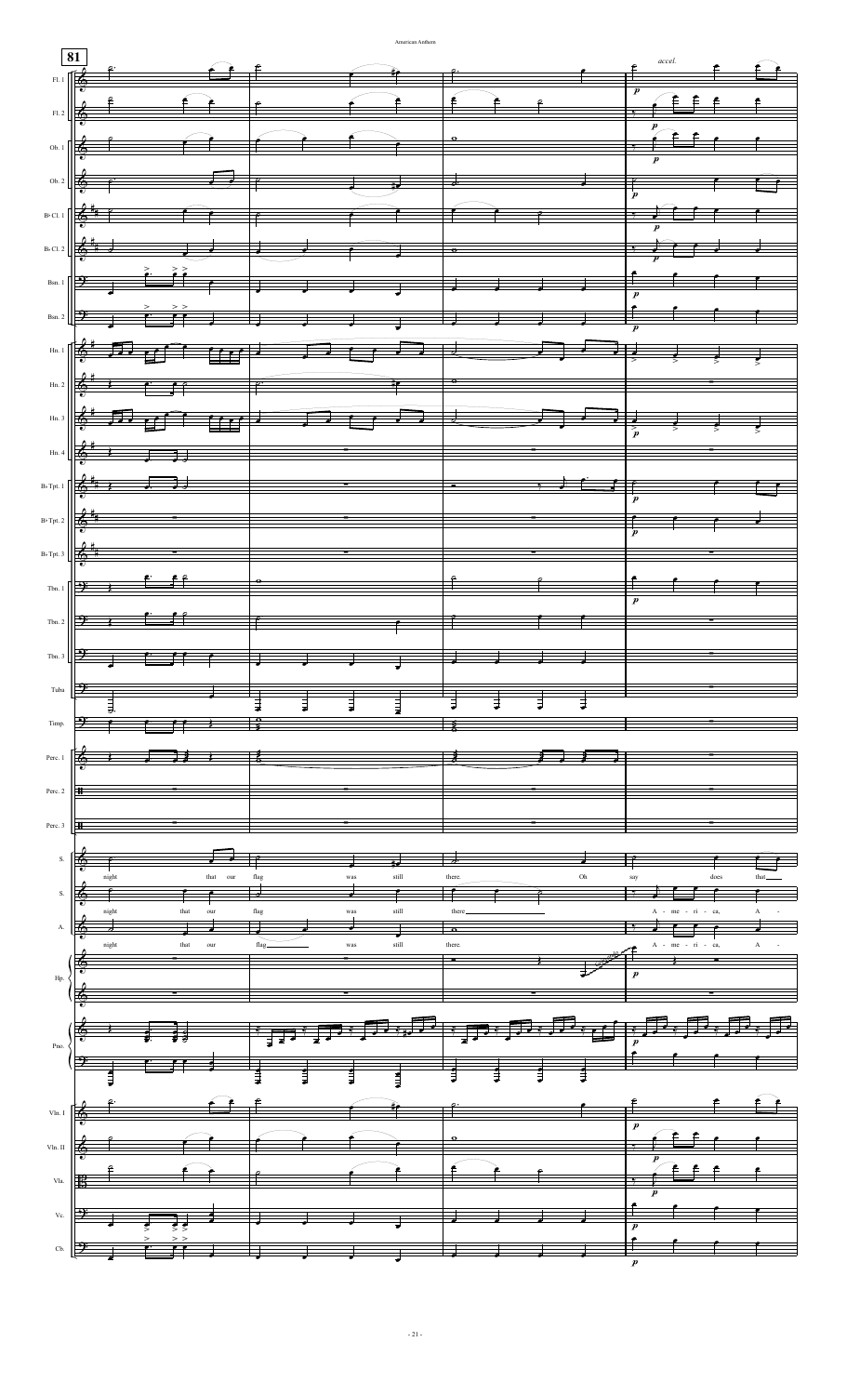|                                         |                          |                                                                                                                                                                                                                                                                                                                                                                                                        |                                                                                 |      |   |     | American Anthem                                                                                                                                                                                                                                                                                                                                                                                                     |                          |                          |                          |                         |   |  |
|-----------------------------------------|--------------------------|--------------------------------------------------------------------------------------------------------------------------------------------------------------------------------------------------------------------------------------------------------------------------------------------------------------------------------------------------------------------------------------------------------|---------------------------------------------------------------------------------|------|---|-----|---------------------------------------------------------------------------------------------------------------------------------------------------------------------------------------------------------------------------------------------------------------------------------------------------------------------------------------------------------------------------------------------------------------------|--------------------------|--------------------------|--------------------------|-------------------------|---|--|
|                                         | 81                       |                                                                                                                                                                                                                                                                                                                                                                                                        |                                                                                 |      |   |     |                                                                                                                                                                                                                                                                                                                                                                                                                     |                          |                          |                          |                         |   |  |
| FL 1                                    |                          |                                                                                                                                                                                                                                                                                                                                                                                                        |                                                                                 |      |   |     |                                                                                                                                                                                                                                                                                                                                                                                                                     |                          |                          |                          |                         |   |  |
|                                         |                          |                                                                                                                                                                                                                                                                                                                                                                                                        |                                                                                 |      |   |     |                                                                                                                                                                                                                                                                                                                                                                                                                     |                          |                          |                          |                         |   |  |
| FL. 2 $\frac{1}{6}$                     |                          |                                                                                                                                                                                                                                                                                                                                                                                                        |                                                                                 |      |   |     |                                                                                                                                                                                                                                                                                                                                                                                                                     | €                        |                          |                          | $\vert \cdot \vert$     |   |  |
|                                         |                          |                                                                                                                                                                                                                                                                                                                                                                                                        |                                                                                 |      |   |     |                                                                                                                                                                                                                                                                                                                                                                                                                     |                          |                          |                          | $\vert \gamma \vert$    |   |  |
| Ob. 1 $\sqrt{\frac{2}{10}}$             |                          |                                                                                                                                                                                                                                                                                                                                                                                                        |                                                                                 |      |   |     |                                                                                                                                                                                                                                                                                                                                                                                                                     |                          |                          |                          |                         |   |  |
| Ob. 2                                   |                          |                                                                                                                                                                                                                                                                                                                                                                                                        |                                                                                 |      |   |     |                                                                                                                                                                                                                                                                                                                                                                                                                     |                          |                          |                          |                         |   |  |
|                                         |                          |                                                                                                                                                                                                                                                                                                                                                                                                        |                                                                                 |      |   |     |                                                                                                                                                                                                                                                                                                                                                                                                                     |                          |                          |                          |                         |   |  |
| $B5$ Cl. 1                              |                          |                                                                                                                                                                                                                                                                                                                                                                                                        | $\bullet$ $\bullet$ $\bullet$ $\bullet$ $\bullet$ $\bullet$ $\bullet$ $\bullet$ |      |   |     |                                                                                                                                                                                                                                                                                                                                                                                                                     | $\blacksquare$           |                          |                          |                         |   |  |
|                                         |                          |                                                                                                                                                                                                                                                                                                                                                                                                        |                                                                                 |      |   |     |                                                                                                                                                                                                                                                                                                                                                                                                                     |                          |                          |                          |                         |   |  |
| $B \triangleright C1.2$                 |                          |                                                                                                                                                                                                                                                                                                                                                                                                        |                                                                                 |      | ≢ |     |                                                                                                                                                                                                                                                                                                                                                                                                                     | $-\circ$                 |                          |                          | $\mathbf{L}$            |   |  |
|                                         |                          |                                                                                                                                                                                                                                                                                                                                                                                                        |                                                                                 |      |   |     |                                                                                                                                                                                                                                                                                                                                                                                                                     |                          |                          |                          |                         |   |  |
|                                         |                          | $B_{\rm Sn,1}$ $\left\  \begin{array}{ccc} \frac{3}{2} & \frac{3}{2} & \frac{3}{2} & \frac{3}{2} & \frac{3}{2} & \frac{3}{2} & \frac{3}{2} & \frac{3}{2} & \frac{3}{2} & \frac{3}{2} & \frac{3}{2} & \frac{3}{2} & \frac{3}{2} & \frac{3}{2} & \frac{3}{2} & \frac{3}{2} & \frac{3}{2} & \frac{3}{2} & \frac{3}{2} & \frac{3}{2} & \frac{3}{2} & \frac{3}{2} & \frac{3}{2} & \frac{3}{2} & \frac{3}{2$ |                                                                                 |      |   |     |                                                                                                                                                                                                                                                                                                                                                                                                                     |                          |                          |                          | $\frac{1}{p}$           |   |  |
|                                         |                          |                                                                                                                                                                                                                                                                                                                                                                                                        |                                                                                 |      |   |     |                                                                                                                                                                                                                                                                                                                                                                                                                     |                          |                          |                          |                         |   |  |
|                                         |                          | Bsn.2                                                                                                                                                                                                                                                                                                                                                                                                  |                                                                                 |      |   |     |                                                                                                                                                                                                                                                                                                                                                                                                                     |                          |                          |                          | $\frac{1}{p}$           |   |  |
|                                         |                          |                                                                                                                                                                                                                                                                                                                                                                                                        |                                                                                 |      |   |     |                                                                                                                                                                                                                                                                                                                                                                                                                     |                          |                          |                          |                         |   |  |
|                                         |                          | <b>Example 1999</b>                                                                                                                                                                                                                                                                                                                                                                                    |                                                                                 |      |   |     | $\overline{\phantom{a}}$                                                                                                                                                                                                                                                                                                                                                                                            |                          | $\overline{\phantom{a}}$ |                          |                         |   |  |
|                                         |                          | $\frac{1}{2}$ $\frac{1}{2}$ $\frac{1}{2}$ $\frac{1}{2}$ $\frac{1}{2}$ $\frac{1}{2}$ $\frac{1}{2}$ $\frac{1}{2}$ $\frac{1}{2}$ $\frac{1}{2}$ $\frac{1}{2}$ $\frac{1}{2}$ $\frac{1}{2}$ $\frac{1}{2}$ $\frac{1}{2}$ $\frac{1}{2}$ $\frac{1}{2}$ $\frac{1}{2}$ $\frac{1}{2}$ $\frac{1}{2}$ $\frac{1}{2}$ $\frac{1}{2}$                                                                                    |                                                                                 |      |   |     | $\frac{4\epsilon}{\epsilon}$                                                                                                                                                                                                                                                                                                                                                                                        | $\overline{\phantom{a}}$ |                          |                          |                         |   |  |
|                                         |                          |                                                                                                                                                                                                                                                                                                                                                                                                        |                                                                                 |      |   |     |                                                                                                                                                                                                                                                                                                                                                                                                                     |                          |                          |                          |                         |   |  |
|                                         |                          | $\mathbb{R}^n$ $\mathbb{R}^n$ $\mathbb{R}^n$ $\mathbb{R}^n$ $\mathbb{R}^n$ $\mathbb{R}^n$ $\mathbb{R}^n$ $\mathbb{R}^n$                                                                                                                                                                                                                                                                                |                                                                                 |      |   |     |                                                                                                                                                                                                                                                                                                                                                                                                                     |                          |                          |                          | $\frac{1}{p}$           | ≢ |  |
|                                         |                          |                                                                                                                                                                                                                                                                                                                                                                                                        |                                                                                 |      |   |     |                                                                                                                                                                                                                                                                                                                                                                                                                     |                          |                          |                          |                         |   |  |
|                                         |                          | $\lim_{h \to 0} 4 \sqrt{\frac{h}{h}}$                                                                                                                                                                                                                                                                                                                                                                  |                                                                                 |      |   |     |                                                                                                                                                                                                                                                                                                                                                                                                                     |                          |                          |                          |                         |   |  |
|                                         |                          |                                                                                                                                                                                                                                                                                                                                                                                                        |                                                                                 |      |   |     |                                                                                                                                                                                                                                                                                                                                                                                                                     |                          |                          |                          |                         |   |  |
| B <sub>b</sub> Tpt. 1                   |                          |                                                                                                                                                                                                                                                                                                                                                                                                        |                                                                                 |      |   |     |                                                                                                                                                                                                                                                                                                                                                                                                                     |                          |                          |                          |                         |   |  |
|                                         |                          |                                                                                                                                                                                                                                                                                                                                                                                                        |                                                                                 |      |   |     |                                                                                                                                                                                                                                                                                                                                                                                                                     |                          |                          |                          |                         |   |  |
| $B\overline{b}$ Tpt. 2                  | $\overline{\phantom{a}}$ |                                                                                                                                                                                                                                                                                                                                                                                                        |                                                                                 |      |   |     |                                                                                                                                                                                                                                                                                                                                                                                                                     |                          |                          |                          |                         |   |  |
| $B \triangleright$ Tpt. 3 $\frac{1}{2}$ |                          |                                                                                                                                                                                                                                                                                                                                                                                                        |                                                                                 |      |   |     |                                                                                                                                                                                                                                                                                                                                                                                                                     |                          |                          |                          |                         |   |  |
|                                         |                          |                                                                                                                                                                                                                                                                                                                                                                                                        |                                                                                 |      |   |     |                                                                                                                                                                                                                                                                                                                                                                                                                     |                          |                          |                          |                         |   |  |
| Tbn. 1                                  |                          |                                                                                                                                                                                                                                                                                                                                                                                                        |                                                                                 |      |   |     |                                                                                                                                                                                                                                                                                                                                                                                                                     |                          |                          |                          |                         |   |  |
|                                         |                          |                                                                                                                                                                                                                                                                                                                                                                                                        |                                                                                 |      |   |     |                                                                                                                                                                                                                                                                                                                                                                                                                     |                          |                          |                          |                         |   |  |
| Tbn. 2                                  |                          |                                                                                                                                                                                                                                                                                                                                                                                                        |                                                                                 |      |   |     |                                                                                                                                                                                                                                                                                                                                                                                                                     |                          |                          |                          |                         |   |  |
|                                         |                          |                                                                                                                                                                                                                                                                                                                                                                                                        |                                                                                 |      |   |     |                                                                                                                                                                                                                                                                                                                                                                                                                     |                          |                          |                          |                         |   |  |
| 1bn.3                                   | ⊫⊶                       |                                                                                                                                                                                                                                                                                                                                                                                                        |                                                                                 |      |   |     |                                                                                                                                                                                                                                                                                                                                                                                                                     |                          |                          |                          |                         |   |  |
|                                         |                          |                                                                                                                                                                                                                                                                                                                                                                                                        |                                                                                 |      |   |     |                                                                                                                                                                                                                                                                                                                                                                                                                     |                          |                          |                          |                         |   |  |
| Tuba                                    |                          |                                                                                                                                                                                                                                                                                                                                                                                                        |                                                                                 |      |   | ₹   | Ţ                                                                                                                                                                                                                                                                                                                                                                                                                   |                          | ţ                        |                          |                         |   |  |
| Timp.                                   |                          |                                                                                                                                                                                                                                                                                                                                                                                                        |                                                                                 |      |   |     |                                                                                                                                                                                                                                                                                                                                                                                                                     |                          |                          |                          |                         |   |  |
|                                         |                          |                                                                                                                                                                                                                                                                                                                                                                                                        |                                                                                 |      |   |     |                                                                                                                                                                                                                                                                                                                                                                                                                     |                          |                          |                          |                         |   |  |
| Perc. 1                                 |                          |                                                                                                                                                                                                                                                                                                                                                                                                        |                                                                                 |      |   |     |                                                                                                                                                                                                                                                                                                                                                                                                                     |                          |                          |                          |                         |   |  |
|                                         |                          |                                                                                                                                                                                                                                                                                                                                                                                                        |                                                                                 |      |   |     |                                                                                                                                                                                                                                                                                                                                                                                                                     |                          |                          |                          |                         |   |  |
| Perc. 2                                 |                          |                                                                                                                                                                                                                                                                                                                                                                                                        |                                                                                 |      |   |     |                                                                                                                                                                                                                                                                                                                                                                                                                     |                          |                          |                          |                         |   |  |
|                                         |                          |                                                                                                                                                                                                                                                                                                                                                                                                        |                                                                                 |      |   |     |                                                                                                                                                                                                                                                                                                                                                                                                                     |                          |                          |                          |                         |   |  |
| Perc. 3                                 |                          |                                                                                                                                                                                                                                                                                                                                                                                                        |                                                                                 |      |   |     |                                                                                                                                                                                                                                                                                                                                                                                                                     |                          |                          |                          |                         |   |  |
| S.                                      |                          |                                                                                                                                                                                                                                                                                                                                                                                                        |                                                                                 |      |   |     |                                                                                                                                                                                                                                                                                                                                                                                                                     |                          |                          |                          |                         |   |  |
|                                         |                          |                                                                                                                                                                                                                                                                                                                                                                                                        |                                                                                 | flag |   |     | still                                                                                                                                                                                                                                                                                                                                                                                                               | there.                   |                          | Oh                       |                         |   |  |
| S.                                      | $\circ$                  |                                                                                                                                                                                                                                                                                                                                                                                                        |                                                                                 |      |   |     |                                                                                                                                                                                                                                                                                                                                                                                                                     |                          |                          |                          |                         |   |  |
|                                         |                          |                                                                                                                                                                                                                                                                                                                                                                                                        |                                                                                 |      |   | was | still                                                                                                                                                                                                                                                                                                                                                                                                               |                          |                          |                          |                         |   |  |
|                                         | $\frac{1}{2}$            |                                                                                                                                                                                                                                                                                                                                                                                                        |                                                                                 |      |   |     |                                                                                                                                                                                                                                                                                                                                                                                                                     |                          |                          |                          |                         |   |  |
|                                         |                          | night                                                                                                                                                                                                                                                                                                                                                                                                  | that                                                                            |      |   | was | still                                                                                                                                                                                                                                                                                                                                                                                                               | there.                   |                          |                          |                         |   |  |
|                                         |                          |                                                                                                                                                                                                                                                                                                                                                                                                        |                                                                                 |      |   |     |                                                                                                                                                                                                                                                                                                                                                                                                                     |                          |                          |                          |                         |   |  |
| Hp.                                     |                          |                                                                                                                                                                                                                                                                                                                                                                                                        |                                                                                 |      |   |     |                                                                                                                                                                                                                                                                                                                                                                                                                     |                          |                          |                          |                         |   |  |
|                                         |                          |                                                                                                                                                                                                                                                                                                                                                                                                        |                                                                                 |      |   |     |                                                                                                                                                                                                                                                                                                                                                                                                                     |                          |                          |                          |                         |   |  |
|                                         |                          |                                                                                                                                                                                                                                                                                                                                                                                                        |                                                                                 |      |   |     | $\overline{C_{\overline{12}}^2C_{\overline{2}}^2C_{\overline{1}}^2C_{\overline{2}}^2C_{\overline{2}}^2C_{\overline{2}}^2C_{\overline{2}}^2C_{\overline{2}}^2C_{\overline{2}}^2C_{\overline{2}}^2C_{\overline{2}}^2C_{\overline{2}}^2C_{\overline{2}}^2C_{\overline{2}}^2C_{\overline{2}}^2C_{\overline{2}}^2C_{\overline{2}}^2C_{\overline{2}}^2C_{\overline{2}}^2C_{\overline{2}}^2C_{\overline{2}}^2C_{\overline$ |                          |                          |                          |                         |   |  |
| Pno.                                    |                          |                                                                                                                                                                                                                                                                                                                                                                                                        | $\frac{1}{3}$                                                                   |      |   |     |                                                                                                                                                                                                                                                                                                                                                                                                                     |                          |                          |                          |                         |   |  |
|                                         |                          |                                                                                                                                                                                                                                                                                                                                                                                                        |                                                                                 |      |   |     |                                                                                                                                                                                                                                                                                                                                                                                                                     |                          |                          |                          |                         |   |  |
|                                         |                          |                                                                                                                                                                                                                                                                                                                                                                                                        |                                                                                 |      |   |     |                                                                                                                                                                                                                                                                                                                                                                                                                     |                          |                          |                          |                         |   |  |
|                                         |                          |                                                                                                                                                                                                                                                                                                                                                                                                        |                                                                                 |      |   |     |                                                                                                                                                                                                                                                                                                                                                                                                                     |                          |                          |                          |                         |   |  |
| $Vln.1$ $\phi$                          |                          |                                                                                                                                                                                                                                                                                                                                                                                                        |                                                                                 |      |   |     |                                                                                                                                                                                                                                                                                                                                                                                                                     |                          |                          |                          |                         |   |  |
|                                         |                          |                                                                                                                                                                                                                                                                                                                                                                                                        |                                                                                 |      |   |     |                                                                                                                                                                                                                                                                                                                                                                                                                     |                          |                          |                          |                         |   |  |
| $Vln. II$ $\frac{1}{\sqrt{6}}$          |                          |                                                                                                                                                                                                                                                                                                                                                                                                        |                                                                                 |      |   |     |                                                                                                                                                                                                                                                                                                                                                                                                                     |                          |                          |                          | $\overline{\mathbf{y}}$ |   |  |
| Vla.                                    |                          | $\mathbb B$                                                                                                                                                                                                                                                                                                                                                                                            |                                                                                 |      |   |     |                                                                                                                                                                                                                                                                                                                                                                                                                     |                          |                          |                          | $\vert \cdot \rangle$   |   |  |
|                                         |                          |                                                                                                                                                                                                                                                                                                                                                                                                        |                                                                                 |      |   |     |                                                                                                                                                                                                                                                                                                                                                                                                                     |                          |                          |                          |                         |   |  |
|                                         |                          | $v_c$ $\frac{9}{2}$                                                                                                                                                                                                                                                                                                                                                                                    | $\frac{1}{\sqrt{2}}$                                                            |      |   |     | $\frac{1}{2}$ , $\frac{1}{2}$ , $\frac{1}{2}$ , $\frac{1}{2}$                                                                                                                                                                                                                                                                                                                                                       |                          |                          | $\overline{\phantom{a}}$ |                         |   |  |
|                                         |                          |                                                                                                                                                                                                                                                                                                                                                                                                        |                                                                                 |      |   |     |                                                                                                                                                                                                                                                                                                                                                                                                                     |                          |                          |                          |                         |   |  |
|                                         |                          |                                                                                                                                                                                                                                                                                                                                                                                                        |                                                                                 |      |   |     |                                                                                                                                                                                                                                                                                                                                                                                                                     |                          |                          |                          |                         |   |  |
| $\mathrm{Cb.}$                          |                          | $\overline{\mathbf{r}}$                                                                                                                                                                                                                                                                                                                                                                                |                                                                                 |      |   |     |                                                                                                                                                                                                                                                                                                                                                                                                                     |                          |                          |                          |                         |   |  |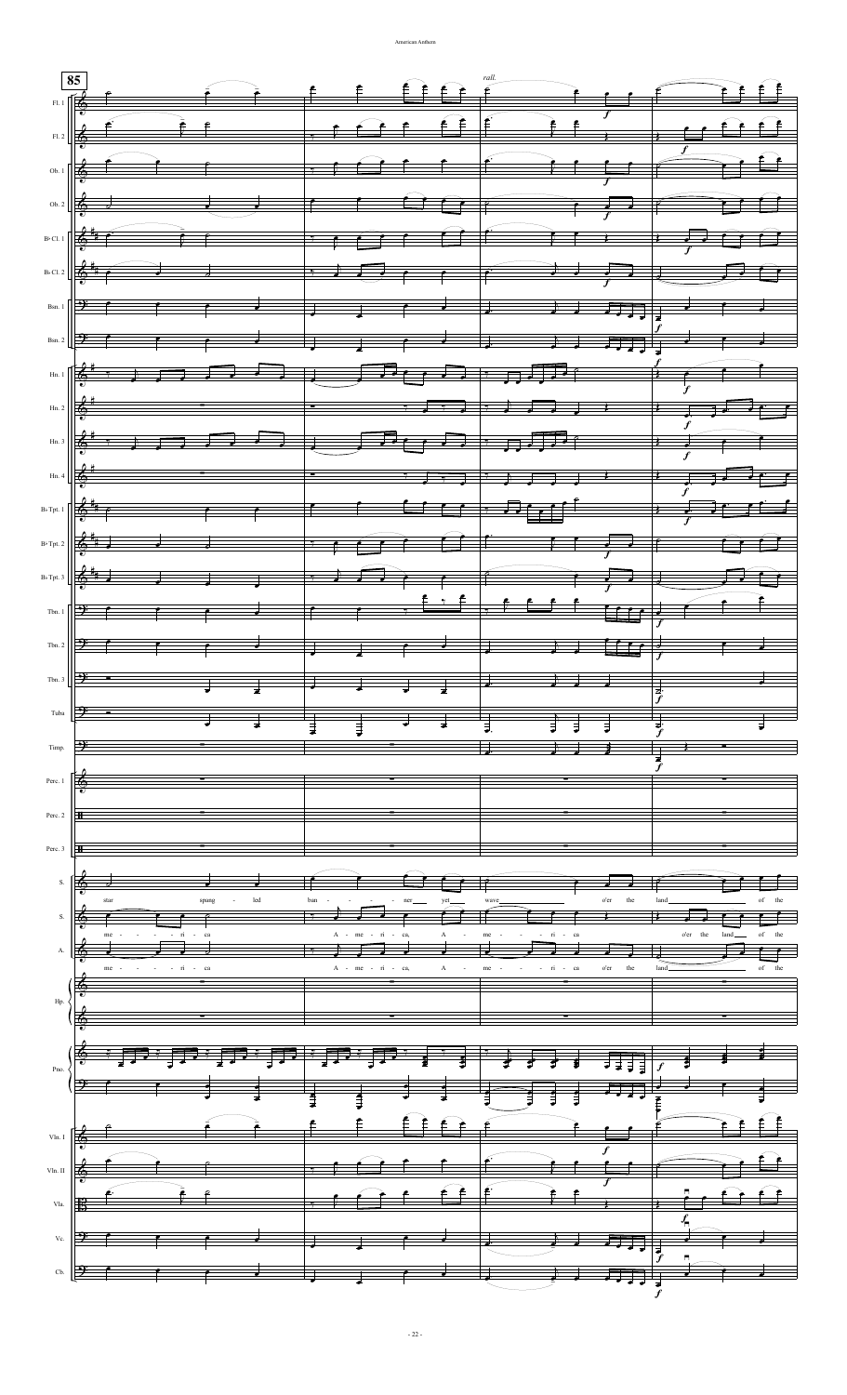|                             |  | 0.2    <del>comparent comparent comparent comparent comparent comparent comparent comparent comparent comparent comparent comparent comparent comparent comparent comparent comparent comparent comparent comparent comparent comp</del>                                                                                                                                                                                                                                                                                                                                                    |  |
|-----------------------------|--|---------------------------------------------------------------------------------------------------------------------------------------------------------------------------------------------------------------------------------------------------------------------------------------------------------------------------------------------------------------------------------------------------------------------------------------------------------------------------------------------------------------------------------------------------------------------------------------------|--|
|                             |  |                                                                                                                                                                                                                                                                                                                                                                                                                                                                                                                                                                                             |  |
|                             |  |                                                                                                                                                                                                                                                                                                                                                                                                                                                                                                                                                                                             |  |
|                             |  |                                                                                                                                                                                                                                                                                                                                                                                                                                                                                                                                                                                             |  |
|                             |  | $Ban 1$ $\left[\frac{32}{2}$ $\frac{3}{2}$ $\frac{3}{2}$ $\frac{3}{2}$ $\frac{3}{2}$ $\frac{3}{2}$ $\frac{3}{2}$ $\frac{3}{2}$ $\frac{3}{2}$ $\frac{3}{2}$ $\frac{3}{2}$ $\frac{3}{2}$ $\frac{3}{2}$ $\frac{3}{2}$ $\frac{3}{2}$ $\frac{3}{2}$ $\frac{3}{2}$ $\frac{3}{2}$ $\frac{3}{2}$ $\frac{3}{2}$ $\frac{3}{2}$                                                                                                                                                                                                                                                                        |  |
|                             |  | $Ban 2$ $\left[\frac{32\pi}{2}\right]$ $\left[\frac{32\pi}{2}\right]$ $\left[\frac{32\pi}{2}\right]$ $\left[\frac{32\pi}{2}\right]$ $\left[\frac{32\pi}{2}\right]$ $\left[\frac{32\pi}{2}\right]$ $\left[\frac{32\pi}{2}\right]$ $\left[\frac{32\pi}{2}\right]$ $\left[\frac{32\pi}{2}\right]$ $\left[\frac{32\pi}{2}\right]$ $\left[\frac{32\pi}{2}\right]$ $\left[\frac{32\pi}{2}\right]$ $\left[\frac{32\pi$                                                                                                                                                                             |  |
|                             |  | $\mathbb{E}\left[\left\ \frac{\partial f}{\partial t}+\frac{\partial f}{\partial t}\right\ _{\mathcal{F}}\right]=\mathbb{E}\left[\left\ \frac{\partial f}{\partial t}-\frac{\partial f}{\partial t}\right\ _{\mathcal{F}}\right]=\mathbb{E}\left[\left\ \frac{\partial f}{\partial t}-\frac{\partial f}{\partial t}\right\ _{\mathcal{F}}\right]=\mathbb{E}\left[\left\ \frac{\partial f}{\partial t}-\frac{\partial f}{\partial t}\right\ _{\mathcal{F}}\right]=\mathbb{E}\left[\left\ \frac{\partial f}{\partial t}-\frac{\partial f}{\partial t}\right\ _{\mathcal{F}}\right]=\mathbb{E$ |  |
|                             |  | $\frac{1}{2}$ $\frac{1}{2}$ $\frac{1}{2}$ $\frac{1}{2}$ $\frac{1}{2}$ $\frac{1}{2}$ $\frac{1}{2}$ $\frac{1}{2}$ $\frac{1}{2}$ $\frac{1}{2}$ $\frac{1}{2}$ $\frac{1}{2}$ $\frac{1}{2}$ $\frac{1}{2}$ $\frac{1}{2}$ $\frac{1}{2}$ $\frac{1}{2}$ $\frac{1}{2}$ $\frac{1}{2}$ $\frac{1}{2}$ $\frac{1}{2}$ $\frac{1}{2}$                                                                                                                                                                                                                                                                         |  |
|                             |  | $\frac{1}{2}$ and $\frac{1}{2}$ and $\frac{1}{2}$ and $\frac{1}{2}$ and $\frac{1}{2}$ and $\frac{1}{2}$ and $\frac{1}{2}$ and $\frac{1}{2}$ and $\frac{1}{2}$ and $\frac{1}{2}$ and $\frac{1}{2}$ and $\frac{1}{2}$ and $\frac{1}{2}$ and $\frac{1}{2}$ and $\frac{1}{2}$ and $\frac{1}{2}$ a                                                                                                                                                                                                                                                                                               |  |
|                             |  |                                                                                                                                                                                                                                                                                                                                                                                                                                                                                                                                                                                             |  |
|                             |  | $\frac{1}{2}$ $\frac{1}{2}$ $\frac{1}{2}$ $\frac{1}{2}$ $\frac{1}{2}$ $\frac{1}{2}$ $\frac{1}{2}$ $\frac{1}{2}$ $\frac{1}{2}$ $\frac{1}{2}$ $\frac{1}{2}$ $\frac{1}{2}$ $\frac{1}{2}$ $\frac{1}{2}$ $\frac{1}{2}$ $\frac{1}{2}$ $\frac{1}{2}$ $\frac{1}{2}$ $\frac{1}{2}$ $\frac{1}{2}$ $\frac{1}{2}$ $\frac{1}{2}$                                                                                                                                                                                                                                                                         |  |
|                             |  | <sub>Batha</sub> ri <mark>de la componenta de la componenta de la componenta de la componenta de la componenta de la componenta de la componenta de la componenta de la componenta de la componenta de la componenta de la componenta de la </mark>                                                                                                                                                                                                                                                                                                                                         |  |
|                             |  | $\frac{1}{\beta}$ , $\frac{1}{\beta}$ , $\frac{1}{\beta}$ , $\frac{1}{\beta}$ , $\frac{1}{\beta}$ , $\frac{1}{\beta}$ , $\frac{1}{\beta}$ , $\frac{1}{\beta}$ , $\frac{1}{\beta}$ , $\frac{1}{\beta}$ , $\frac{1}{\beta}$ , $\frac{1}{\beta}$ , $\frac{1}{\beta}$ , $\frac{1}{\beta}$ , $\frac{1}{\beta}$ , $\frac{1}{\beta}$ , $\frac{1}{\beta}$ ,                                                                                                                                                                                                                                         |  |
|                             |  | $B_{\rm FPR,3}$ $\left( \left  \frac{A_{\rm FPR}}{A_{\rm FPR}} \right  \right)$ $\left  \frac{A_{\rm FPR}}{A_{\rm FPR}} \right $ $\left  \frac{A_{\rm FPR}}{A_{\rm FPR}} \right $ $\left  \frac{A_{\rm FPR}}{A_{\rm FPR}} \right $ $\left  \frac{A_{\rm FPR}}{A_{\rm FPR}} \right $ $\left  \frac{A_{\rm FPR}}{A_{\rm FPR}} \right $ $\left  \frac{A_{\rm FPR}}{A_{\rm FPR}} \right $ $\left  \frac{A_{\rm FPR}}$                                                                                                                                                                           |  |
|                             |  | The $\left\Vert \frac{\partial F}{\partial t} \right\Vert_{\ell^2}$ is the contract of the contract of the contract of the contract of the contract of the contract of the contract of the contract of the contract of the contract of the contract of the contrac                                                                                                                                                                                                                                                                                                                          |  |
|                             |  | $T_{\rm{b}}$ and $T_{\rm{b}}$ are the set of the set of the set of the set of the set of the set of the set of the set of the set of the set of the set of the set of the set of the set of the set of the set of the set of the se                                                                                                                                                                                                                                                                                                                                                         |  |
|                             |  |                                                                                                                                                                                                                                                                                                                                                                                                                                                                                                                                                                                             |  |
|                             |  | $T_{\rm{bh,3}}$ and $T_{\rm{bh,3}}$ are the set of the set of the set of the set of the set of the set of the set of the set of the set of the set of the set of the set of the set of the set of the set of the set of the set of th                                                                                                                                                                                                                                                                                                                                                       |  |
|                             |  |                                                                                                                                                                                                                                                                                                                                                                                                                                                                                                                                                                                             |  |
|                             |  |                                                                                                                                                                                                                                                                                                                                                                                                                                                                                                                                                                                             |  |
|                             |  |                                                                                                                                                                                                                                                                                                                                                                                                                                                                                                                                                                                             |  |
|                             |  |                                                                                                                                                                                                                                                                                                                                                                                                                                                                                                                                                                                             |  |
|                             |  |                                                                                                                                                                                                                                                                                                                                                                                                                                                                                                                                                                                             |  |
|                             |  |                                                                                                                                                                                                                                                                                                                                                                                                                                                                                                                                                                                             |  |
|                             |  |                                                                                                                                                                                                                                                                                                                                                                                                                                                                                                                                                                                             |  |
|                             |  |                                                                                                                                                                                                                                                                                                                                                                                                                                                                                                                                                                                             |  |
|                             |  |                                                                                                                                                                                                                                                                                                                                                                                                                                                                                                                                                                                             |  |
|                             |  |                                                                                                                                                                                                                                                                                                                                                                                                                                                                                                                                                                                             |  |
|                             |  |                                                                                                                                                                                                                                                                                                                                                                                                                                                                                                                                                                                             |  |
|                             |  | $\frac{1}{2}$                                                                                                                                                                                                                                                                                                                                                                                                                                                                                                                                                                               |  |
|                             |  |                                                                                                                                                                                                                                                                                                                                                                                                                                                                                                                                                                                             |  |
|                             |  |                                                                                                                                                                                                                                                                                                                                                                                                                                                                                                                                                                                             |  |
|                             |  |                                                                                                                                                                                                                                                                                                                                                                                                                                                                                                                                                                                             |  |
|                             |  |                                                                                                                                                                                                                                                                                                                                                                                                                                                                                                                                                                                             |  |
| $\mathbf{V}\mathbf{ln}.$ II |  |                                                                                                                                                                                                                                                                                                                                                                                                                                                                                                                                                                                             |  |
|                             |  |                                                                                                                                                                                                                                                                                                                                                                                                                                                                                                                                                                                             |  |
|                             |  |                                                                                                                                                                                                                                                                                                                                                                                                                                                                                                                                                                                             |  |
|                             |  |                                                                                                                                                                                                                                                                                                                                                                                                                                                                                                                                                                                             |  |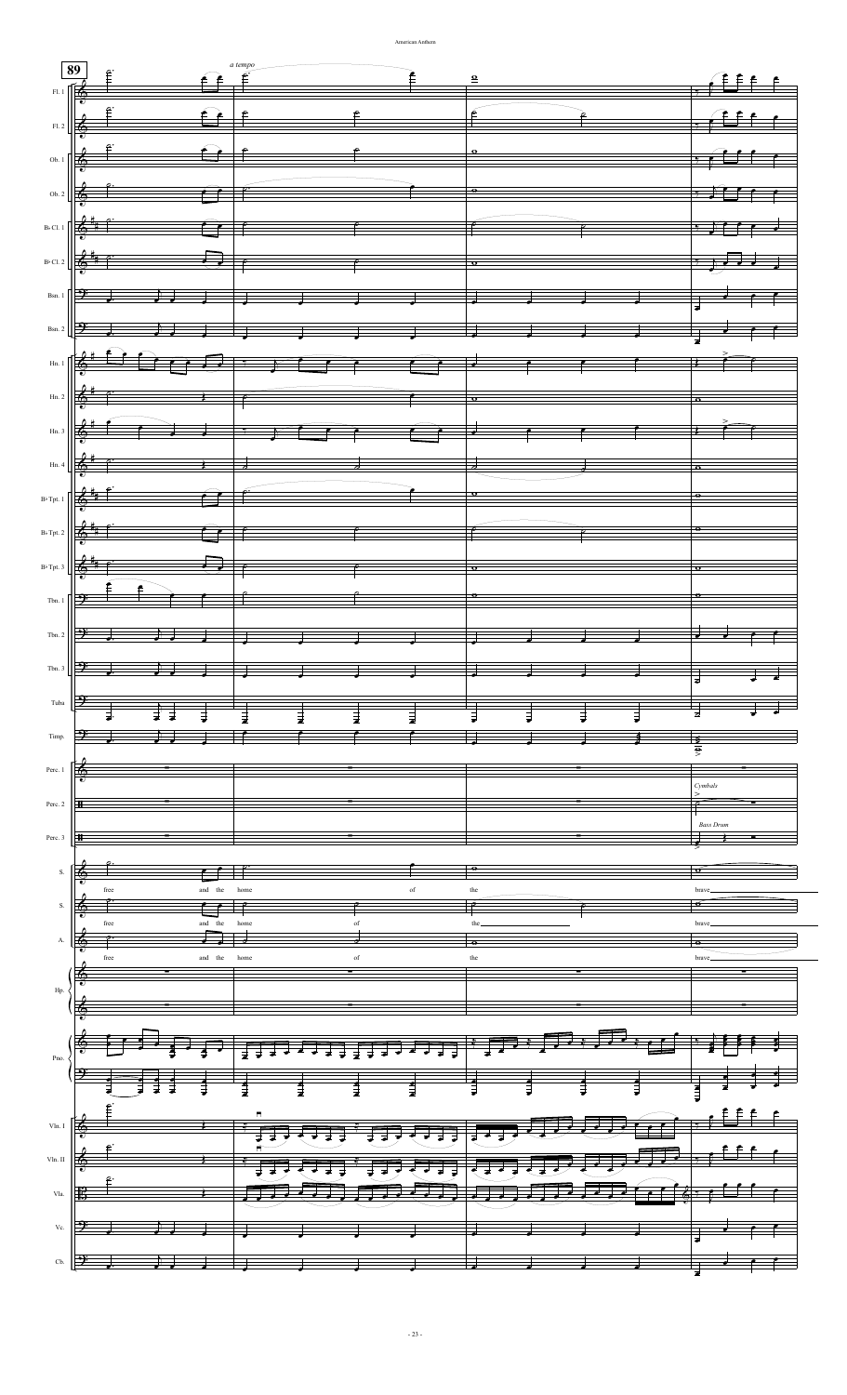|         | 89                 |      |         |                                                                                                                                                                                                                                                                                                                                                   |                      |    |                      |  |                                                                                                                                                                                                                                                                                                                                                                                                                                                                                                                                              |
|---------|--------------------|------|---------|---------------------------------------------------------------------------------------------------------------------------------------------------------------------------------------------------------------------------------------------------------------------------------------------------------------------------------------------------|----------------------|----|----------------------|--|----------------------------------------------------------------------------------------------------------------------------------------------------------------------------------------------------------------------------------------------------------------------------------------------------------------------------------------------------------------------------------------------------------------------------------------------------------------------------------------------------------------------------------------------|
| Fl. 1   |                    |      |         |                                                                                                                                                                                                                                                                                                                                                   |                      |    |                      |  |                                                                                                                                                                                                                                                                                                                                                                                                                                                                                                                                              |
| F1.2    |                    |      |         |                                                                                                                                                                                                                                                                                                                                                   |                      |    | $\frac{2}{\sqrt{2}}$ |  | $\frac{1}{2}$ , $\frac{1}{2}$ , $\frac{1}{2}$ , $\frac{1}{2}$                                                                                                                                                                                                                                                                                                                                                                                                                                                                                |
| Ob. 1   |                    |      |         | $\frac{1}{2}$                                                                                                                                                                                                                                                                                                                                     | $\overrightarrow{p}$ |    |                      |  |                                                                                                                                                                                                                                                                                                                                                                                                                                                                                                                                              |
|         |                    |      |         |                                                                                                                                                                                                                                                                                                                                                   |                      |    |                      |  |                                                                                                                                                                                                                                                                                                                                                                                                                                                                                                                                              |
| Ob. 2   |                    |      |         | $\begin{array}{ccc} \circ & \circ & \circ & \circ \end{array}$                                                                                                                                                                                                                                                                                    |                      |    |                      |  |                                                                                                                                                                                                                                                                                                                                                                                                                                                                                                                                              |
|         |                    |      |         |                                                                                                                                                                                                                                                                                                                                                   |                      |    |                      |  | $\mathbb{P}^{(1)}$ $\mathbb{E}^{(1)}$ $\mathbb{E}^{(1)}$ $\mathbb{E}^{(1)}$ $\mathbb{E}^{(1)}$ $\mathbb{E}^{(1)}$ $\mathbb{E}^{(1)}$ $\mathbb{E}^{(1)}$ $\mathbb{E}^{(1)}$ $\mathbb{E}^{(1)}$ $\mathbb{E}^{(1)}$ $\mathbb{E}^{(1)}$ $\mathbb{E}^{(1)}$ $\mathbb{E}^{(1)}$ $\mathbb{E}^{(1)}$ $\mathbb{E}^{(1)}$ $\mathbb{E}^{(1)}$                                                                                                                                                                                                           |
|         |                    |      |         |                                                                                                                                                                                                                                                                                                                                                   |                      |    |                      |  |                                                                                                                                                                                                                                                                                                                                                                                                                                                                                                                                              |
|         | Bsn. 1 $\boxed{9}$ |      |         |                                                                                                                                                                                                                                                                                                                                                   |                      |    |                      |  |                                                                                                                                                                                                                                                                                                                                                                                                                                                                                                                                              |
|         |                    |      |         |                                                                                                                                                                                                                                                                                                                                                   |                      |    |                      |  |                                                                                                                                                                                                                                                                                                                                                                                                                                                                                                                                              |
|         |                    |      |         |                                                                                                                                                                                                                                                                                                                                                   |                      |    |                      |  | $Bsn 2$ $\frac{1}{2}$ $\frac{1}{2}$ $\frac{1}{2}$ $\frac{1}{2}$ $\frac{1}{2}$ $\frac{1}{2}$ $\frac{1}{2}$ $\frac{1}{2}$ $\frac{1}{2}$ $\frac{1}{2}$ $\frac{1}{2}$ $\frac{1}{2}$ $\frac{1}{2}$ $\frac{1}{2}$ $\frac{1}{2}$ $\frac{1}{2}$ $\frac{1}{2}$ $\frac{1}{2}$ $\frac{1}{2}$ $\frac{1}{2}$ $\frac{1}{2}$ $\frac{$                                                                                                                                                                                                                       |
|         |                    |      |         |                                                                                                                                                                                                                                                                                                                                                   |                      |    |                      |  | $\overline{\mathcal{X}}$<br>$\overline{\phantom{a}}$                                                                                                                                                                                                                                                                                                                                                                                                                                                                                         |
|         |                    |      |         | $\frac{1}{2}$ $\frac{1}{2}$ $\frac{1}{2}$ $\frac{1}{2}$ $\frac{1}{2}$ $\frac{1}{2}$ $\frac{1}{2}$ $\frac{1}{2}$ $\frac{1}{2}$ $\frac{1}{2}$ $\frac{1}{2}$ $\frac{1}{2}$ $\frac{1}{2}$ $\frac{1}{2}$ $\frac{1}{2}$ $\frac{1}{2}$ $\frac{1}{2}$ $\frac{1}{2}$ $\frac{1}{2}$ $\frac{1}{2}$ $\frac{1}{2}$ $\frac{1}{2}$                               |                      |    |                      |  |                                                                                                                                                                                                                                                                                                                                                                                                                                                                                                                                              |
|         |                    |      |         |                                                                                                                                                                                                                                                                                                                                                   |                      |    |                      |  |                                                                                                                                                                                                                                                                                                                                                                                                                                                                                                                                              |
|         |                    |      |         |                                                                                                                                                                                                                                                                                                                                                   |                      |    |                      |  | $\text{Im}\,3\left \left \left \frac{\hat{\mathcal{A}}}{\hat{V}}\right ^{2}\right ^{2}+\left \left \left \left \frac{\hat{\mathcal{A}}}{\hat{V}}\right ^{2}\right ^{2}\right \right)^{2}+\left \left \left \left \left \left \frac{\hat{\mathcal{A}}}{\hat{V}}\right ^{2}\right ^{2}\right \right)^{2}+\left \left \left \left \left \left \left \left \frac{\hat{\mathcal{A}}}{\hat{V}}\right ^{2}\right ^{2}\right \right \right)^{2}+\left \left \left \left \left \left \left \left \left \frac{\hat{\mathcal{A}}}{\hat{V}}\right ^{2}\$ |
|         |                    |      |         | $\lim_{n \to \infty} 4 \left  \frac{1}{\sqrt{n}} \frac{1}{n^2} \right $                                                                                                                                                                                                                                                                           |                      |    |                      |  |                                                                                                                                                                                                                                                                                                                                                                                                                                                                                                                                              |
|         |                    |      |         | $B_3$ Tpt. 1 $\left[\begin{array}{ccc} \frac{B_1}{B_1} & \frac{B_2}{B_2} & \frac{B_1}{B_1} & \frac{B_2}{B_2} & \frac{B_1}{B_2} & \frac{B_2}{B_2} & \frac{B_1}{B_2} & \frac{B_1}{B_2} & \frac{B_2}{B_2} & \frac{B_1}{B_2} & \frac{B_2}{B_2} & \frac{B_1}{B_2} & \frac{B_1}{B_2} & \frac{B_1}{B_2} & \frac{B_1}{B_2} & \frac{B_1}{B_2} & \frac{B_1$ |                      |    |                      |  |                                                                                                                                                                                                                                                                                                                                                                                                                                                                                                                                              |
|         |                    |      |         | $B \cdot T_{\text{pt}}$ 2 $\left\  \bigotimes_{i=1}^{n} \frac{a_i}{i} \bigg\ _1^2$                                                                                                                                                                                                                                                                |                      |    |                      |  |                                                                                                                                                                                                                                                                                                                                                                                                                                                                                                                                              |
|         |                    |      |         |                                                                                                                                                                                                                                                                                                                                                   |                      |    |                      |  |                                                                                                                                                                                                                                                                                                                                                                                                                                                                                                                                              |
|         |                    |      |         | $B_3$ Tpt. 3                                                                                                                                                                                                                                                                                                                                      |                      |    |                      |  |                                                                                                                                                                                                                                                                                                                                                                                                                                                                                                                                              |
|         |                    |      |         | $T_{\rm{bh,1}}$ $\left\  \frac{\mathbf{p}}{\mathbf{p}} \right\ $ $\left\  \frac{\mathbf{p}}{\mathbf{p}} \right\ $ $\left\  \frac{\mathbf{p}}{\mathbf{p}} \right\ $ $\left\  \frac{\mathbf{p}}{\mathbf{p}} \right\ $ $\left\  \frac{\mathbf{p}}{\mathbf{p}} \right\ $ $\left\  \frac{\mathbf{p}}{\mathbf{p}} \right\ $                             |                      |    |                      |  |                                                                                                                                                                                                                                                                                                                                                                                                                                                                                                                                              |
|         |                    |      |         | The $2\left\  \begin{array}{ccc} 2 & 2 & 3 \ 3 & 4 & 5 \end{array} \right\ $                                                                                                                                                                                                                                                                      |                      |    |                      |  | $\overline{\phantom{a}}$                                                                                                                                                                                                                                                                                                                                                                                                                                                                                                                     |
|         |                    |      |         |                                                                                                                                                                                                                                                                                                                                                   |                      |    |                      |  |                                                                                                                                                                                                                                                                                                                                                                                                                                                                                                                                              |
|         |                    |      |         | Tbn.3 $\frac{1}{2}$                                                                                                                                                                                                                                                                                                                               |                      |    |                      |  |                                                                                                                                                                                                                                                                                                                                                                                                                                                                                                                                              |
| Tuba    |                    |      |         |                                                                                                                                                                                                                                                                                                                                                   |                      |    |                      |  |                                                                                                                                                                                                                                                                                                                                                                                                                                                                                                                                              |
| Timp    |                    |      |         |                                                                                                                                                                                                                                                                                                                                                   |                      |    |                      |  |                                                                                                                                                                                                                                                                                                                                                                                                                                                                                                                                              |
| Perc. 1 |                    |      |         |                                                                                                                                                                                                                                                                                                                                                   |                      |    |                      |  |                                                                                                                                                                                                                                                                                                                                                                                                                                                                                                                                              |
|         |                    |      |         |                                                                                                                                                                                                                                                                                                                                                   |                      |    |                      |  | Cymbals                                                                                                                                                                                                                                                                                                                                                                                                                                                                                                                                      |
| Perc. 2 |                    |      |         |                                                                                                                                                                                                                                                                                                                                                   |                      |    |                      |  | <b>Bass Drum</b>                                                                                                                                                                                                                                                                                                                                                                                                                                                                                                                             |
| Perc. 3 | #                  |      |         |                                                                                                                                                                                                                                                                                                                                                   |                      |    |                      |  |                                                                                                                                                                                                                                                                                                                                                                                                                                                                                                                                              |
| S.      |                    |      |         |                                                                                                                                                                                                                                                                                                                                                   |                      |    |                      |  | $\tilde{\mathbf{p}}$                                                                                                                                                                                                                                                                                                                                                                                                                                                                                                                         |
|         |                    | free |         |                                                                                                                                                                                                                                                                                                                                                   |                      | of | the                  |  | brav                                                                                                                                                                                                                                                                                                                                                                                                                                                                                                                                         |
| S.      | $\omega$           | free | and     |                                                                                                                                                                                                                                                                                                                                                   | of                   |    |                      |  | brave                                                                                                                                                                                                                                                                                                                                                                                                                                                                                                                                        |
| A.      |                    | free | and the | home                                                                                                                                                                                                                                                                                                                                              | of                   |    | the                  |  | brave                                                                                                                                                                                                                                                                                                                                                                                                                                                                                                                                        |
|         |                    |      |         |                                                                                                                                                                                                                                                                                                                                                   |                      |    |                      |  |                                                                                                                                                                                                                                                                                                                                                                                                                                                                                                                                              |
| Hp.     |                    |      |         |                                                                                                                                                                                                                                                                                                                                                   |                      |    |                      |  |                                                                                                                                                                                                                                                                                                                                                                                                                                                                                                                                              |
|         |                    |      |         |                                                                                                                                                                                                                                                                                                                                                   |                      |    |                      |  |                                                                                                                                                                                                                                                                                                                                                                                                                                                                                                                                              |
|         |                    |      |         |                                                                                                                                                                                                                                                                                                                                                   |                      |    |                      |  |                                                                                                                                                                                                                                                                                                                                                                                                                                                                                                                                              |
|         |                    |      |         |                                                                                                                                                                                                                                                                                                                                                   |                      |    |                      |  |                                                                                                                                                                                                                                                                                                                                                                                                                                                                                                                                              |
|         |                    |      |         |                                                                                                                                                                                                                                                                                                                                                   |                      |    |                      |  |                                                                                                                                                                                                                                                                                                                                                                                                                                                                                                                                              |
| Vln. I  |                    |      |         |                                                                                                                                                                                                                                                                                                                                                   |                      |    |                      |  |                                                                                                                                                                                                                                                                                                                                                                                                                                                                                                                                              |
| Vln. II |                    |      |         |                                                                                                                                                                                                                                                                                                                                                   |                      |    |                      |  |                                                                                                                                                                                                                                                                                                                                                                                                                                                                                                                                              |
| Vla.    |                    |      |         |                                                                                                                                                                                                                                                                                                                                                   |                      |    |                      |  |                                                                                                                                                                                                                                                                                                                                                                                                                                                                                                                                              |
|         |                    |      |         |                                                                                                                                                                                                                                                                                                                                                   |                      |    |                      |  |                                                                                                                                                                                                                                                                                                                                                                                                                                                                                                                                              |
| Vc.     |                    |      |         |                                                                                                                                                                                                                                                                                                                                                   |                      |    |                      |  |                                                                                                                                                                                                                                                                                                                                                                                                                                                                                                                                              |
| Cb.     |                    |      |         |                                                                                                                                                                                                                                                                                                                                                   |                      |    |                      |  |                                                                                                                                                                                                                                                                                                                                                                                                                                                                                                                                              |